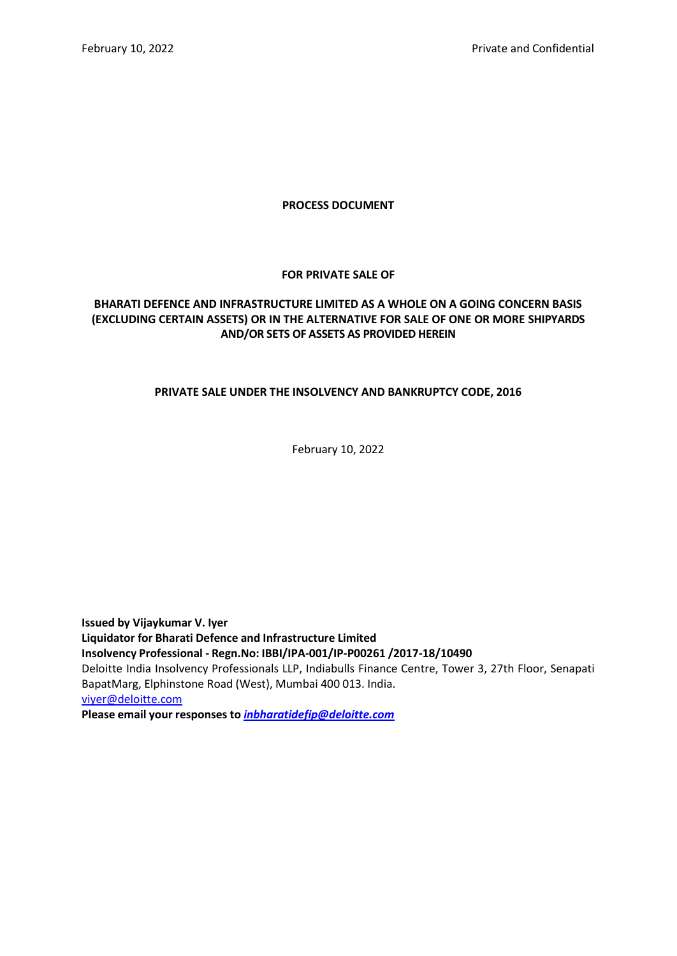### **PROCESS DOCUMENT**

### **FOR PRIVATE SALE OF**

# **BHARATI DEFENCE AND INFRASTRUCTURE LIMITED AS A WHOLE ON A GOING CONCERN BASIS (EXCLUDING CERTAIN ASSETS) OR IN THE ALTERNATIVE FOR SALE OF ONE OR MORE SHIPYARDS AND/OR SETS OF ASSETS AS PROVIDED HEREIN**

### **PRIVATE SALE UNDER THE INSOLVENCY AND BANKRUPTCY CODE, 2016**

February 10, 2022

**Issued by Vijaykumar V. Iyer Liquidator for Bharati Defence and Infrastructure Limited Insolvency Professional - Regn.No: IBBI/IPA-001/IP-P00261 /2017-18/10490** Deloitte India Insolvency Professionals LLP, Indiabulls Finance Centre, Tower 3, 27th Floor, Senapati BapatMarg, Elphinstone Road (West), Mumbai 400 013. India. [viyer@deloitte.com](mailto:viyer@deloitte.com) **Please email your responses to** *[inbharatidefip@deloitte.com](mailto:inbharatidefip@deloitte.com)*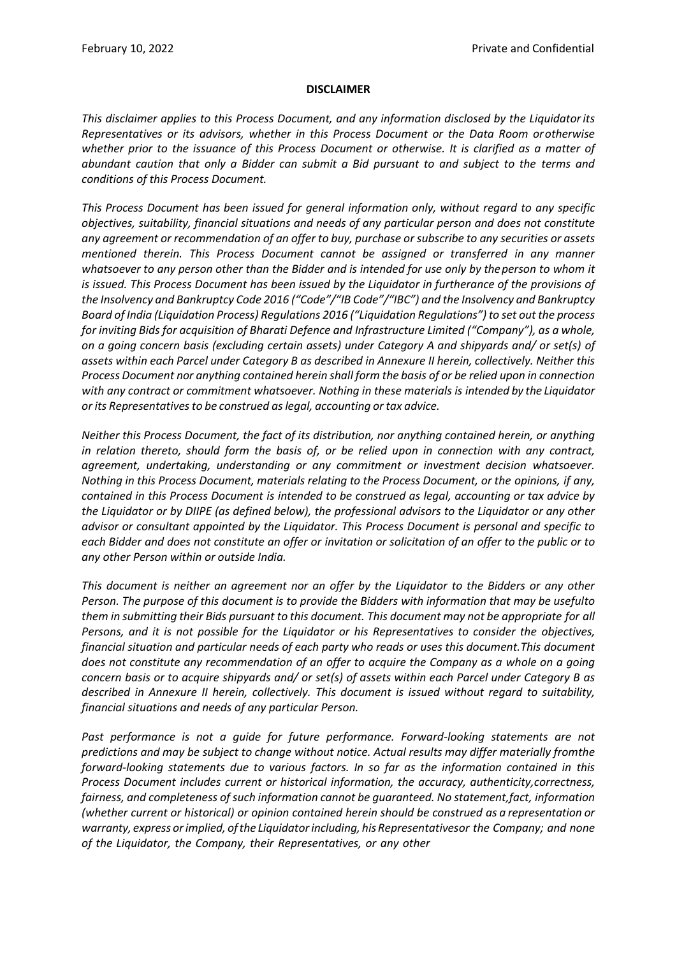#### **DISCLAIMER**

*This disclaimer applies to this Process Document, and any information disclosed by the Liquidator its Representatives or its advisors, whether in this Process Document or the Data Room or otherwise whether prior to the issuance of this Process Document or otherwise. It is clarified as a matter of abundant caution that only a Bidder can submit a Bid pursuant to and subject to the terms and conditions of this Process Document.*

*This Process Document has been issued for general information only, without regard to any specific objectives, suitability, financial situations and needs of any particular person and does not constitute any agreement or recommendation of an offer to buy, purchase or subscribe to any securities or assets mentioned therein. This Process Document cannot be assigned or transferred in any manner* whatsoever to any person other than the Bidder and is intended for use only by the person to whom it *is issued. This Process Document has been issued by the Liquidator in furtherance of the provisions of the Insolvency and Bankruptcy Code 2016 ("Code"/"IB Code"/"IBC") and the Insolvency and Bankruptcy Board of India (Liquidation Process) Regulations 2016 ("Liquidation Regulations") to set out the process for inviting Bids for acquisition of Bharati Defence and Infrastructure Limited ("Company"), as a whole, on a going concern basis (excluding certain assets) under Category A and shipyards and/ or set(s) of assets within each Parcel under Category B as described in Annexure II herein, collectively. Neither this Process Document nor anything contained herein shall form the basis of or be relied upon in connection with any contract or commitment whatsoever. Nothing in these materials is intended by the Liquidator or its Representativesto be construed aslegal, accounting or tax advice.*

*Neither this Process Document, the fact of its distribution, nor anything contained herein, or anything in relation thereto, should form the basis of, or be relied upon in connection with any contract, agreement, undertaking, understanding or any commitment or investment decision whatsoever. Nothing in this Process Document, materials relating to the Process Document, or the opinions, if any, contained in this Process Document is intended to be construed as legal, accounting or tax advice by the Liquidator or by DIIPE (as defined below), the professional advisors to the Liquidator or any other advisor or consultant appointed by the Liquidator. This Process Document is personal and specific to each Bidder and does not constitute an offer or invitation or solicitation of an offer to the public or to any other Person within or outside India.*

*This document is neither an agreement nor an offer by the Liquidator to the Bidders or any other Person. The purpose of this document is to provide the Bidders with information that may be usefulto them in submitting their Bids pursuant to this document. This document may not be appropriate for all Persons, and it is not possible for the Liquidator or his Representatives to consider the objectives, financial situation and particular needs of each party who reads or uses this document.This document does not constitute any recommendation of an offer to acquire the Company as a whole on a going concern basis or to acquire shipyards and/ or set(s) of assets within each Parcel under Category B as described in Annexure II herein, collectively. This document is issued without regard to suitability, financial situations and needs of any particular Person.*

*Past performance is not a guide for future performance. Forward-looking statements are not predictions and may be subject to change without notice. Actual results may differ materially fromthe forward-looking statements due to various factors. In so far as the information contained in this Process Document includes current or historical information, the accuracy, authenticity,correctness, fairness, and completeness of such information cannot be guaranteed. No statement,fact, information (whether current or historical) or opinion contained herein should be construed as a representation or warranty, express orimplied, ofthe Liquidatorincluding, his Representativesor the Company; and none of the Liquidator, the Company, their Representatives, or any other*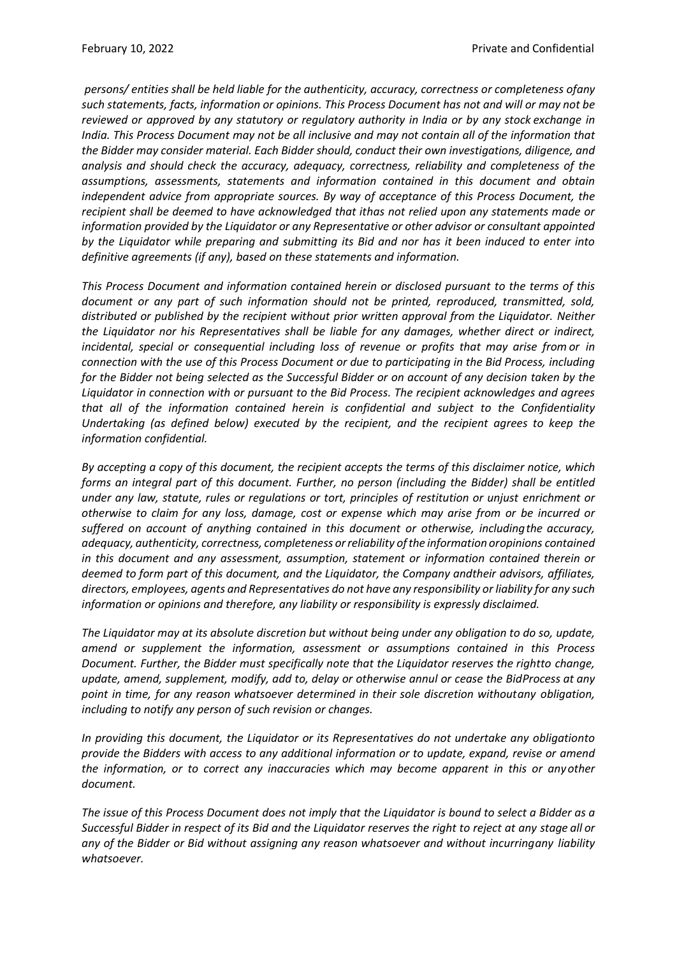*persons/ entities shall be held liable for the authenticity, accuracy, correctness or completeness ofany such statements, facts, information or opinions. This Process Document has not and will or may not be reviewed or approved by any statutory or regulatory authority in India or by any stock exchange in India. This Process Document may not be all inclusive and may not contain all of the information that the Bidder may consider material. Each Bidder should, conduct their own investigations, diligence, and analysis and should check the accuracy, adequacy, correctness, reliability and completeness of the assumptions, assessments, statements and information contained in this document and obtain independent advice from appropriate sources. By way of acceptance of this Process Document, the recipient shall be deemed to have acknowledged that ithas not relied upon any statements made or information provided by the Liquidator or any Representative or other advisor or consultant appointed by the Liquidator while preparing and submitting its Bid and nor has it been induced to enter into definitive agreements (if any), based on these statements and information.*

*This Process Document and information contained herein or disclosed pursuant to the terms of this document or any part of such information should not be printed, reproduced, transmitted, sold, distributed or published by the recipient without prior written approval from the Liquidator. Neither the Liquidator nor his Representatives shall be liable for any damages, whether direct or indirect, incidental, special or consequential including loss of revenue or profits that may arise from or in connection with the use of this Process Document or due to participating in the Bid Process, including for the Bidder not being selected as the Successful Bidder or on account of any decision taken by the Liquidator in connection with or pursuant to the Bid Process. The recipient acknowledges and agrees that all of the information contained herein is confidential and subject to the Confidentiality Undertaking (as defined below) executed by the recipient, and the recipient agrees to keep the information confidential.*

*By accepting a copy of this document, the recipient accepts the terms of this disclaimer notice, which forms an integral part of this document. Further, no person (including the Bidder) shall be entitled under any law, statute, rules or regulations or tort, principles of restitution or unjust enrichment or otherwise to claim for any loss, damage, cost or expense which may arise from or be incurred or suffered on account of anything contained in this document or otherwise, includingthe accuracy, adequacy, authenticity, correctness, completeness orreliability ofthe information oropinions contained in this document and any assessment, assumption, statement or information contained therein or deemed to form part of this document, and the Liquidator, the Company andtheir advisors, affiliates, directors, employees, agents and Representatives do not have any responsibility or liability for any such information or opinions and therefore, any liability or responsibility is expressly disclaimed.*

*The Liquidator may at its absolute discretion but without being under any obligation to do so, update, amend or supplement the information, assessment or assumptions contained in this Process Document. Further, the Bidder must specifically note that the Liquidator reserves the rightto change, update, amend, supplement, modify, add to, delay or otherwise annul or cease the BidProcess at any point in time, for any reason whatsoever determined in their sole discretion withoutany obligation, including to notify any person of such revision or changes.*

*In providing this document, the Liquidator or its Representatives do not undertake any obligationto provide the Bidders with access to any additional information or to update, expand, revise or amend the information, or to correct any inaccuracies which may become apparent in this or anyother document.*

The issue of this Process Document does not imply that the Liquidator is bound to select a Bidder as a *Successful Bidder in respect of its Bid and the Liquidator reserves the right to reject at any stage all or any of the Bidder or Bid without assigning any reason whatsoever and without incurringany liability whatsoever.*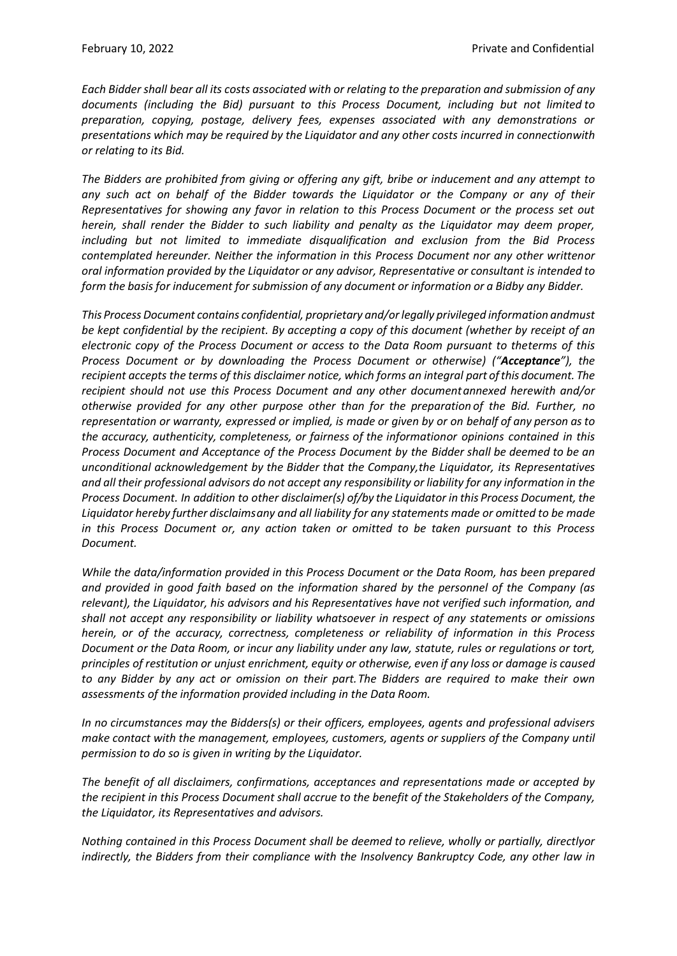*Each Bidder shall bear all its costs associated with or relating to the preparation and submission of any documents (including the Bid) pursuant to this Process Document, including but not limited to preparation, copying, postage, delivery fees, expenses associated with any demonstrations or presentations which may be required by the Liquidator and any other costs incurred in connectionwith or relating to its Bid.*

*The Bidders are prohibited from giving or offering any gift, bribe or inducement and any attempt to any such act on behalf of the Bidder towards the Liquidator or the Company or any of their Representatives for showing any favor in relation to this Process Document or the process set out herein, shall render the Bidder to such liability and penalty as the Liquidator may deem proper, including but not limited to immediate disqualification and exclusion from the Bid Process contemplated hereunder. Neither the information in this Process Document nor any other writtenor oral information provided by the Liquidator or any advisor, Representative or consultant is intended to form the basis for inducement for submission of any document or information or a Bidby any Bidder.*

*This Process Document contains confidential, proprietary and/orlegally privileged information andmust be kept confidential by the recipient. By accepting a copy of this document (whether by receipt of an electronic copy of the Process Document or access to the Data Room pursuant to theterms of this Process Document or by downloading the Process Document or otherwise) ("Acceptance"), the recipient accepts the terms of this disclaimer notice, which forms an integral part ofthis document. The recipient should not use this Process Document and any other documentannexed herewith and/or otherwise provided for any other purpose other than for the preparation of the Bid. Further, no* representation or warranty, expressed or implied, is made or given by or on behalf of any person as to *the accuracy, authenticity, completeness, or fairness of the informationor opinions contained in this Process Document and Acceptance of the Process Document by the Bidder shall be deemed to be an unconditional acknowledgement by the Bidder that the Company,the Liquidator, its Representatives* and all their professional advisors do not accept any responsibility or liability for any information in the *Process Document. In addition to other disclaimer(s) of/by the Liquidator in this Process Document, the Liquidator hereby further disclaims any and all liability for any statements made or omitted to be made in this Process Document or, any action taken or omitted to be taken pursuant to this Process Document.*

*While the data/information provided in this Process Document or the Data Room, has been prepared and provided in good faith based on the information shared by the personnel of the Company (as relevant), the Liquidator, his advisors and his Representatives have not verified such information, and shall not accept any responsibility or liability whatsoever in respect of any statements or omissions herein, or of the accuracy, correctness, completeness or reliability of information in this Process Document or the Data Room, or incur any liability under any law, statute, rules or regulations or tort, principles of restitution or unjust enrichment, equity or otherwise, even if any loss or damage is caused to any Bidder by any act or omission on their part.The Bidders are required to make their own assessments of the information provided including in the Data Room.*

*In no circumstances may the Bidders(s) or their officers, employees, agents and professional advisers make contact with the management, employees, customers, agents or suppliers of the Company until permission to do so is given in writing by the Liquidator.*

*The benefit of all disclaimers, confirmations, acceptances and representations made or accepted by the recipient in this Process Document shall accrue to the benefit of the Stakeholders of the Company, the Liquidator, its Representatives and advisors.*

*Nothing contained in this Process Document shall be deemed to relieve, wholly or partially, directlyor indirectly, the Bidders from their compliance with the Insolvency Bankruptcy Code, any other law in*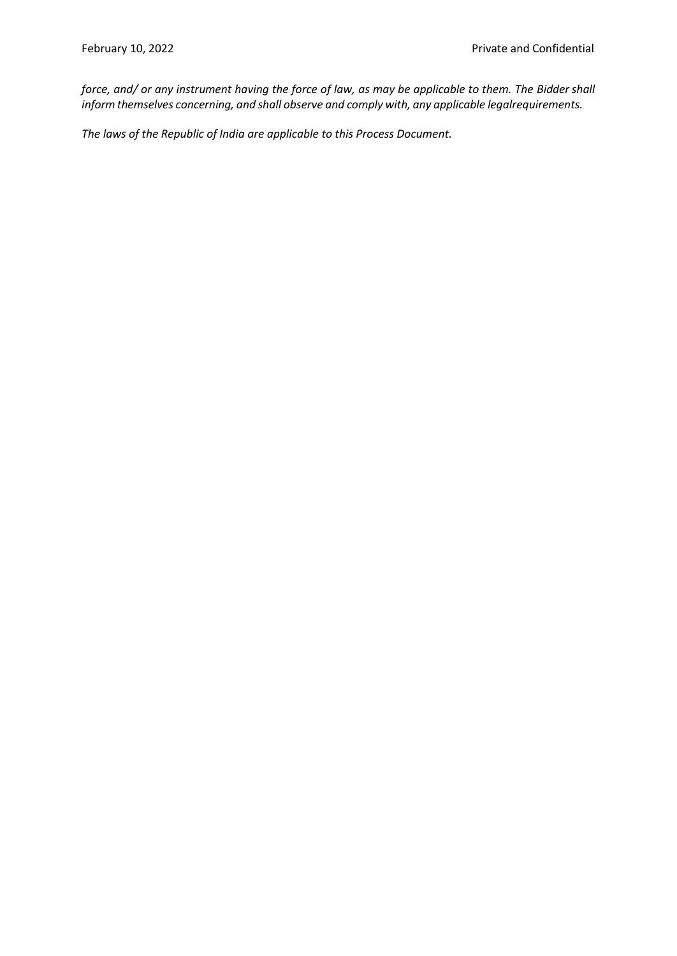*force, and/ or any instrument having the force of law, as may be applicable to them. The Biddershall inform themselves concerning, and shall observe and comply with, any applicable legalrequirements.*

*The laws of the Republic of India are applicable to this Process Document.*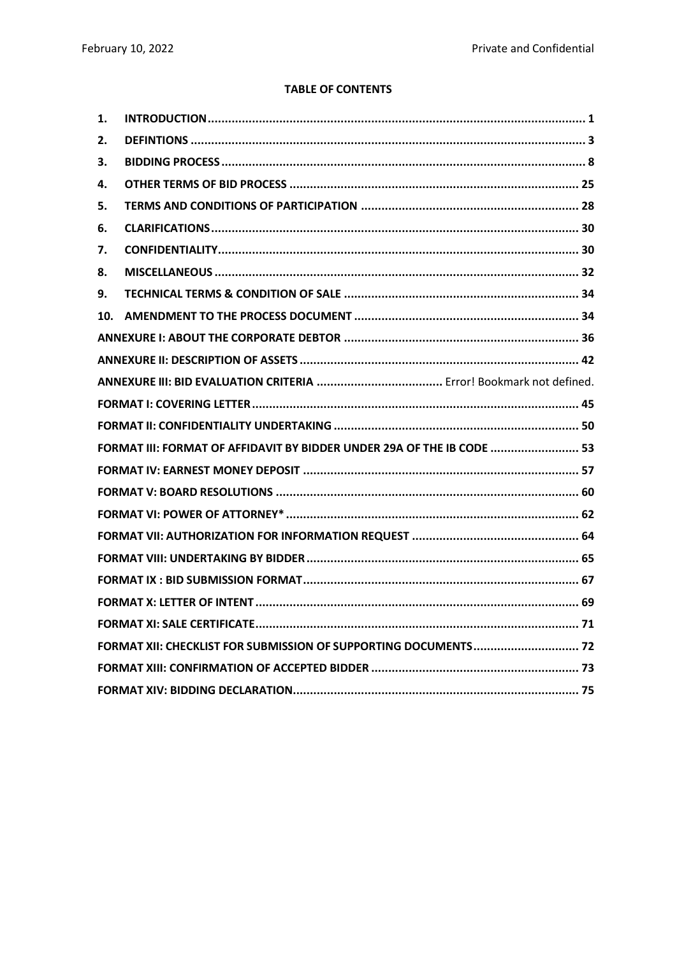### **TABLE OF CONTENTS**

| 1.  |                                                                        |
|-----|------------------------------------------------------------------------|
| 2.  |                                                                        |
| З.  |                                                                        |
| 4.  |                                                                        |
| 5.  |                                                                        |
| 6.  |                                                                        |
| 7.  |                                                                        |
| 8.  |                                                                        |
| 9.  |                                                                        |
| 10. |                                                                        |
|     |                                                                        |
|     |                                                                        |
|     |                                                                        |
|     |                                                                        |
|     |                                                                        |
|     | FORMAT III: FORMAT OF AFFIDAVIT BY BIDDER UNDER 29A OF THE IB CODE  53 |
|     |                                                                        |
|     |                                                                        |
|     |                                                                        |
|     |                                                                        |
|     |                                                                        |
|     |                                                                        |
|     |                                                                        |
|     |                                                                        |
|     | FORMAT XII: CHECKLIST FOR SUBMISSION OF SUPPORTING DOCUMENTS 72        |
|     |                                                                        |
|     |                                                                        |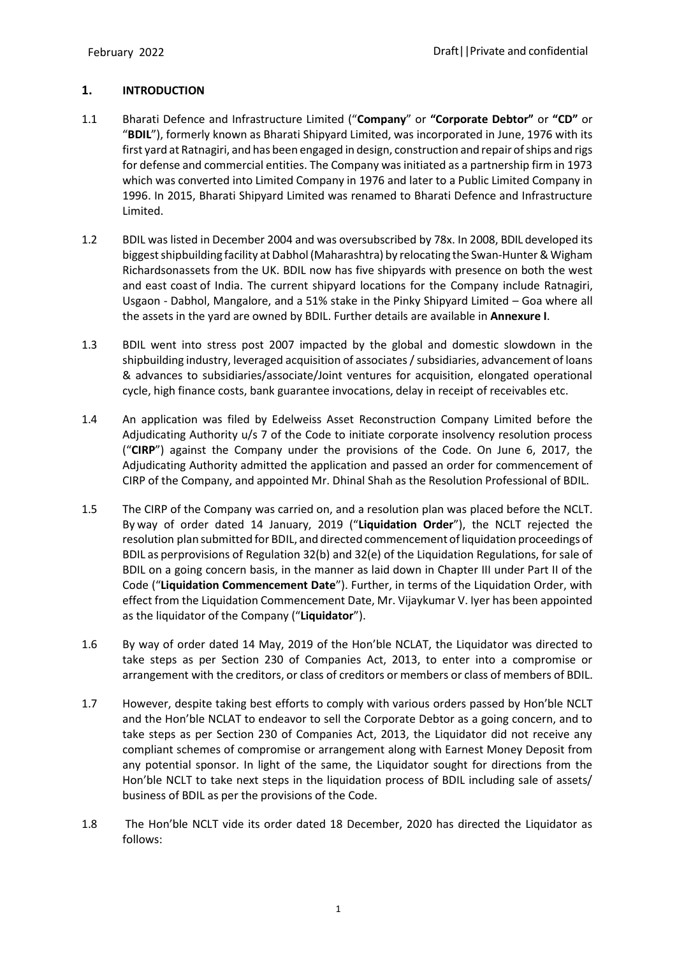# <span id="page-6-0"></span>**1. INTRODUCTION**

- 1.1 Bharati Defence and Infrastructure Limited ("**Company**" or **"Corporate Debtor"** or **"CD"** or "**BDIL**"), formerly known as Bharati Shipyard Limited, was incorporated in June, 1976 with its first yard at Ratnagiri, and has been engaged in design, construction and repair of ships and rigs for defense and commercial entities. The Company was initiated as a partnership firm in 1973 which was converted into Limited Company in 1976 and later to a Public Limited Company in 1996. In 2015, Bharati Shipyard Limited was renamed to Bharati Defence and Infrastructure Limited.
- 1.2 BDIL was listed in December 2004 and was oversubscribed by 78x. In 2008, BDIL developed its biggest shipbuilding facility at Dabhol (Maharashtra) by relocating the Swan-Hunter & Wigham Richardsonassets from the UK. BDIL now has five shipyards with presence on both the west and east coast of India. The current shipyard locations for the Company include Ratnagiri, Usgaon - Dabhol, Mangalore, and a 51% stake in the Pinky Shipyard Limited – Goa where all the assets in the yard are owned by BDIL. Further details are available in **Annexure I**.
- 1.3 BDIL went into stress post 2007 impacted by the global and domestic slowdown in the shipbuilding industry, leveraged acquisition of associates / subsidiaries, advancement of loans & advances to subsidiaries/associate/Joint ventures for acquisition, elongated operational cycle, high finance costs, bank guarantee invocations, delay in receipt of receivables etc.
- 1.4 An application was filed by Edelweiss Asset Reconstruction Company Limited before the Adjudicating Authority u/s 7 of the Code to initiate corporate insolvency resolution process ("**CIRP**") against the Company under the provisions of the Code. On June 6, 2017, the Adjudicating Authority admitted the application and passed an order for commencement of CIRP of the Company, and appointed Mr. Dhinal Shah as the Resolution Professional of BDIL.
- 1.5 The CIRP of the Company was carried on, and a resolution plan was placed before the NCLT. By way of order dated 14 January, 2019 ("**Liquidation Order**"), the NCLT rejected the resolution plan submitted for BDIL, and directed commencement of liquidation proceedings of BDIL as perprovisions of Regulation 32(b) and 32(e) of the Liquidation Regulations, for sale of BDIL on a going concern basis, in the manner as laid down in Chapter III under Part II of the Code ("**Liquidation Commencement Date**"). Further, in terms of the Liquidation Order, with effect from the Liquidation Commencement Date, Mr. Vijaykumar V. Iyer has been appointed as the liquidator of the Company ("**Liquidator**").
- 1.6 By way of order dated 14 May, 2019 of the Hon'ble NCLAT, the Liquidator was directed to take steps as per Section 230 of Companies Act, 2013, to enter into a compromise or arrangement with the creditors, or class of creditors or members or class of members of BDIL.
- 1.7 However, despite taking best efforts to comply with various orders passed by Hon'ble NCLT and the Hon'ble NCLAT to endeavor to sell the Corporate Debtor as a going concern, and to take steps as per Section 230 of Companies Act, 2013, the Liquidator did not receive any compliant schemes of compromise or arrangement along with Earnest Money Deposit from any potential sponsor. In light of the same, the Liquidator sought for directions from the Hon'ble NCLT to take next steps in the liquidation process of BDIL including sale of assets/ business of BDIL as per the provisions of the Code.
- 1.8 The Hon'ble NCLT vide its order dated 18 December, 2020 has directed the Liquidator as follows: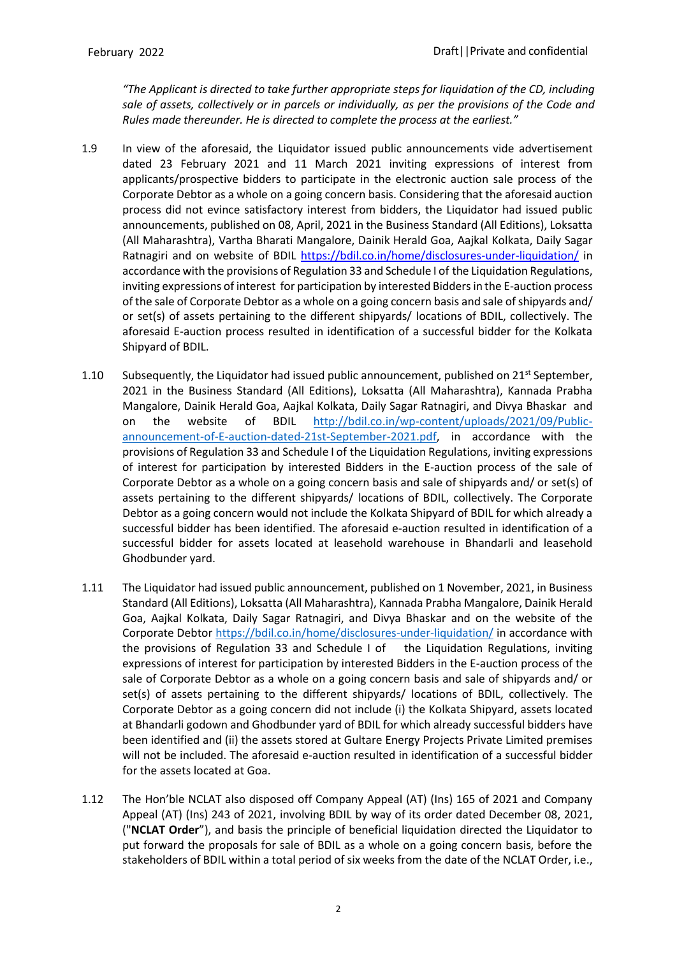*"The Applicant is directed to take further appropriate steps for liquidation of the CD, including sale of assets, collectively or in parcels or individually, as per the provisions of the Code and Rules made thereunder. He is directed to complete the process at the earliest."*

- 1.9 In view of the aforesaid, the Liquidator issued public announcements vide advertisement dated 23 February 2021 and 11 March 2021 inviting expressions of interest from applicants/prospective bidders to participate in the electronic auction sale process of the Corporate Debtor as a whole on a going concern basis. Considering that the aforesaid auction process did not evince satisfactory interest from bidders, the Liquidator had issued public announcements, published on 08, April, 2021 in the Business Standard (All Editions), Loksatta (All Maharashtra), Vartha Bharati Mangalore, Dainik Herald Goa, Aajkal Kolkata, Daily Sagar Ratnagiri and on website of BDIL <https://bdil.co.in/home/disclosures-under-liquidation/> in accordance with the provisions of Regulation 33 and Schedule I of the Liquidation Regulations, inviting expressions of interest for participation by interested Bidders in the E-auction process of the sale of Corporate Debtor as a whole on a going concern basis and sale of shipyards and/ or set(s) of assets pertaining to the different shipyards/ locations of BDIL, collectively. The aforesaid E-auction process resulted in identification of a successful bidder for the Kolkata Shipyard of BDIL.
- 1.10 Subsequently, the Liquidator had issued public announcement, published on  $21^{st}$  September, 2021 in the Business Standard (All Editions), Loksatta (All Maharashtra), Kannada Prabha Mangalore, Dainik Herald Goa, Aajkal Kolkata, Daily Sagar Ratnagiri, and Divya Bhaskar and on the website of BDIL [http://bdil.co.in/wp-content/uploads/2021/09/Public](http://bdil.co.in/wp-content/uploads/2021/09/Public-announcement-of-E-auction-dated-21st-September-2021.pdf)[announcement-of-E-auction-dated-21st-September-2021.pdf,](http://bdil.co.in/wp-content/uploads/2021/09/Public-announcement-of-E-auction-dated-21st-September-2021.pdf) in accordance with the provisions of Regulation 33 and Schedule I of the Liquidation Regulations, inviting expressions of interest for participation by interested Bidders in the E-auction process of the sale of Corporate Debtor as a whole on a going concern basis and sale of shipyards and/ or set(s) of assets pertaining to the different shipyards/ locations of BDIL, collectively. The Corporate Debtor as a going concern would not include the Kolkata Shipyard of BDIL for which already a successful bidder has been identified. The aforesaid e-auction resulted in identification of a successful bidder for assets located at leasehold warehouse in Bhandarli and leasehold Ghodbunder yard.
- 1.11 The Liquidator had issued public announcement, published on 1 November, 2021, in Business Standard (All Editions), Loksatta (All Maharashtra), Kannada Prabha Mangalore, Dainik Herald Goa, Aajkal Kolkata, Daily Sagar Ratnagiri, and Divya Bhaskar and on the website of the Corporate Debtor<https://bdil.co.in/home/disclosures-under-liquidation/> in accordance with the provisions of Regulation 33 and Schedule I of the Liquidation Regulations, inviting expressions of interest for participation by interested Bidders in the E-auction process of the sale of Corporate Debtor as a whole on a going concern basis and sale of shipyards and/ or set(s) of assets pertaining to the different shipyards/ locations of BDIL, collectively. The Corporate Debtor as a going concern did not include (i) the Kolkata Shipyard, assets located at Bhandarli godown and Ghodbunder yard of BDIL for which already successful bidders have been identified and (ii) the assets stored at Gultare Energy Projects Private Limited premises will not be included. The aforesaid e-auction resulted in identification of a successful bidder for the assets located at Goa.
- 1.12 The Hon'ble NCLAT also disposed off Company Appeal (AT) (Ins) 165 of 2021 and Company Appeal (AT) (Ins) 243 of 2021, involving BDIL by way of its order dated December 08, 2021, ("**NCLAT Order**"), and basis the principle of beneficial liquidation directed the Liquidator to put forward the proposals for sale of BDIL as a whole on a going concern basis, before the stakeholders of BDIL within a total period of six weeks from the date of the NCLAT Order, i.e.,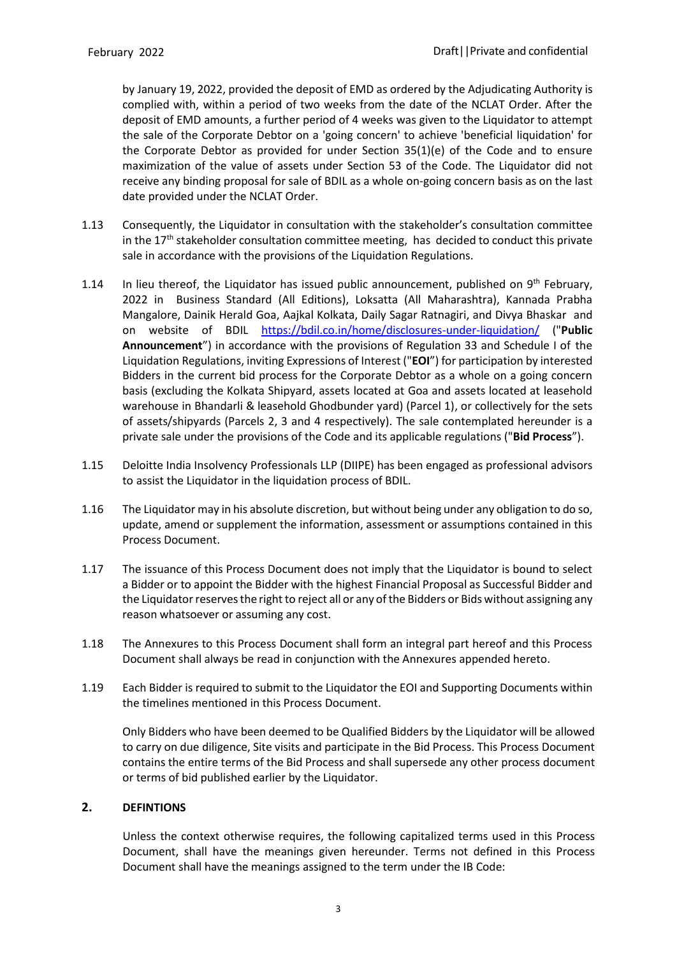by January 19, 2022, provided the deposit of EMD as ordered by the Adjudicating Authority is complied with, within a period of two weeks from the date of the NCLAT Order. After the deposit of EMD amounts, a further period of 4 weeks was given to the Liquidator to attempt the sale of the Corporate Debtor on a 'going concern' to achieve 'beneficial liquidation' for the Corporate Debtor as provided for under Section 35(1)(e) of the Code and to ensure maximization of the value of assets under Section 53 of the Code. The Liquidator did not receive any binding proposal for sale of BDIL as a whole on-going concern basis as on the last date provided under the NCLAT Order.

- 1.13 Consequently, the Liquidator in consultation with the stakeholder's consultation committee in the  $17<sup>th</sup>$  stakeholder consultation committee meeting, has decided to conduct this private sale in accordance with the provisions of the Liquidation Regulations.
- 1.14 In lieu thereof, the Liquidator has issued public announcement, published on  $9<sup>th</sup>$  February, 2022 in Business Standard (All Editions), Loksatta (All Maharashtra), Kannada Prabha Mangalore, Dainik Herald Goa, Aajkal Kolkata, Daily Sagar Ratnagiri, and Divya Bhaskar and on website of BDIL <https://bdil.co.in/home/disclosures-under-liquidation/> ("**Public Announcement**") in accordance with the provisions of Regulation 33 and Schedule I of the Liquidation Regulations, inviting Expressions of Interest ("**EOI**") for participation by interested Bidders in the current bid process for the Corporate Debtor as a whole on a going concern basis (excluding the Kolkata Shipyard, assets located at Goa and assets located at leasehold warehouse in Bhandarli & leasehold Ghodbunder yard) (Parcel 1), or collectively for the sets of assets/shipyards (Parcels 2, 3 and 4 respectively). The sale contemplated hereunder is a private sale under the provisions of the Code and its applicable regulations ("**Bid Process**").
- 1.15 Deloitte India Insolvency Professionals LLP (DIIPE) has been engaged as professional advisors to assist the Liquidator in the liquidation process of BDIL.
- 1.16 The Liquidator may in his absolute discretion, but without being under any obligation to do so, update, amend or supplement the information, assessment or assumptions contained in this Process Document.
- 1.17 The issuance of this Process Document does not imply that the Liquidator is bound to select a Bidder or to appoint the Bidder with the highest Financial Proposal as Successful Bidder and the Liquidator reserves the right to reject all or any of the Bidders or Bids without assigning any reason whatsoever or assuming any cost.
- 1.18 The Annexures to this Process Document shall form an integral part hereof and this Process Document shall always be read in conjunction with the Annexures appended hereto.
- 1.19 Each Bidder is required to submit to the Liquidator the EOI and Supporting Documents within the timelines mentioned in this Process Document.

Only Bidders who have been deemed to be Qualified Bidders by the Liquidator will be allowed to carry on due diligence, Site visits and participate in the Bid Process. This Process Document contains the entire terms of the Bid Process and shall supersede any other process document or terms of bid published earlier by the Liquidator.

### <span id="page-8-0"></span>**2. DEFINTIONS**

Unless the context otherwise requires, the following capitalized terms used in this Process Document, shall have the meanings given hereunder. Terms not defined in this Process Document shall have the meanings assigned to the term under the IB Code: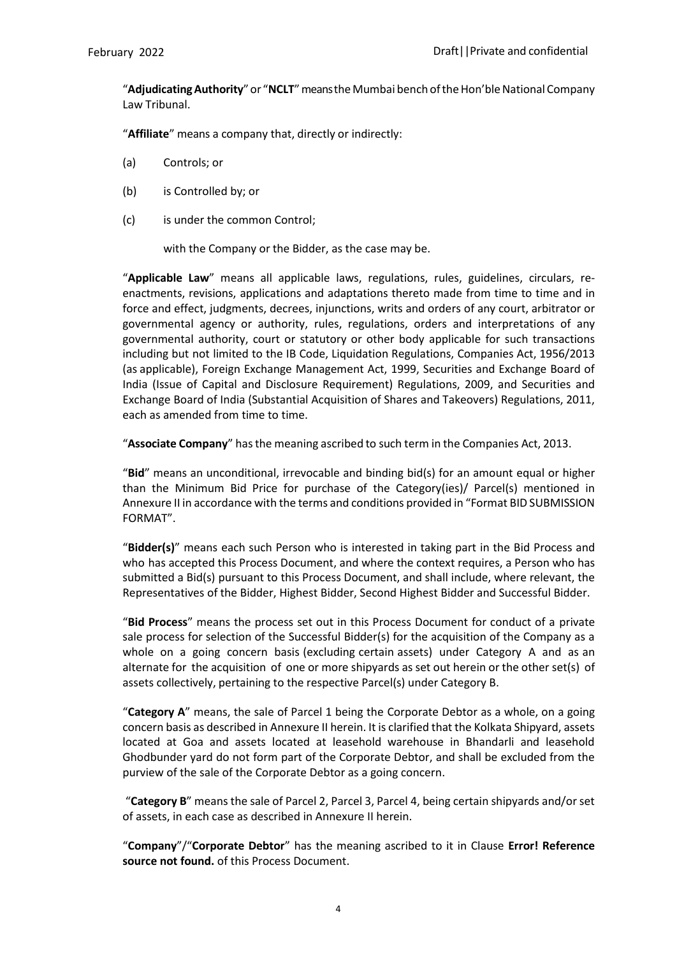"Adjudicating Authority" or "NCLT" means the Mumbai bench of the Hon'ble National Company Law Tribunal.

"**Affiliate**" means a company that, directly or indirectly:

- (a) Controls; or
- (b) is Controlled by; or
- (c) is under the common Control;

with the Company or the Bidder, as the case may be.

"**Applicable Law**" means all applicable laws, regulations, rules, guidelines, circulars, reenactments, revisions, applications and adaptations thereto made from time to time and in force and effect, judgments, decrees, injunctions, writs and orders of any court, arbitrator or governmental agency or authority, rules, regulations, orders and interpretations of any governmental authority, court or statutory or other body applicable for such transactions including but not limited to the IB Code, Liquidation Regulations, Companies Act, 1956/2013 (as applicable), Foreign Exchange Management Act, 1999, Securities and Exchange Board of India (Issue of Capital and Disclosure Requirement) Regulations, 2009, and Securities and Exchange Board of India (Substantial Acquisition of Shares and Takeovers) Regulations, 2011, each as amended from time to time.

"**Associate Company**" hasthe meaning ascribed to such term in the Companies Act, 2013.

"**Bid**" means an unconditional, irrevocable and binding bid(s) for an amount equal or higher than the Minimum Bid Price for purchase of the Category(ies)/ Parcel(s) mentioned in Annexure II in accordance with the terms and conditions provided in "Format BID SUBMISSION FORMAT".

"**Bidder(s)**" means each such Person who is interested in taking part in the Bid Process and who has accepted this Process Document, and where the context requires, a Person who has submitted a Bid(s) pursuant to this Process Document, and shall include, where relevant, the Representatives of the Bidder, Highest Bidder, Second Highest Bidder and Successful Bidder.

"**Bid Process**" means the process set out in this Process Document for conduct of a private sale process for selection of the Successful Bidder(s) for the acquisition of the Company as a whole on a going concern basis (excluding certain assets) under Category A and as an alternate for the acquisition of one or more shipyards as set out herein or the other set(s) of assets collectively, pertaining to the respective Parcel(s) under Category B.

"**Category A**" means, the sale of Parcel 1 being the Corporate Debtor as a whole, on a going concern basis as described in Annexure II herein. It is clarified that the Kolkata Shipyard, assets located at Goa and assets located at leasehold warehouse in Bhandarli and leasehold Ghodbunder yard do not form part of the Corporate Debtor, and shall be excluded from the purview of the sale of the Corporate Debtor as a going concern.

"**Category B**" means the sale of Parcel 2, Parcel 3, Parcel 4, being certain shipyards and/or set of assets, in each case as described in Annexure II herein.

"**Company**"/"**Corporate Debtor**" has the meaning ascribed to it in Clause **[Error! Reference](_Ref83154884)  [source not found.](_Ref83154884)** of this Process Document.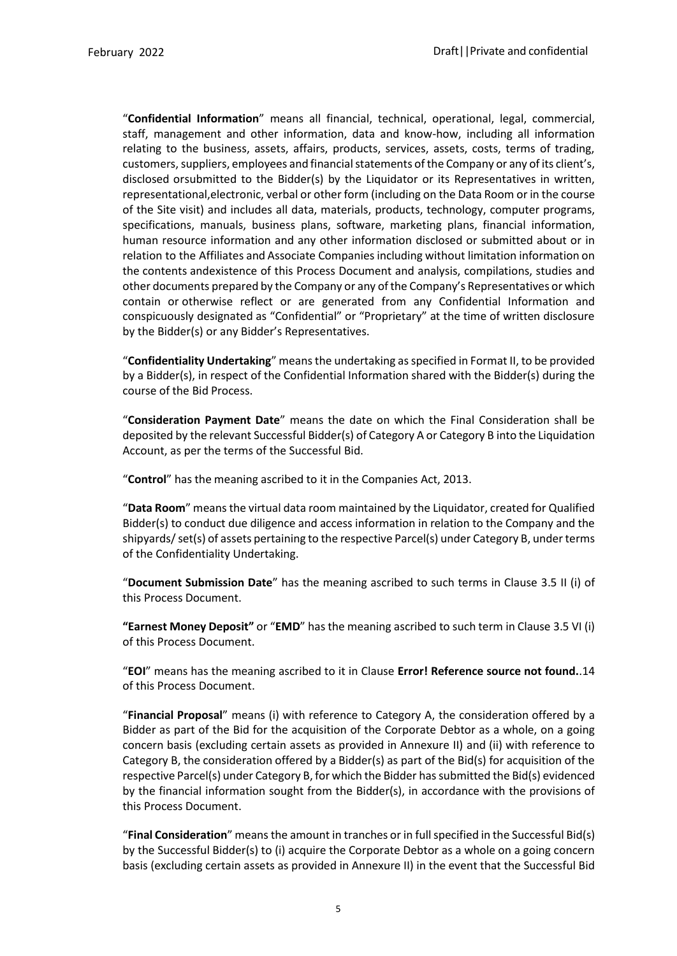"**Confidential Information**" means all financial, technical, operational, legal, commercial, staff, management and other information, data and know-how, including all information relating to the business, assets, affairs, products, services, assets, costs, terms of trading, customers, suppliers, employees and financial statements of the Company or any of its client's, disclosed orsubmitted to the Bidder(s) by the Liquidator or its Representatives in written, representational,electronic, verbal or other form (including on the Data Room or in the course of the Site visit) and includes all data, materials, products, technology, computer programs, specifications, manuals, business plans, software, marketing plans, financial information, human resource information and any other information disclosed or submitted about or in relation to the Affiliates and Associate Companiesincluding without limitation information on the contents andexistence of this Process Document and analysis, compilations, studies and other documents prepared by the Company or any ofthe Company's Representatives or which contain or otherwise reflect or are generated from any Confidential Information and conspicuously designated as "Confidential" or "Proprietary" at the time of written disclosure by the Bidder(s) or any Bidder's Representatives.

"**Confidentiality Undertaking**" means the undertaking as specified in Format II, to be provided by a Bidder(s), in respect of the Confidential Information shared with the Bidder(s) during the course of the Bid Process.

"**Consideration Payment Date**" means the date on which the Final Consideration shall be deposited by the relevant Successful Bidder(s) of Category A or Category B into the Liquidation Account, as per the terms of the Successful Bid.

"**Control**" has the meaning ascribed to it in the Companies Act, 2013.

"**Data Room**" means the virtual data room maintained by the Liquidator, created for Qualified Bidder(s) to conduct due diligence and access information in relation to the Company and the shipyards/ set(s) of assets pertaining to the respective Parcel(s) under Category B, under terms of the Confidentiality Undertaking.

"**Document Submission Date**" has the meaning ascribed to such terms in Clause 3.5 II (i) of this Process Document.

**"Earnest Money Deposit"** or "**EMD**" has the meaning ascribed to such term in Clause 3.5 VI (i) of this Process Document.

"**EOI**" means has the meaning ascribed to it in Clause **[Error! Reference source not found.](_Ref83154884)**.14 of this Process Document.

"**Financial Proposal**" means (i) with reference to Category A, the consideration offered by a Bidder as part of the Bid for the acquisition of the Corporate Debtor as a whole, on a going concern basis (excluding certain assets as provided in Annexure II) and (ii) with reference to Category B, the consideration offered by a Bidder(s) as part of the Bid(s) for acquisition of the respective Parcel(s) under Category B, for which the Bidder hassubmitted the Bid(s) evidenced by the financial information sought from the Bidder(s), in accordance with the provisions of this Process Document.

"**Final Consideration**" means the amount in tranches or in fullspecified in the Successful Bid(s) by the Successful Bidder(s) to (i) acquire the Corporate Debtor as a whole on a going concern basis (excluding certain assets as provided in Annexure II) in the event that the Successful Bid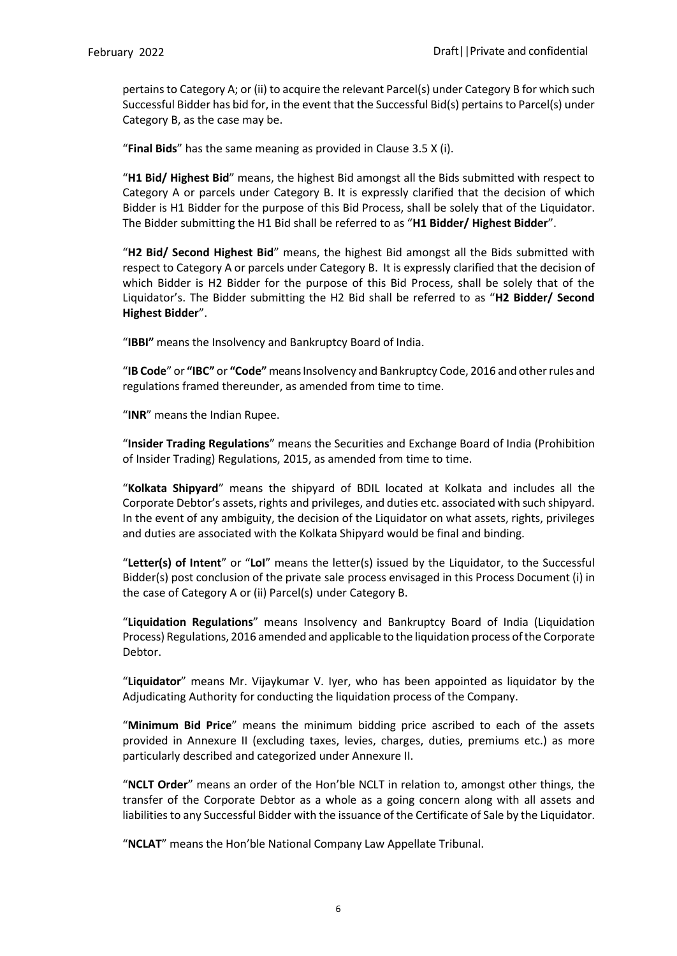pertains to Category A; or (ii) to acquire the relevant Parcel(s) under Category B for which such Successful Bidder has bid for, in the event that the Successful Bid(s) pertains to Parcel(s) under Category B, as the case may be.

"**Final Bids**" has the same meaning as provided in Clause 3.5 X (i).

"**H1 Bid/ Highest Bid**" means, the highest Bid amongst all the Bids submitted with respect to Category A or parcels under Category B. It is expressly clarified that the decision of which Bidder is H1 Bidder for the purpose of this Bid Process, shall be solely that of the Liquidator. The Bidder submitting the H1 Bid shall be referred to as "**H1 Bidder/ Highest Bidder**".

"**H2 Bid/ Second Highest Bid**" means, the highest Bid amongst all the Bids submitted with respect to Category A or parcels under Category B. It is expressly clarified that the decision of which Bidder is H2 Bidder for the purpose of this Bid Process, shall be solely that of the Liquidator's. The Bidder submitting the H2 Bid shall be referred to as "**H2 Bidder/ Second Highest Bidder**".

"**IBBI"** means the Insolvency and Bankruptcy Board of India.

"**IB Code**" or **"IBC"** or **"Code"** meansInsolvency and Bankruptcy Code, 2016 and otherrules and regulations framed thereunder, as amended from time to time.

"**INR**" means the Indian Rupee.

"**Insider Trading Regulations**" means the Securities and Exchange Board of India (Prohibition of Insider Trading) Regulations, 2015, as amended from time to time.

"**Kolkata Shipyard**" means the shipyard of BDIL located at Kolkata and includes all the Corporate Debtor's assets, rights and privileges, and duties etc. associated with such shipyard. In the event of any ambiguity, the decision of the Liquidator on what assets, rights, privileges and duties are associated with the Kolkata Shipyard would be final and binding.

"**Letter(s) of Intent**" or "**LoI**" means the letter(s) issued by the Liquidator, to the Successful Bidder(s) post conclusion of the private sale process envisaged in this Process Document (i) in the case of Category A or (ii) Parcel(s) under Category B.

"**Liquidation Regulations**" means Insolvency and Bankruptcy Board of India (Liquidation Process) Regulations, 2016 amended and applicable to the liquidation process ofthe Corporate Debtor.

"**Liquidator**" means Mr. Vijaykumar V. Iyer, who has been appointed as liquidator by the Adjudicating Authority for conducting the liquidation process of the Company.

"**Minimum Bid Price**" means the minimum bidding price ascribed to each of the assets provided in Annexure II (excluding taxes, levies, charges, duties, premiums etc.) as more particularly described and categorized under Annexure II.

"**NCLT Order**" means an order of the Hon'ble NCLT in relation to, amongst other things, the transfer of the Corporate Debtor as a whole as a going concern along with all assets and liabilities to any Successful Bidder with the issuance of the Certificate of Sale by the Liquidator.

"**NCLAT**" means the Hon'ble National Company Law Appellate Tribunal.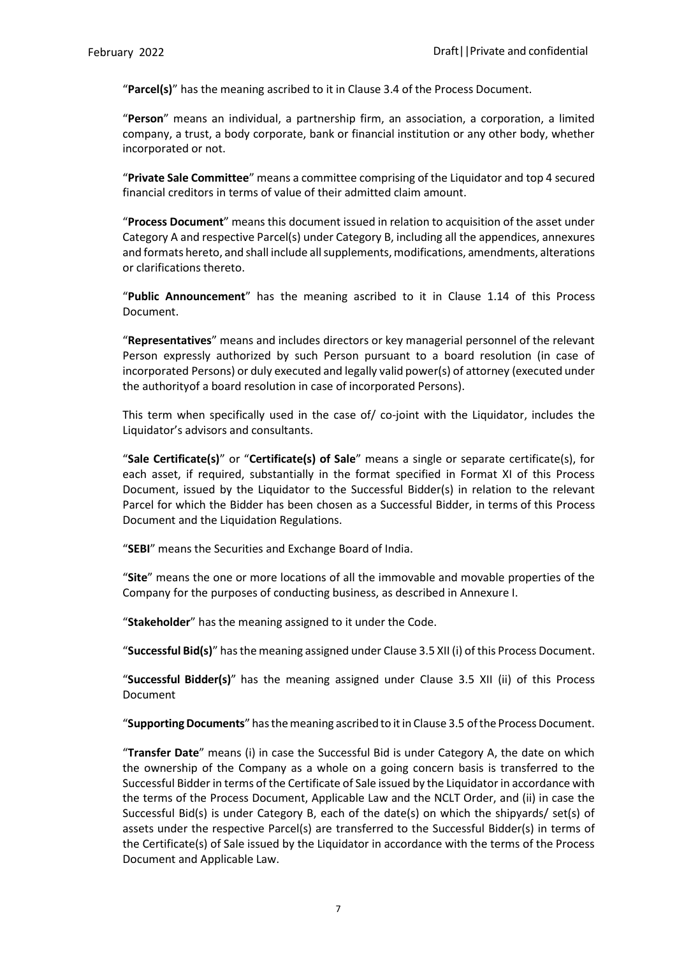"**Parcel(s)**" has the meaning ascribed to it in Clause 3.4 of the Process Document.

"**Person**" means an individual, a partnership firm, an association, a corporation, a limited company, a trust, a body corporate, bank or financial institution or any other body, whether incorporated or not.

"**Private Sale Committee**" means a committee comprising of the Liquidator and top 4 secured financial creditors in terms of value of their admitted claim amount.

"**Process Document**" means this document issued in relation to acquisition of the asset under Category A and respective Parcel(s) under Category B, including all the appendices, annexures and formats hereto, and shall include all supplements, modifications, amendments, alterations or clarifications thereto.

"**Public Announcement**" has the meaning ascribed to it in Clause 1.14 of this Process Document.

"**Representatives**" means and includes directors or key managerial personnel of the relevant Person expressly authorized by such Person pursuant to a board resolution (in case of incorporated Persons) or duly executed and legally valid power(s) of attorney (executed under the authorityof a board resolution in case of incorporated Persons).

This term when specifically used in the case of/ co-joint with the Liquidator, includes the Liquidator's advisors and consultants.

"**Sale Certificate(s)**" or "**Certificate(s) of Sale**" means a single or separate certificate(s), for each asset, if required, substantially in the format specified in Format XI of this Process Document, issued by the Liquidator to the Successful Bidder(s) in relation to the relevant Parcel for which the Bidder has been chosen as a Successful Bidder, in terms of this Process Document and the Liquidation Regulations.

"**SEBI**" means the Securities and Exchange Board of India.

"**Site**" means the one or more locations of all the immovable and movable properties of the Company for the purposes of conducting business, as described in Annexure I.

"**Stakeholder**" has the meaning assigned to it under the Code.

"**Successful Bid(s)**" has the meaning assigned under Clause 3.5 XII (i) of this Process Document.

"**Successful Bidder(s)**" has the meaning assigned under Clause 3.5 XII (ii) of this Process Document

"**Supporting Documents**" has the meaning ascribed to it in Clause 3.5 of the Process Document.

"**Transfer Date**" means (i) in case the Successful Bid is under Category A, the date on which the ownership of the Company as a whole on a going concern basis is transferred to the Successful Bidder in terms of the Certificate of Sale issued by the Liquidator in accordance with the terms of the Process Document, Applicable Law and the NCLT Order, and (ii) in case the Successful Bid(s) is under Category B, each of the date(s) on which the shipyards/ set(s) of assets under the respective Parcel(s) are transferred to the Successful Bidder(s) in terms of the Certificate(s) of Sale issued by the Liquidator in accordance with the terms of the Process Document and Applicable Law.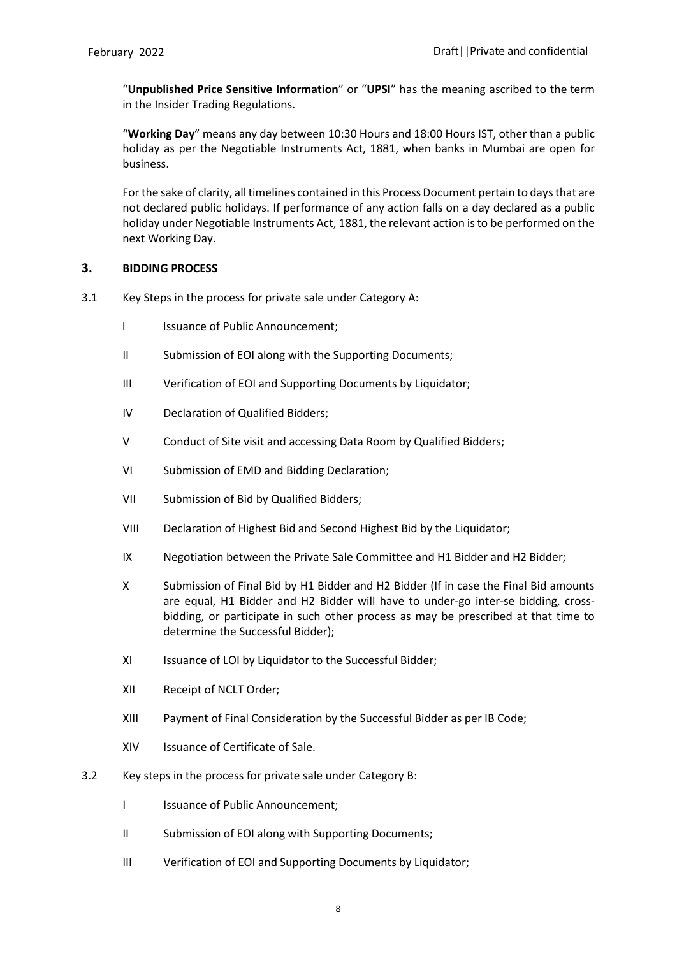"**Unpublished Price Sensitive Information**" or "**UPSI**" has the meaning ascribed to the term in the Insider Trading Regulations.

"**Working Day**" means any day between 10:30 Hours and 18:00 Hours IST, other than a public holiday as per the Negotiable Instruments Act, 1881, when banks in Mumbai are open for business.

For the sake of clarity, all timelines contained in this Process Document pertain to days that are not declared public holidays. If performance of any action falls on a day declared as a public holiday under Negotiable Instruments Act, 1881, the relevant action isto be performed on the next Working Day.

### <span id="page-13-0"></span>**3. BIDDING PROCESS**

- 3.1 Key Steps in the process for private sale under Category A:
	- I Issuance of Public Announcement:
	- II Submission of EOI along with the Supporting Documents;
	- III Verification of EOI and Supporting Documents by Liquidator;
	- IV Declaration of Qualified Bidders;
	- V Conduct of Site visit and accessing Data Room by Qualified Bidders;
	- VI Submission of EMD and Bidding Declaration;
	- VII Submission of Bid by Qualified Bidders;
	- VIII Declaration of Highest Bid and Second Highest Bid by the Liquidator;
	- IX Negotiation between the Private Sale Committee and H1 Bidder and H2 Bidder;
	- X Submission of Final Bid by H1 Bidder and H2 Bidder (If in case the Final Bid amounts are equal, H1 Bidder and H2 Bidder will have to under-go inter-se bidding, crossbidding, or participate in such other process as may be prescribed at that time to determine the Successful Bidder);
	- XI Issuance of LOI by Liquidator to the Successful Bidder;
	- XII Receipt of NCLT Order;
	- XIII Payment of Final Consideration by the Successful Bidder as per IB Code;
	- XIV Issuance of Certificate of Sale.
- 3.2 Key steps in the process for private sale under Category B:
	- I Issuance of Public Announcement;
	- II Submission of EOI along with Supporting Documents;
	- III Verification of EOI and Supporting Documents by Liquidator;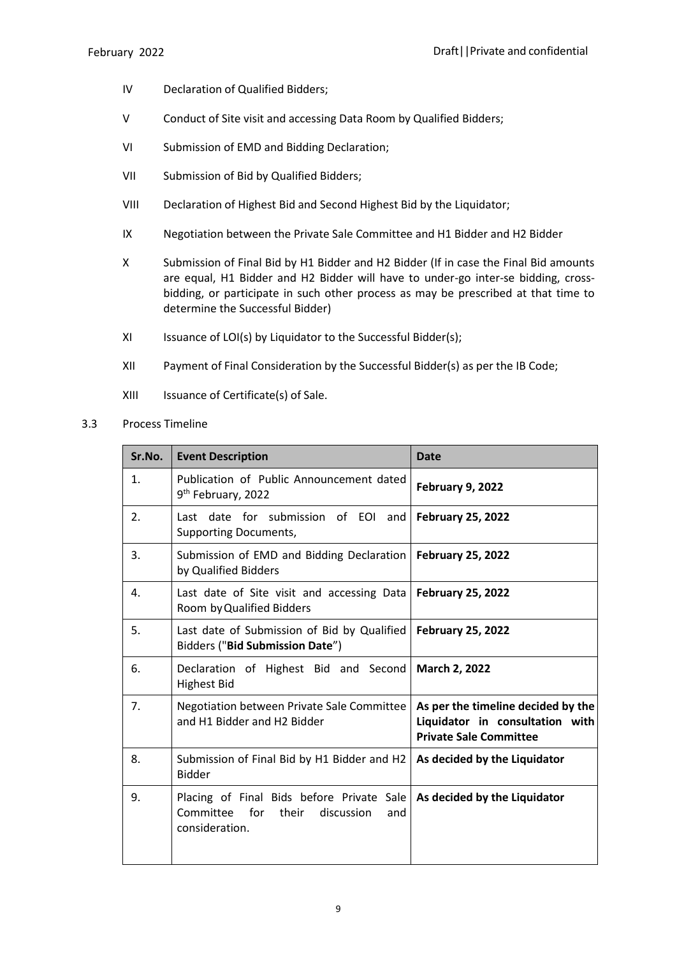- IV Declaration of Qualified Bidders;
- V Conduct of Site visit and accessing Data Room by Qualified Bidders;
- VI Submission of EMD and Bidding Declaration;
- VII Submission of Bid by Qualified Bidders;
- VIII Declaration of Highest Bid and Second Highest Bid by the Liquidator;
- IX Negotiation between the Private Sale Committee and H1 Bidder and H2 Bidder
- X Submission of Final Bid by H1 Bidder and H2 Bidder (If in case the Final Bid amounts are equal, H1 Bidder and H2 Bidder will have to under-go inter-se bidding, crossbidding, or participate in such other process as may be prescribed at that time to determine the Successful Bidder)
- XI Issuance of LOI(s) by Liquidator to the Successful Bidder(s);
- XII Payment of Final Consideration by the Successful Bidder(s) as per the IB Code;
- XIII Issuance of Certificate(s) of Sale.
- 3.3 Process Timeline

| Sr.No. | <b>Event Description</b>                                                                                   | <b>Date</b>                                                                                            |
|--------|------------------------------------------------------------------------------------------------------------|--------------------------------------------------------------------------------------------------------|
| 1.     | Publication of Public Announcement dated<br>9 <sup>th</sup> February, 2022                                 | February 9, 2022                                                                                       |
| 2.     | Last date for submission of EOI and<br><b>Supporting Documents,</b>                                        | <b>February 25, 2022</b>                                                                               |
| 3.     | Submission of EMD and Bidding Declaration   February 25, 2022<br>by Qualified Bidders                      |                                                                                                        |
| 4.     | Last date of Site visit and accessing Data<br>Room by Qualified Bidders                                    | <b>February 25, 2022</b>                                                                               |
| 5.     | Last date of Submission of Bid by Qualified<br>Bidders ("Bid Submission Date")                             | <b>February 25, 2022</b>                                                                               |
| 6.     | Declaration of Highest Bid and Second<br><b>Highest Bid</b>                                                | <b>March 2, 2022</b>                                                                                   |
| 7.     | Negotiation between Private Sale Committee<br>and H1 Bidder and H2 Bidder                                  | As per the timeline decided by the<br>Liquidator in consultation with<br><b>Private Sale Committee</b> |
| 8.     | Submission of Final Bid by H1 Bidder and H2 $\vert$ As decided by the Liquidator<br><b>Bidder</b>          |                                                                                                        |
| 9.     | Placing of Final Bids before Private Sale<br>Committee for<br>their<br>discussion<br>and<br>consideration. | As decided by the Liquidator                                                                           |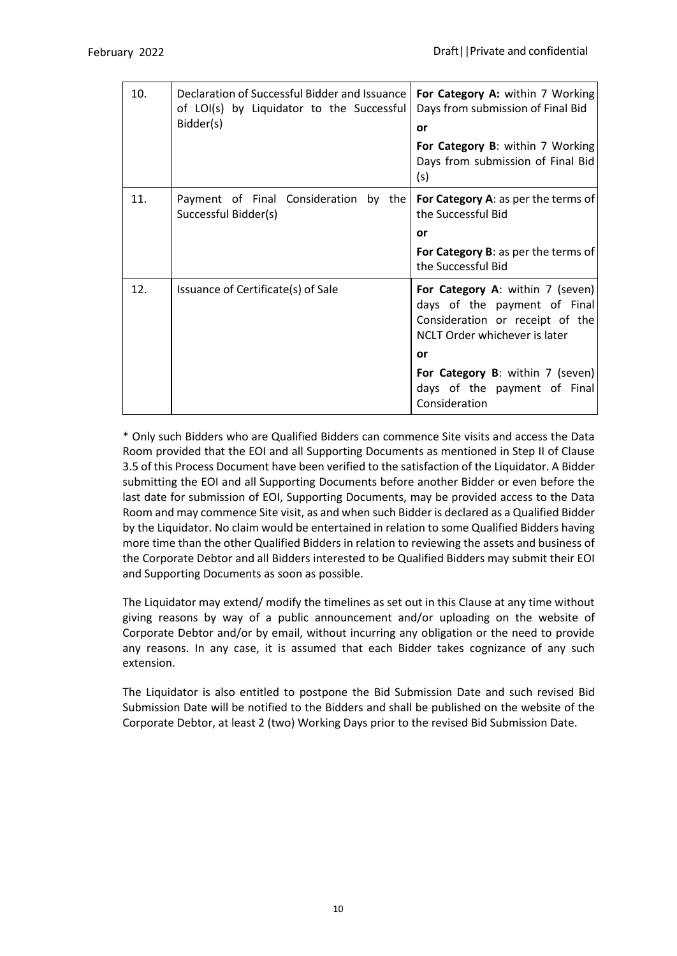| 10. | Declaration of Successful Bidder and Issuance<br>of LOI(s) by Liquidator to the Successful<br>Bidder(s) | For Category A: within 7 Working<br>Days from submission of Final Bid<br>or                                                                |  |  |
|-----|---------------------------------------------------------------------------------------------------------|--------------------------------------------------------------------------------------------------------------------------------------------|--|--|
|     |                                                                                                         | For Category B: within 7 Working<br>Days from submission of Final Bid<br>(s)                                                               |  |  |
| 11. | Payment of Final Consideration by the<br>Successful Bidder(s)                                           | For Category A: as per the terms of<br>the Successful Bid                                                                                  |  |  |
|     |                                                                                                         | or                                                                                                                                         |  |  |
|     |                                                                                                         | For Category B: as per the terms of<br>the Successful Bid                                                                                  |  |  |
| 12. | Issuance of Certificate(s) of Sale                                                                      | For Category A: within 7 (seven)<br>days of the payment of Final<br>Consideration or receipt of the<br>NCLT Order whichever is later<br>or |  |  |
|     |                                                                                                         | For Category B: within 7 (seven)<br>days of the payment of Final<br>Consideration                                                          |  |  |

\* Only such Bidders who are Qualified Bidders can commence Site visits and access the Data Room provided that the EOI and all Supporting Documents as mentioned in Step II of Clause 3.5 of this Process Document have been verified to the satisfaction of the Liquidator. A Bidder submitting the EOI and all Supporting Documents before another Bidder or even before the last date for submission of EOI, Supporting Documents, may be provided access to the Data Room and may commence Site visit, as and when such Bidder is declared as a Qualified Bidder by the Liquidator. No claim would be entertained in relation to some Qualified Bidders having more time than the other Qualified Bidders in relation to reviewing the assets and business of the Corporate Debtor and all Bidders interested to be Qualified Bidders may submit their EOI and Supporting Documents as soon as possible.

The Liquidator may extend/ modify the timelines as set out in this Clause at any time without giving reasons by way of a public announcement and/or uploading on the website of Corporate Debtor and/or by email, without incurring any obligation or the need to provide any reasons. In any case, it is assumed that each Bidder takes cognizance of any such extension.

The Liquidator is also entitled to postpone the Bid Submission Date and such revised Bid Submission Date will be notified to the Bidders and shall be published on the website of the Corporate Debtor, at least 2 (two) Working Days prior to the revised Bid Submission Date.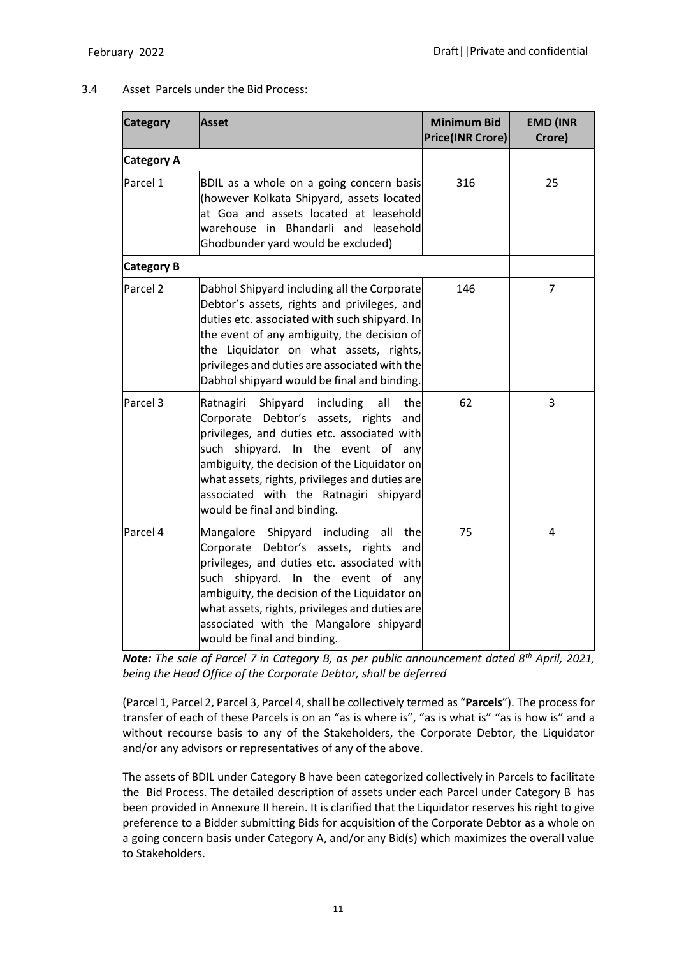# 3.4 Asset Parcels under the Bid Process:

| <b>Category</b>     | Asset                                                                                                                                                                                                                                                                                                                                                        | <b>Minimum Bid</b><br><b>Price(INR Crore)</b> | <b>EMD (INR</b><br>Crore) |
|---------------------|--------------------------------------------------------------------------------------------------------------------------------------------------------------------------------------------------------------------------------------------------------------------------------------------------------------------------------------------------------------|-----------------------------------------------|---------------------------|
| <b>Category A</b>   |                                                                                                                                                                                                                                                                                                                                                              |                                               |                           |
| Parcel 1            | BDIL as a whole on a going concern basis<br>(however Kolkata Shipyard, assets located<br>at Goa and assets located at leasehold<br>warehouse in Bhandarli and leasehold<br>Ghodbunder yard would be excluded)                                                                                                                                                | 316                                           | 25                        |
| <b>Category B</b>   |                                                                                                                                                                                                                                                                                                                                                              |                                               |                           |
| Parcel <sub>2</sub> | Dabhol Shipyard including all the Corporate<br>Debtor's assets, rights and privileges, and<br>duties etc. associated with such shipyard. In<br>the event of any ambiguity, the decision of<br>the Liquidator on what assets, rights,<br>privileges and duties are associated with the<br>Dabhol shipyard would be final and binding.                         | 146                                           | 7                         |
| Parcel <sub>3</sub> | Shipyard<br>including<br>all<br>the<br>Ratnagiri<br>Corporate Debtor's assets, rights<br>and<br>privileges, and duties etc. associated with<br>such shipyard. In the event of any<br>ambiguity, the decision of the Liquidator on<br>what assets, rights, privileges and duties are<br>associated with the Ratnagiri shipyard<br>would be final and binding. | 62                                            | 3                         |
| Parcel 4            | Mangalore Shipyard including all<br>the<br>Corporate Debtor's assets, rights<br>and<br>privileges, and duties etc. associated with<br>such shipyard. In the event of any<br>ambiguity, the decision of the Liquidator on<br>what assets, rights, privileges and duties are<br>associated with the Mangalore shipyard<br>would be final and binding.          | 75                                            | 4                         |

*Note: The sale of Parcel 7 in Category B, as per public announcement dated 8th April, 2021, being the Head Office of the Corporate Debtor, shall be deferred*

(Parcel 1, Parcel 2, Parcel 3, Parcel 4, shall be collectively termed as "Parcels"). The process for transfer of each of these Parcels is on an "as is where is", "as is what is" "as is how is" and a without recourse basis to any of the Stakeholders, the Corporate Debtor, the Liquidator and/or any advisors or representatives of any of the above.

The assets of BDIL under Category B have been categorized collectively in Parcels to facilitate the Bid Process. The detailed description of assets under each Parcel under Category B has been provided in Annexure II herein. It is clarified that the Liquidator reserves his right to give preference to a Bidder submitting Bids for acquisition of the Corporate Debtor as a whole on a going concern basis under Category A, and/or any Bid(s) which maximizes the overall value to Stakeholders.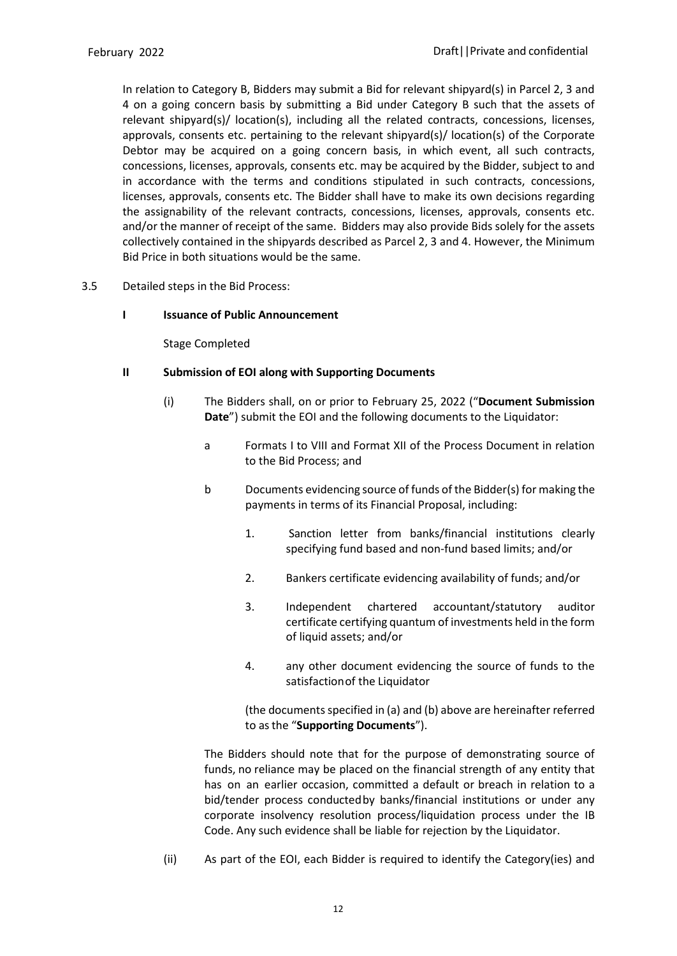In relation to Category B, Bidders may submit a Bid for relevant shipyard(s) in Parcel 2, 3 and 4 on a going concern basis by submitting a Bid under Category B such that the assets of relevant shipyard(s)/ location(s), including all the related contracts, concessions, licenses, approvals, consents etc. pertaining to the relevant shipyard(s)/ location(s) of the Corporate Debtor may be acquired on a going concern basis, in which event, all such contracts, concessions, licenses, approvals, consents etc. may be acquired by the Bidder, subject to and in accordance with the terms and conditions stipulated in such contracts, concessions, licenses, approvals, consents etc. The Bidder shall have to make its own decisions regarding the assignability of the relevant contracts, concessions, licenses, approvals, consents etc. and/or the manner of receipt of the same. Bidders may also provide Bids solely for the assets collectively contained in the shipyards described as Parcel 2, 3 and 4. However, the Minimum Bid Price in both situations would be the same.

- 3.5 Detailed steps in the Bid Process:
	- **I Issuance of Public Announcement**

Stage Completed

### **II Submission of EOI along with Supporting Documents**

- (i) The Bidders shall, on or prior to February 25, 2022 ("**Document Submission Date**") submit the EOI and the following documents to the Liquidator:
	- a Formats I to VIII and Format XII of the Process Document in relation to the Bid Process; and
	- b Documents evidencing source of funds of the Bidder(s) for making the payments in terms of its Financial Proposal, including:
		- 1. Sanction letter from banks/financial institutions clearly specifying fund based and non-fund based limits; and/or
		- 2. Bankers certificate evidencing availability of funds; and/or
		- 3. Independent chartered accountant/statutory auditor certificate certifying quantum of investments held in the form of liquid assets; and/or
		- 4. any other document evidencing the source of funds to the satisfaction of the Liquidator

(the documents specified in (a) and (b) above are hereinafter referred to asthe "**Supporting Documents**").

The Bidders should note that for the purpose of demonstrating source of funds, no reliance may be placed on the financial strength of any entity that has on an earlier occasion, committed a default or breach in relation to a bid/tender process conductedby banks/financial institutions or under any corporate insolvency resolution process/liquidation process under the IB Code. Any such evidence shall be liable for rejection by the Liquidator.

(ii) As part of the EOI, each Bidder is required to identify the Category(ies) and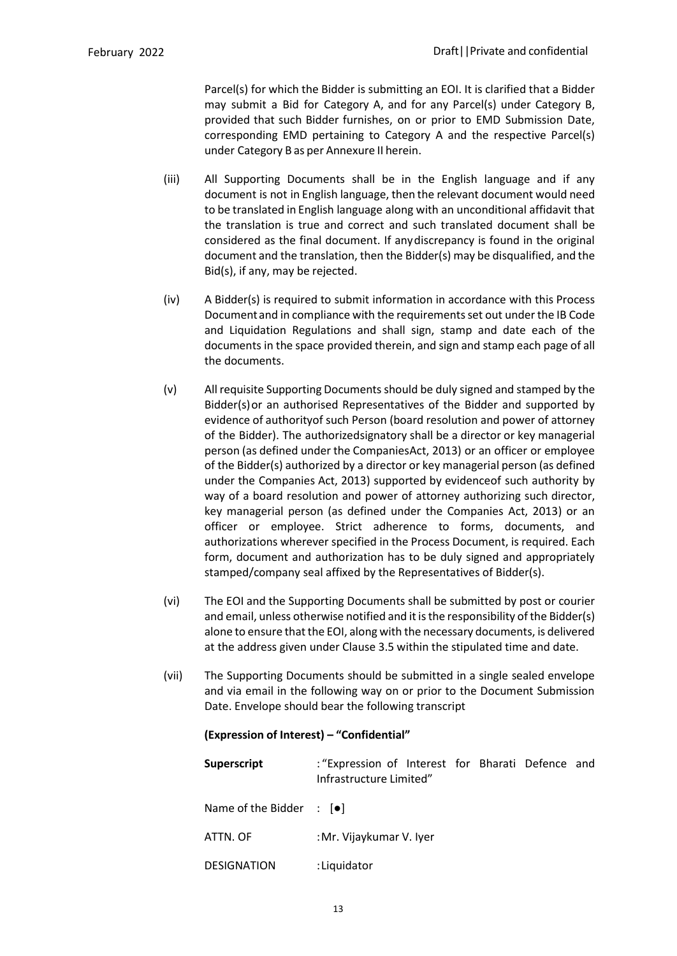Parcel(s) for which the Bidder is submitting an EOI. It is clarified that a Bidder may submit a Bid for Category A, and for any Parcel(s) under Category B, provided that such Bidder furnishes, on or prior to EMD Submission Date, corresponding EMD pertaining to Category A and the respective Parcel(s) under Category B as per Annexure II herein.

- (iii) All Supporting Documents shall be in the English language and if any document is not in English language, then the relevant document would need to be translated in English language along with an unconditional affidavit that the translation is true and correct and such translated document shall be considered as the final document. If any discrepancy is found in the original document and the translation, then the Bidder(s) may be disqualified, and the Bid(s), if any, may be rejected.
- (iv) A Bidder(s) is required to submit information in accordance with this Process Document and in compliance with the requirements set out under the IB Code and Liquidation Regulations and shall sign, stamp and date each of the documents in the space provided therein, and sign and stamp each page of all the documents.
- (v) All requisite Supporting Documents should be duly signed and stamped by the Bidder(s)or an authorised Representatives of the Bidder and supported by evidence of authorityof such Person (board resolution and power of attorney of the Bidder). The authorizedsignatory shall be a director or key managerial person (as defined under the CompaniesAct, 2013) or an officer or employee of the Bidder(s) authorized by a director or key managerial person (as defined under the Companies Act, 2013) supported by evidenceof such authority by way of a board resolution and power of attorney authorizing such director, key managerial person (as defined under the Companies Act, 2013) or an officer or employee. Strict adherence to forms, documents, and authorizations wherever specified in the Process Document, is required. Each form, document and authorization has to be duly signed and appropriately stamped/company seal affixed by the Representatives of Bidder(s).
- (vi) The EOI and the Supporting Documents shall be submitted by post or courier and email, unless otherwise notified and it is the responsibility of the Bidder(s) alone to ensure that the EOI, along with the necessary documents, is delivered at the address given under Clause 3.5 within the stipulated time and date.
- (vii) The Supporting Documents should be submitted in a single sealed envelope and via email in the following way on or prior to the Document Submission Date. Envelope should bear the following transcript

### **(Expression of Interest) – "Confidential"**

| Superscript                                   | : "Expression of Interest for Bharati Defence and<br>Infrastructure Limited" |  |  |
|-----------------------------------------------|------------------------------------------------------------------------------|--|--|
| Name of the Bidder $\therefore$ [ $\bullet$ ] |                                                                              |  |  |
| ATTN. OF                                      | : Mr. Vijaykumar V. Iyer                                                     |  |  |
| <b>DESIGNATION</b>                            | :Liquidator                                                                  |  |  |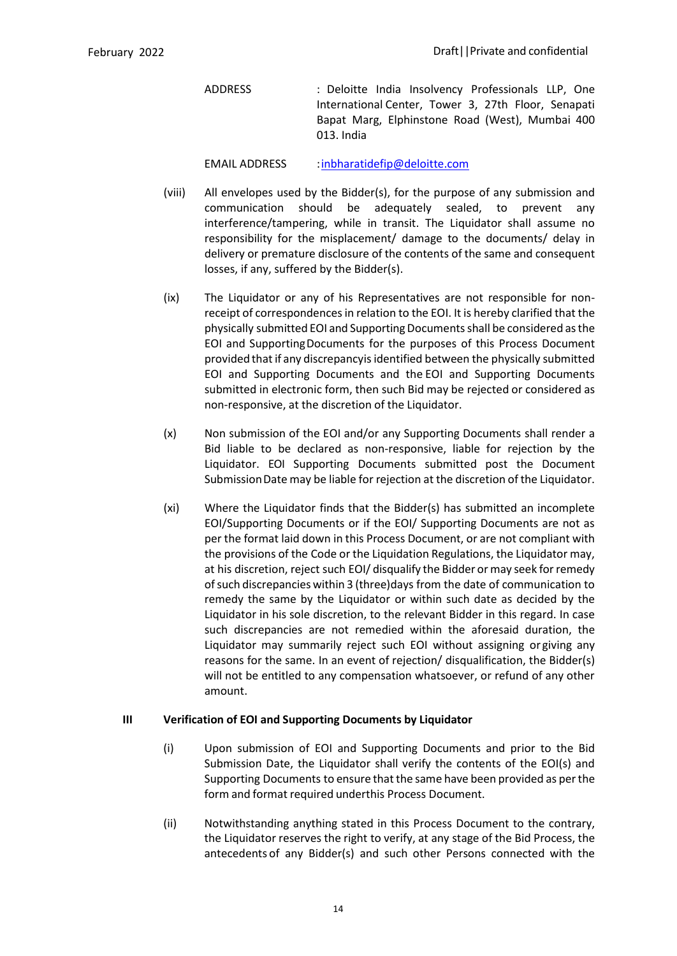ADDRESS : Deloitte India Insolvency Professionals LLP, One International Center, Tower 3, 27th Floor, Senapati Bapat Marg, Elphinstone Road (West), Mumbai 400 013. India

EMAIL ADDRESS : inbharatidefip@deloitte.com

- (viii) All envelopes used by the Bidder(s), for the purpose of any submission and communication should be adequately sealed, to prevent any interference/tampering, while in transit. The Liquidator shall assume no responsibility for the misplacement/ damage to the documents/ delay in delivery or premature disclosure of the contents of the same and consequent losses, if any, suffered by the Bidder(s).
- (ix) The Liquidator or any of his Representatives are not responsible for nonreceipt of correspondences in relation to the EOI. It is hereby clarified that the physically submitted EOI and Supporting Documents shall be considered as the EOI and SupportingDocuments for the purposes of this Process Document provided thatif any discrepancyis identified between the physically submitted EOI and Supporting Documents and the EOI and Supporting Documents submitted in electronic form, then such Bid may be rejected or considered as non-responsive, at the discretion of the Liquidator.
- (x) Non submission of the EOI and/or any Supporting Documents shall render a Bid liable to be declared as non-responsive, liable for rejection by the Liquidator. EOI Supporting Documents submitted post the Document Submission Date may be liable for rejection at the discretion of the Liquidator.
- (xi) Where the Liquidator finds that the Bidder(s) has submitted an incomplete EOI/Supporting Documents or if the EOI/ Supporting Documents are not as per the format laid down in this Process Document, or are not compliant with the provisions of the Code or the Liquidation Regulations, the Liquidator may, at his discretion, reject such EOI/ disqualify the Bidder or may seek forremedy ofsuch discrepancies within 3 (three)days from the date of communication to remedy the same by the Liquidator or within such date as decided by the Liquidator in his sole discretion, to the relevant Bidder in this regard. In case such discrepancies are not remedied within the aforesaid duration, the Liquidator may summarily reject such EOI without assigning or giving any reasons for the same. In an event of rejection/ disqualification, the Bidder(s) will not be entitled to any compensation whatsoever, or refund of any other amount.

### **III Verification of EOI and Supporting Documents by Liquidator**

- (i) Upon submission of EOI and Supporting Documents and prior to the Bid Submission Date, the Liquidator shall verify the contents of the EOI(s) and Supporting Documents to ensure that the same have been provided as per the form and format required underthis Process Document.
- (ii) Notwithstanding anything stated in this Process Document to the contrary, the Liquidator reserves the right to verify, at any stage of the Bid Process, the antecedents of any Bidder(s) and such other Persons connected with the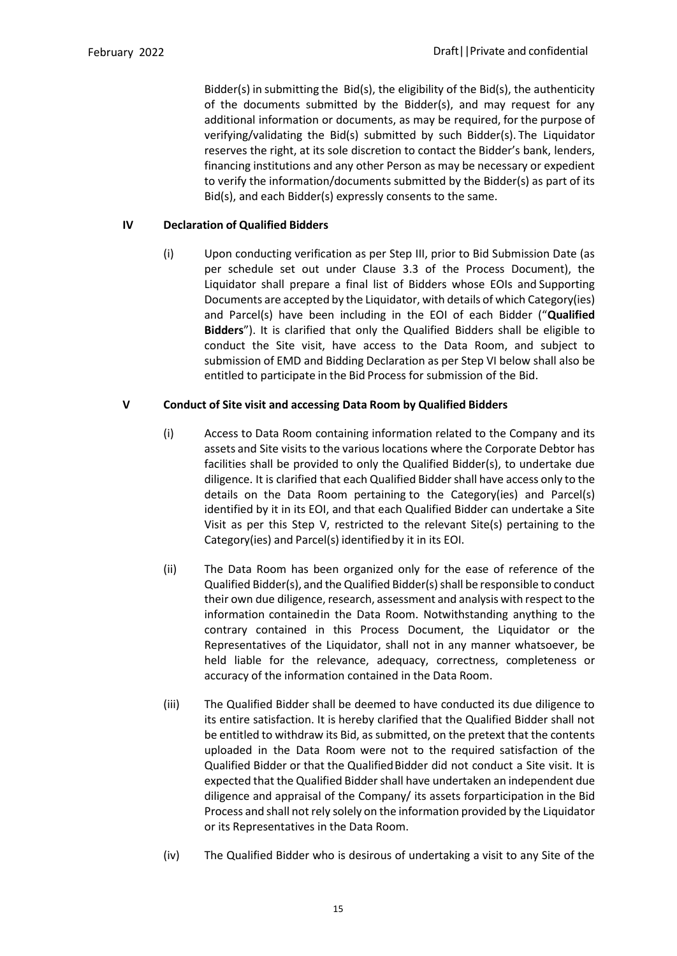Bidder(s) in submitting the Bid(s), the eligibility of the Bid(s), the authenticity of the documents submitted by the Bidder(s), and may request for any additional information or documents, as may be required, for the purpose of verifying/validating the Bid(s) submitted by such Bidder(s). The Liquidator reserves the right, at its sole discretion to contact the Bidder's bank, lenders, financing institutions and any other Person as may be necessary or expedient to verify the information/documents submitted by the Bidder(s) as part of its Bid(s), and each Bidder(s) expressly consents to the same.

# **IV Declaration of Qualified Bidders**

(i) Upon conducting verification as per Step III, prior to Bid Submission Date (as per schedule set out under Clause 3.3 of the Process Document), the Liquidator shall prepare a final list of Bidders whose EOIs and Supporting Documents are accepted by the Liquidator, with details of which Category(ies) and Parcel(s) have been including in the EOI of each Bidder ("**Qualified Bidders**"). It is clarified that only the Qualified Bidders shall be eligible to conduct the Site visit, have access to the Data Room, and subject to submission of EMD and Bidding Declaration as per Step VI below shall also be entitled to participate in the Bid Process for submission of the Bid.

### **V Conduct of Site visit and accessing Data Room by Qualified Bidders**

- (i) Access to Data Room containing information related to the Company and its assets and Site visits to the various locations where the Corporate Debtor has facilities shall be provided to only the Qualified Bidder(s), to undertake due diligence. It is clarified that each Qualified Biddershall have access only to the details on the Data Room pertaining to the Category(ies) and Parcel(s) identified by it in its EOI, and that each Qualified Bidder can undertake a Site Visit as per this Step V, restricted to the relevant Site(s) pertaining to the Category(ies) and Parcel(s) identified by it in its EOI.
- (ii) The Data Room has been organized only for the ease of reference of the Qualified Bidder(s), and the Qualified Bidder(s) shall be responsible to conduct their own due diligence, research, assessment and analysis with respect to the information containedin the Data Room. Notwithstanding anything to the contrary contained in this Process Document, the Liquidator or the Representatives of the Liquidator, shall not in any manner whatsoever, be held liable for the relevance, adequacy, correctness, completeness or accuracy of the information contained in the Data Room.
- (iii) The Qualified Bidder shall be deemed to have conducted its due diligence to its entire satisfaction. It is hereby clarified that the Qualified Bidder shall not be entitled to withdraw its Bid, as submitted, on the pretext that the contents uploaded in the Data Room were not to the required satisfaction of the Qualified Bidder or that the Qualified Bidder did not conduct a Site visit. It is expected that the Qualified Bidder shall have undertaken an independent due diligence and appraisal of the Company/ its assets forparticipation in the Bid Process and shall not rely solely on the information provided by the Liquidator or its Representatives in the Data Room.
- (iv) The Qualified Bidder who is desirous of undertaking a visit to any Site of the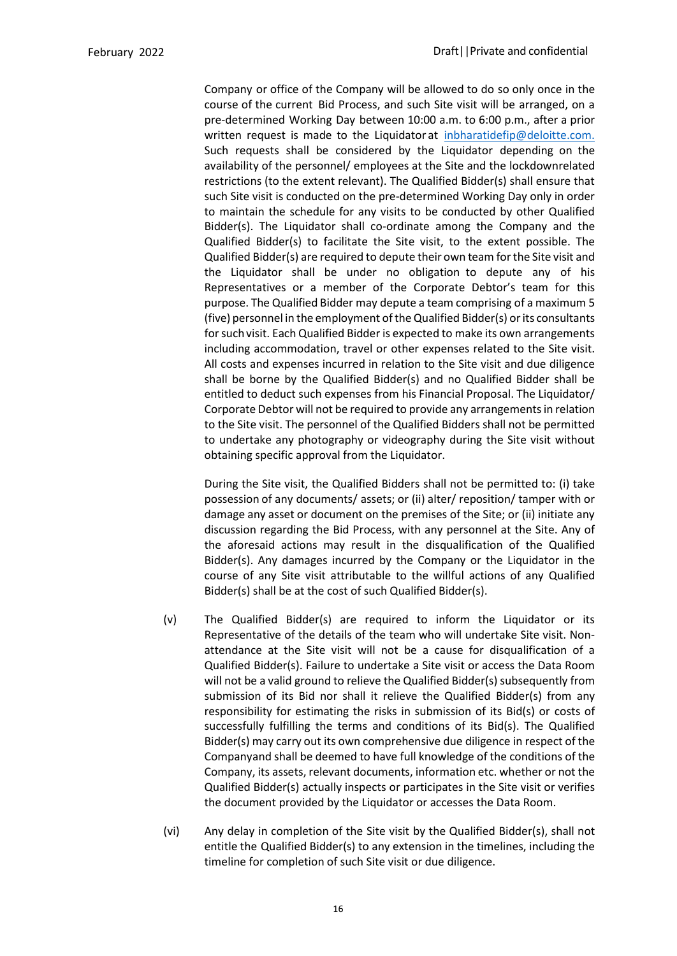Company or office of the Company will be allowed to do so only once in the course of the current Bid Process, and such Site visit will be arranged, on a pre-determined Working Day between 10:00 a.m. to 6:00 p.m., after a prior written request is made to the Liquidator at inbharatidefip@deloitte.com. Such requests shall be considered by the Liquidator depending on the availability of the personnel/ employees at the Site and the lockdownrelated restrictions (to the extent relevant). The Qualified Bidder(s) shall ensure that such Site visit is conducted on the pre-determined Working Day only in order to maintain the schedule for any visits to be conducted by other Qualified Bidder(s). The Liquidator shall co-ordinate among the Company and the Qualified Bidder(s) to facilitate the Site visit, to the extent possible. The Qualified Bidder(s) are required to depute their own team forthe Site visit and the Liquidator shall be under no obligation to depute any of his Representatives or a member of the Corporate Debtor's team for this purpose. The Qualified Bidder may depute a team comprising of a maximum 5 (five) personnel in the employment oftheQualified Bidder(s) orits consultants for such visit. Each Qualified Bidder is expected to make its own arrangements including accommodation, travel or other expenses related to the Site visit. All costs and expenses incurred in relation to the Site visit and due diligence shall be borne by the Qualified Bidder(s) and no Qualified Bidder shall be entitled to deduct such expenses from his Financial Proposal. The Liquidator/ Corporate Debtor will not be required to provide any arrangements in relation to the Site visit. The personnel of the Qualified Bidders shall not be permitted to undertake any photography or videography during the Site visit without obtaining specific approval from the Liquidator.

During the Site visit, the Qualified Bidders shall not be permitted to: (i) take possession of any documents/ assets; or (ii) alter/ reposition/ tamper with or damage any asset or document on the premises of the Site; or (ii) initiate any discussion regarding the Bid Process, with any personnel at the Site. Any of the aforesaid actions may result in the disqualification of the Qualified Bidder(s). Any damages incurred by the Company or the Liquidator in the course of any Site visit attributable to the willful actions of any Qualified Bidder(s) shall be at the cost of such Qualified Bidder(s).

- (v) The Qualified Bidder(s) are required to inform the Liquidator or its Representative of the details of the team who will undertake Site visit. Nonattendance at the Site visit will not be a cause for disqualification of a Qualified Bidder(s). Failure to undertake a Site visit or access the Data Room will not be a valid ground to relieve the Qualified Bidder(s) subsequently from submission of its Bid nor shall it relieve the Qualified Bidder(s) from any responsibility for estimating the risks in submission of its Bid(s) or costs of successfully fulfilling the terms and conditions of its Bid(s). The Qualified Bidder(s) may carry out its own comprehensive due diligence in respect of the Companyand shall be deemed to have full knowledge of the conditions of the Company, its assets, relevant documents, information etc. whether or not the Qualified Bidder(s) actually inspects or participates in the Site visit or verifies the document provided by the Liquidator or accesses the Data Room.
- (vi) Any delay in completion of the Site visit by the Qualified Bidder(s), shall not entitle the Qualified Bidder(s) to any extension in the timelines, including the timeline for completion of such Site visit or due diligence.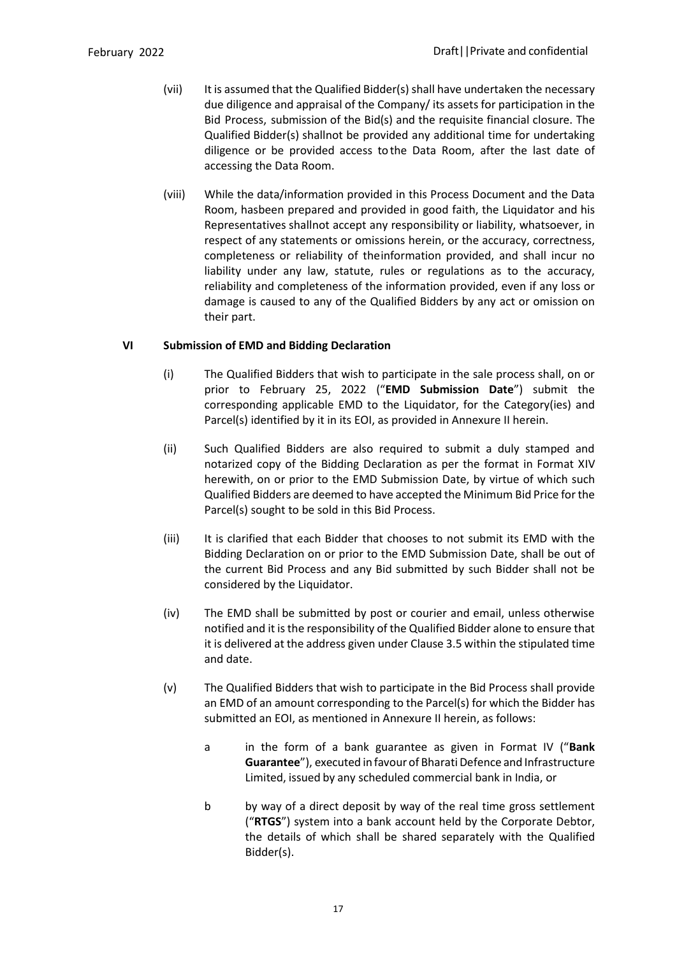- (vii) It is assumed that the Qualified Bidder(s) shall have undertaken the necessary due diligence and appraisal of the Company/ its assets for participation in the Bid Process, submission of the Bid(s) and the requisite financial closure. The Qualified Bidder(s) shallnot be provided any additional time for undertaking diligence or be provided access tothe Data Room, after the last date of accessing the Data Room.
- (viii) While the data/information provided in this Process Document and the Data Room, hasbeen prepared and provided in good faith, the Liquidator and his Representatives shallnot accept any responsibility or liability, whatsoever, in respect of any statements or omissions herein, or the accuracy, correctness, completeness or reliability of theinformation provided, and shall incur no liability under any law, statute, rules or regulations as to the accuracy, reliability and completeness of the information provided, even if any loss or damage is caused to any of the Qualified Bidders by any act or omission on their part.

### **VI Submission of EMD and Bidding Declaration**

- (i) The Qualified Bidders that wish to participate in the sale process shall, on or prior to February 25, 2022 ("**EMD Submission Date**") submit the corresponding applicable EMD to the Liquidator, for the Category(ies) and Parcel(s) identified by it in its EOI, as provided in Annexure II herein.
- (ii) Such Qualified Bidders are also required to submit a duly stamped and notarized copy of the Bidding Declaration as per the format in Format XIV herewith, on or prior to the EMD Submission Date, by virtue of which such Qualified Bidders are deemed to have accepted the Minimum Bid Price for the Parcel(s) sought to be sold in this Bid Process.
- (iii) It is clarified that each Bidder that chooses to not submit its EMD with the Bidding Declaration on or prior to the EMD Submission Date, shall be out of the current Bid Process and any Bid submitted by such Bidder shall not be considered by the Liquidator.
- (iv) The EMD shall be submitted by post or courier and email, unless otherwise notified and it is the responsibility of the Qualified Bidder alone to ensure that it is delivered at the address given under Clause 3.5 within the stipulated time and date.
- (v) The Qualified Bidders that wish to participate in the Bid Process shall provide an EMD of an amount corresponding to the Parcel(s) for which the Bidder has submitted an EOI, as mentioned in Annexure II herein, as follows:
	- a in the form of a bank guarantee as given in Format IV ("**Bank**  Guarantee"), executed in favour of Bharati Defence and Infrastructure Limited, issued by any scheduled commercial bank in India, or
	- b by way of a direct deposit by way of the real time gross settlement ("**RTGS**") system into a bank account held by the Corporate Debtor, the details of which shall be shared separately with the Qualified Bidder(s).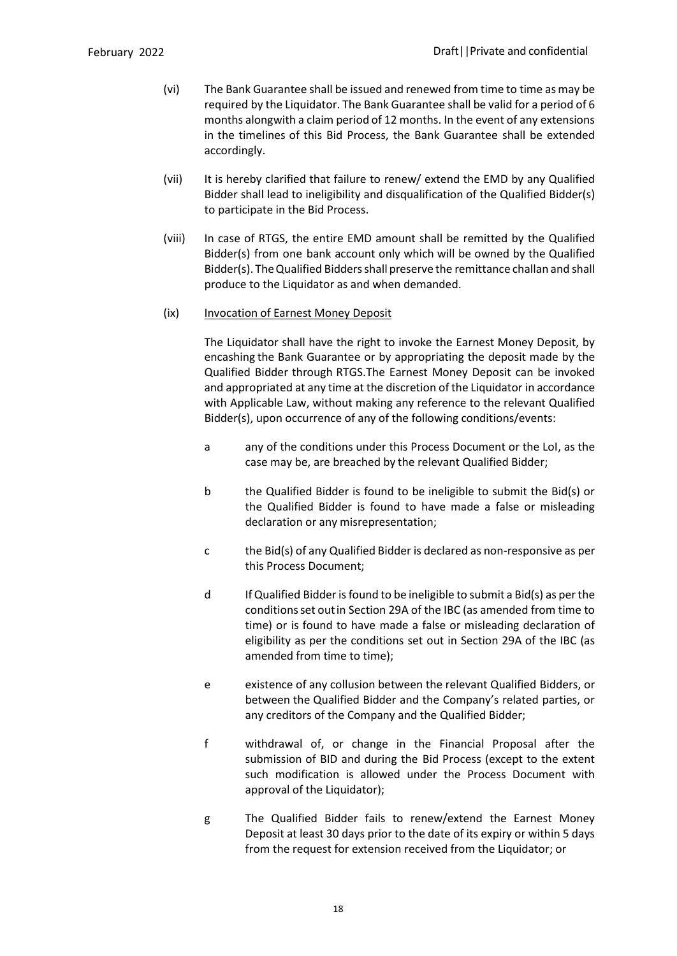- (vi) The Bank Guarantee shall be issued and renewed from time to time as may be required by the Liquidator. The Bank Guarantee shall be valid for a period of 6 months alongwith a claim period of 12 months. In the event of any extensions in the timelines of this Bid Process, the Bank Guarantee shall be extended accordingly.
- (vii) It is hereby clarified that failure to renew/ extend the EMD by any Qualified Bidder shall lead to ineligibility and disqualification of the Qualified Bidder(s) to participate in the Bid Process.
- (viii) In case of RTGS, the entire EMD amount shall be remitted by the Qualified Bidder(s) from one bank account only which will be owned by the Qualified Bidder(s). The Qualified Bidders shall preserve the remittance challan and shall produce to the Liquidator as and when demanded.

#### (ix) Invocation of Earnest Money Deposit

The Liquidator shall have the right to invoke the Earnest Money Deposit, by encashing the Bank Guarantee or by appropriating the deposit made by the Qualified Bidder through RTGS.The Earnest Money Deposit can be invoked and appropriated at any time at the discretion of the Liquidator in accordance with Applicable Law, without making any reference to the relevant Qualified Bidder(s), upon occurrence of any of the following conditions/events:

- a any of the conditions under this Process Document or the LoI, as the case may be, are breached by the relevant Qualified Bidder;
- b the Qualified Bidder is found to be ineligible to submit the Bid(s) or the Qualified Bidder is found to have made a false or misleading declaration or any misrepresentation;
- c the Bid(s) of any Qualified Bidder is declared as non-responsive as per this Process Document;
- d If Qualified Bidder isfound to be ineligible to submit a Bid(s) as perthe conditionsset out in Section 29A of the IBC (as amended from time to time) or is found to have made a false or misleading declaration of eligibility as per the conditions set out in Section 29A of the IBC (as amended from time to time);
- e existence of any collusion between the relevant Qualified Bidders, or between the Qualified Bidder and the Company's related parties, or any creditors of the Company and the Qualified Bidder;
- f withdrawal of, or change in the Financial Proposal after the submission of BID and during the Bid Process (except to the extent such modification is allowed under the Process Document with approval of the Liquidator);
- g The Qualified Bidder fails to renew/extend the Earnest Money Deposit at least 30 days prior to the date of its expiry or within 5 days from the request for extension received from the Liquidator; or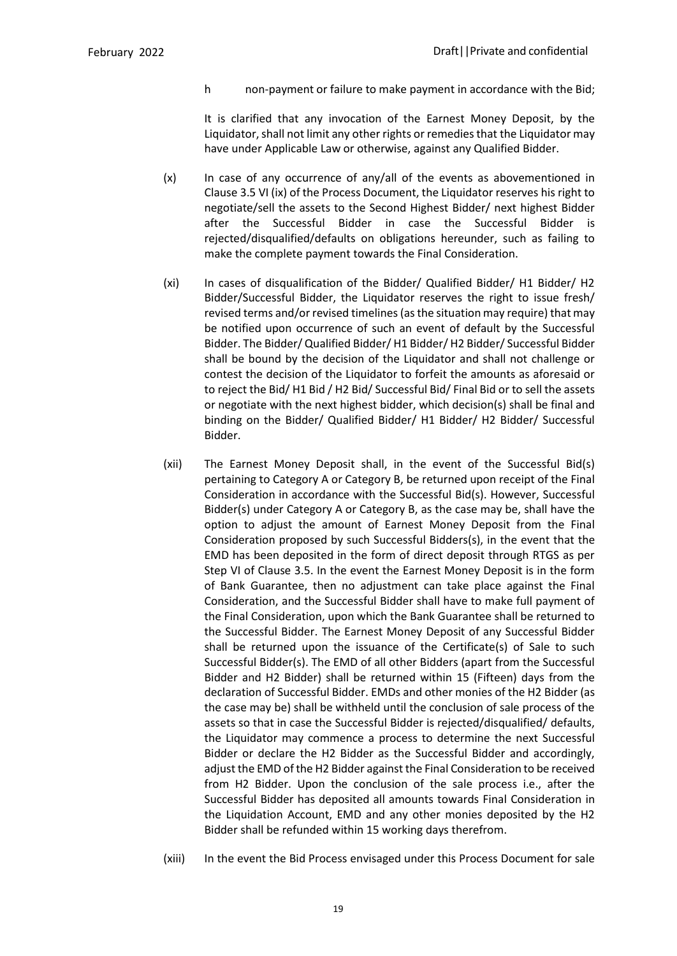h non-payment or failure to make payment in accordance with the Bid;

It is clarified that any invocation of the Earnest Money Deposit, by the Liquidator, shall not limit any other rights or remedies that the Liquidator may have under Applicable Law or otherwise, against any Qualified Bidder.

- (x) In case of any occurrence of any/all of the events as abovementioned in Clause 3.5 VI (ix) of the Process Document, the Liquidator reserves his right to negotiate/sell the assets to the Second Highest Bidder/ next highest Bidder after the Successful Bidder in case the Successful Bidder is rejected/disqualified/defaults on obligations hereunder, such as failing to make the complete payment towards the Final Consideration.
- (xi) In cases of disqualification of the Bidder/ Qualified Bidder/ H1 Bidder/ H2 Bidder/Successful Bidder, the Liquidator reserves the right to issue fresh/ revised terms and/or revised timelines (as the situation may require) that may be notified upon occurrence of such an event of default by the Successful Bidder. The Bidder/ Qualified Bidder/ H1 Bidder/ H2 Bidder/ Successful Bidder shall be bound by the decision of the Liquidator and shall not challenge or contest the decision of the Liquidator to forfeit the amounts as aforesaid or to reject the Bid/ H1 Bid / H2 Bid/ Successful Bid/ Final Bid or to sell the assets or negotiate with the next highest bidder, which decision(s) shall be final and binding on the Bidder/ Qualified Bidder/ H1 Bidder/ H2 Bidder/ Successful Bidder.
- (xii) The Earnest Money Deposit shall, in the event of the Successful Bid(s) pertaining to Category A or Category B, be returned upon receipt of the Final Consideration in accordance with the Successful Bid(s). However, Successful Bidder(s) under Category A or Category B, as the case may be, shall have the option to adjust the amount of Earnest Money Deposit from the Final Consideration proposed by such Successful Bidders(s), in the event that the EMD has been deposited in the form of direct deposit through RTGS as per Step VI of Clause 3.5. In the event the Earnest Money Deposit is in the form of Bank Guarantee, then no adjustment can take place against the Final Consideration, and the Successful Bidder shall have to make full payment of the Final Consideration, upon which the Bank Guarantee shall be returned to the Successful Bidder. The Earnest Money Deposit of any Successful Bidder shall be returned upon the issuance of the Certificate(s) of Sale to such Successful Bidder(s). The EMD of all other Bidders (apart from the Successful Bidder and H2 Bidder) shall be returned within 15 (Fifteen) days from the declaration of Successful Bidder. EMDs and other monies of the H2 Bidder (as the case may be) shall be withheld until the conclusion of sale process of the assets so that in case the Successful Bidder is rejected/disqualified/ defaults, the Liquidator may commence a process to determine the next Successful Bidder or declare the H2 Bidder as the Successful Bidder and accordingly, adjust the EMD of the H2 Bidder against the Final Consideration to be received from H2 Bidder. Upon the conclusion of the sale process i.e., after the Successful Bidder has deposited all amounts towards Final Consideration in the Liquidation Account, EMD and any other monies deposited by the H2 Bidder shall be refunded within 15 working days therefrom.
- (xiii) In the event the Bid Process envisaged under this Process Document for sale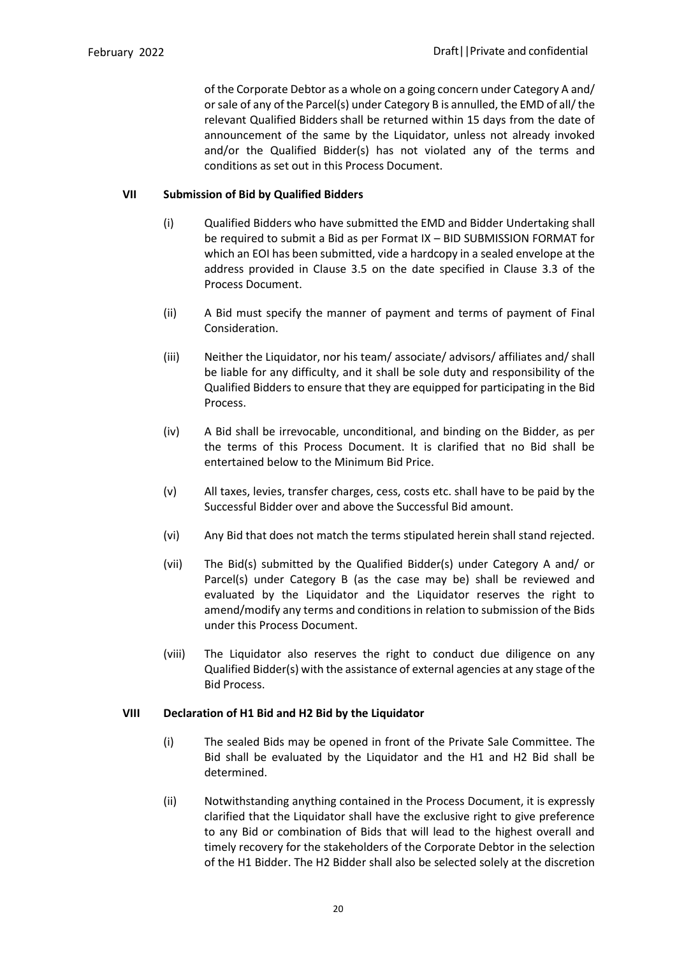of the Corporate Debtor as a whole on a going concern under Category A and/ or sale of any of the Parcel(s) under Category B is annulled, the EMD of all/the relevant Qualified Bidders shall be returned within 15 days from the date of announcement of the same by the Liquidator, unless not already invoked and/or the Qualified Bidder(s) has not violated any of the terms and conditions as set out in this Process Document.

### **VII Submission of Bid by Qualified Bidders**

- (i) Qualified Bidders who have submitted the EMD and Bidder Undertaking shall be required to submit a Bid as per Format IX – BID SUBMISSION FORMAT for which an EOI has been submitted, vide a hardcopy in a sealed envelope at the address provided in Clause 3.5 on the date specified in Clause 3.3 of the Process Document.
- (ii) A Bid must specify the manner of payment and terms of payment of Final Consideration.
- (iii) Neither the Liquidator, nor his team/ associate/ advisors/ affiliates and/ shall be liable for any difficulty, and it shall be sole duty and responsibility of the Qualified Bidders to ensure that they are equipped for participating in the Bid Process.
- (iv) A Bid shall be irrevocable, unconditional, and binding on the Bidder, as per the terms of this Process Document. It is clarified that no Bid shall be entertained below to the Minimum Bid Price.
- (v) All taxes, levies, transfer charges, cess, costs etc. shall have to be paid by the Successful Bidder over and above the Successful Bid amount.
- (vi) Any Bid that does not match the terms stipulated herein shall stand rejected.
- (vii) The Bid(s) submitted by the Qualified Bidder(s) under Category A and/ or Parcel(s) under Category B (as the case may be) shall be reviewed and evaluated by the Liquidator and the Liquidator reserves the right to amend/modify any terms and conditions in relation to submission of the Bids under this Process Document.
- (viii) The Liquidator also reserves the right to conduct due diligence on any Qualified Bidder(s) with the assistance of external agencies at any stage of the Bid Process.

### **VIII Declaration of H1 Bid and H2 Bid by the Liquidator**

- (i) The sealed Bids may be opened in front of the Private Sale Committee. The Bid shall be evaluated by the Liquidator and the H1 and H2 Bid shall be determined.
- (ii) Notwithstanding anything contained in the Process Document, it is expressly clarified that the Liquidator shall have the exclusive right to give preference to any Bid or combination of Bids that will lead to the highest overall and timely recovery for the stakeholders of the Corporate Debtor in the selection of the H1 Bidder. The H2 Bidder shall also be selected solely at the discretion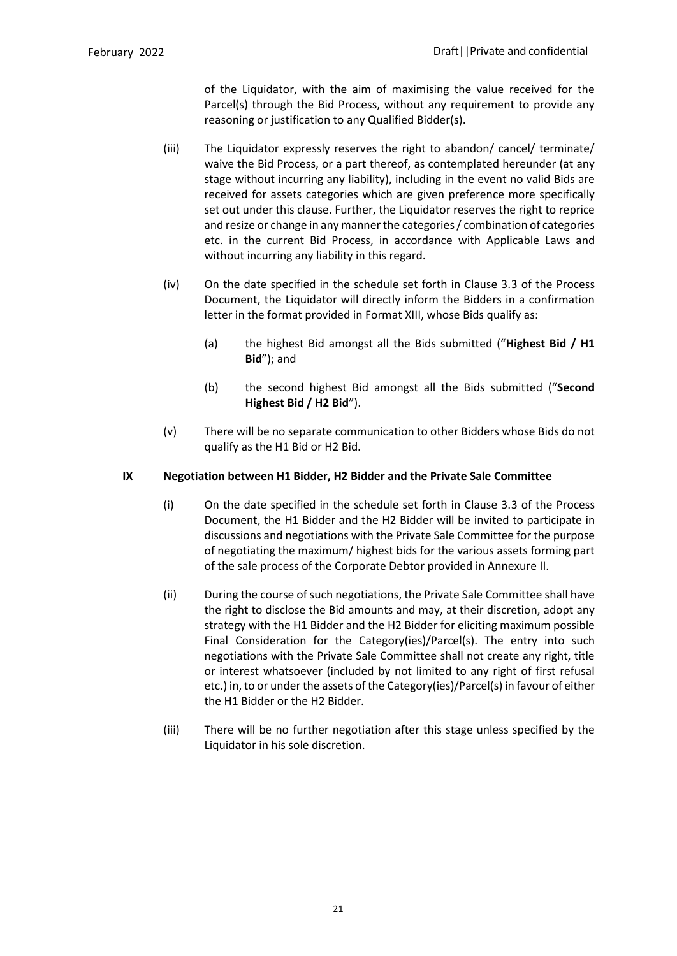of the Liquidator, with the aim of maximising the value received for the Parcel(s) through the Bid Process, without any requirement to provide any reasoning or justification to any Qualified Bidder(s).

- (iii) The Liquidator expressly reserves the right to abandon/ cancel/ terminate/ waive the Bid Process, or a part thereof, as contemplated hereunder (at any stage without incurring any liability), including in the event no valid Bids are received for assets categories which are given preference more specifically set out under this clause. Further, the Liquidator reserves the right to reprice and resize or change in any manner the categories / combination of categories etc. in the current Bid Process, in accordance with Applicable Laws and without incurring any liability in this regard.
- (iv) On the date specified in the schedule set forth in Clause 3.3 of the Process Document, the Liquidator will directly inform the Bidders in a confirmation letter in the format provided in Format XIII, whose Bids qualify as:
	- (a) the highest Bid amongst all the Bids submitted ("**Highest Bid / H1 Bid**"); and
	- (b) the second highest Bid amongst all the Bids submitted ("**Second Highest Bid / H2 Bid**").
- (v) There will be no separate communication to other Bidders whose Bids do not qualify as the H1 Bid or H2 Bid.

### **IX Negotiation between H1 Bidder, H2 Bidder and the Private Sale Committee**

- (i) On the date specified in the schedule set forth in Clause 3.3 of the Process Document, the H1 Bidder and the H2 Bidder will be invited to participate in discussions and negotiations with the Private Sale Committee for the purpose of negotiating the maximum/ highest bids for the various assets forming part of the sale process of the Corporate Debtor provided in Annexure II.
- (ii) During the course of such negotiations, the Private Sale Committee shall have the right to disclose the Bid amounts and may, at their discretion, adopt any strategy with the H1 Bidder and the H2 Bidder for eliciting maximum possible Final Consideration for the Category(ies)/Parcel(s). The entry into such negotiations with the Private Sale Committee shall not create any right, title or interest whatsoever (included by not limited to any right of first refusal etc.) in, to or under the assets of the Category(ies)/Parcel(s) in favour of either the H1 Bidder or the H2 Bidder.
- (iii) There will be no further negotiation after this stage unless specified by the Liquidator in his sole discretion.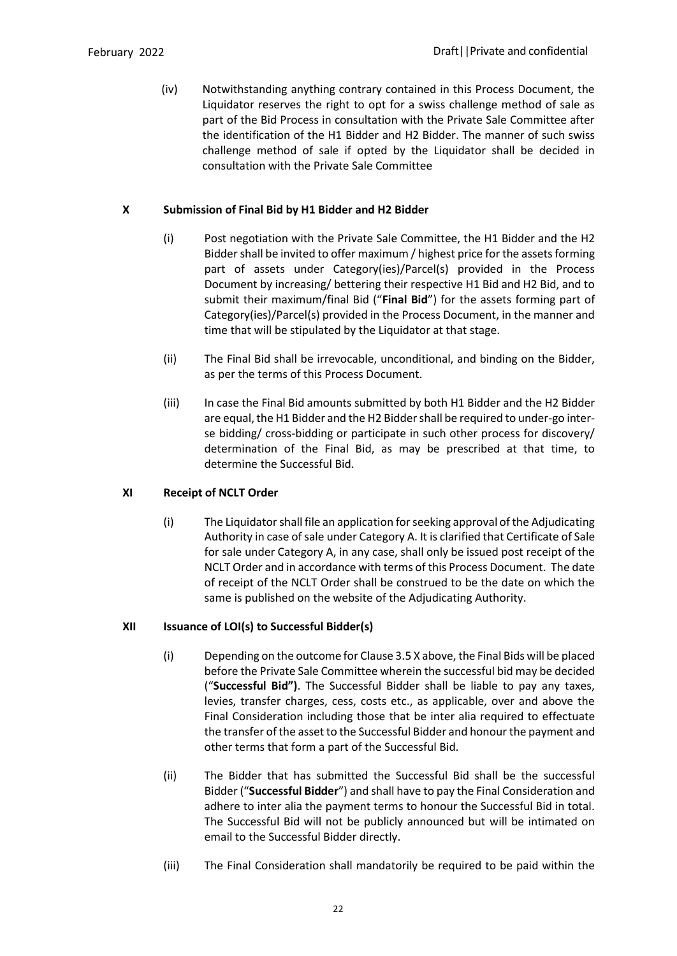(iv) Notwithstanding anything contrary contained in this Process Document, the Liquidator reserves the right to opt for a swiss challenge method of sale as part of the Bid Process in consultation with the Private Sale Committee after the identification of the H1 Bidder and H2 Bidder. The manner of such swiss challenge method of sale if opted by the Liquidator shall be decided in consultation with the Private Sale Committee

# **X Submission of Final Bid by H1 Bidder and H2 Bidder**

- (i) Post negotiation with the Private Sale Committee, the H1 Bidder and the H2 Bidder shall be invited to offer maximum / highest price for the assets forming part of assets under Category(ies)/Parcel(s) provided in the Process Document by increasing/ bettering their respective H1 Bid and H2 Bid, and to submit their maximum/final Bid ("**Final Bid**") for the assets forming part of Category(ies)/Parcel(s) provided in the Process Document, in the manner and time that will be stipulated by the Liquidator at that stage.
- (ii) The Final Bid shall be irrevocable, unconditional, and binding on the Bidder, as per the terms of this Process Document.
- (iii) In case the Final Bid amounts submitted by both H1 Bidder and the H2 Bidder are equal, the H1 Bidder and the H2 Bidder shall be required to under-go interse bidding/ cross-bidding or participate in such other process for discovery/ determination of the Final Bid, as may be prescribed at that time, to determine the Successful Bid.

### **XI Receipt of NCLT Order**

(i) The Liquidator shall file an application for seeking approval of the Adjudicating Authority in case of sale under Category A. It is clarified that Certificate of Sale for sale under Category A, in any case, shall only be issued post receipt of the NCLT Order and in accordance with terms of this Process Document. The date of receipt of the NCLT Order shall be construed to be the date on which the same is published on the website of the Adjudicating Authority.

# **XII Issuance of LOI(s) to Successful Bidder(s)**

- (i) Depending on the outcome for Clause 3.5 X above, the Final Bids will be placed before the Private Sale Committee wherein the successful bid may be decided ("**Successful Bid")**. The Successful Bidder shall be liable to pay any taxes, levies, transfer charges, cess, costs etc., as applicable, over and above the Final Consideration including those that be inter alia required to effectuate the transfer of the asset to the Successful Bidder and honour the payment and other terms that form a part of the Successful Bid.
- (ii) The Bidder that has submitted the Successful Bid shall be the successful Bidder ("**Successful Bidder**") and shall have to pay the Final Consideration and adhere to inter alia the payment terms to honour the Successful Bid in total. The Successful Bid will not be publicly announced but will be intimated on email to the Successful Bidder directly.
- (iii) The Final Consideration shall mandatorily be required to be paid within the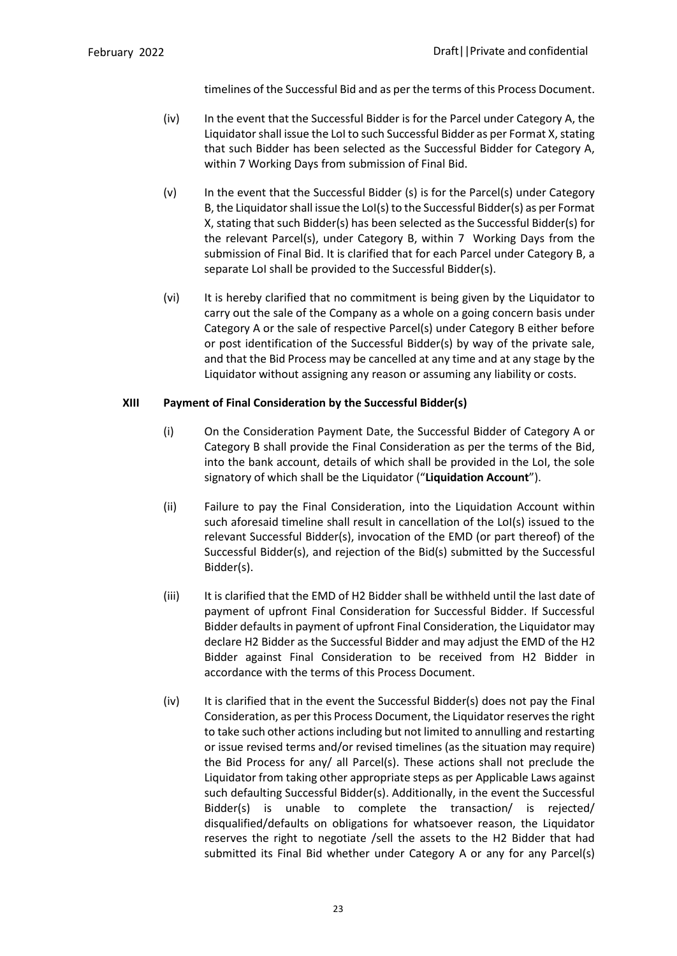timelines of the Successful Bid and as per the terms of this Process Document.

- (iv) In the event that the Successful Bidder is for the Parcel under Category A, the Liquidator shall issue the LoI to such Successful Bidder as per Format X, stating that such Bidder has been selected as the Successful Bidder for Category A, within 7 Working Days from submission of Final Bid.
- (v) In the event that the Successful Bidder (s) is for the Parcel(s) under Category B, the Liquidator shall issue the LoI(s) to the Successful Bidder(s) as per Format X, stating that such Bidder(s) has been selected as the Successful Bidder(s) for the relevant Parcel(s), under Category B, within 7 Working Days from the submission of Final Bid. It is clarified that for each Parcel under Category B, a separate LoI shall be provided to the Successful Bidder(s).
- (vi) It is hereby clarified that no commitment is being given by the Liquidator to carry out the sale of the Company as a whole on a going concern basis under Category A or the sale of respective Parcel(s) under Category B either before or post identification of the Successful Bidder(s) by way of the private sale, and that the Bid Process may be cancelled at any time and at any stage by the Liquidator without assigning any reason or assuming any liability or costs.

### **XIII Payment of Final Consideration by the Successful Bidder(s)**

- (i) On the Consideration Payment Date, the Successful Bidder of Category A or Category B shall provide the Final Consideration as per the terms of the Bid, into the bank account, details of which shall be provided in the LoI, the sole signatory of which shall be the Liquidator ("**Liquidation Account**").
- (ii) Failure to pay the Final Consideration, into the Liquidation Account within such aforesaid timeline shall result in cancellation of the LoI(s) issued to the relevant Successful Bidder(s), invocation of the EMD (or part thereof) of the Successful Bidder(s), and rejection of the Bid(s) submitted by the Successful Bidder(s).
- (iii) It is clarified that the EMD of H2 Bidder shall be withheld until the last date of payment of upfront Final Consideration for Successful Bidder. If Successful Bidder defaults in payment of upfront Final Consideration, the Liquidator may declare H2 Bidder as the Successful Bidder and may adjust the EMD of the H2 Bidder against Final Consideration to be received from H2 Bidder in accordance with the terms of this Process Document.
- (iv) It is clarified that in the event the Successful Bidder(s) does not pay the Final Consideration, as per this Process Document, the Liquidator reserves the right to take such other actions including but not limited to annulling and restarting or issue revised terms and/or revised timelines (as the situation may require) the Bid Process for any/ all Parcel(s). These actions shall not preclude the Liquidator from taking other appropriate steps as per Applicable Laws against such defaulting Successful Bidder(s). Additionally, in the event the Successful Bidder(s) is unable to complete the transaction/ is rejected/ disqualified/defaults on obligations for whatsoever reason, the Liquidator reserves the right to negotiate /sell the assets to the H2 Bidder that had submitted its Final Bid whether under Category A or any for any Parcel(s)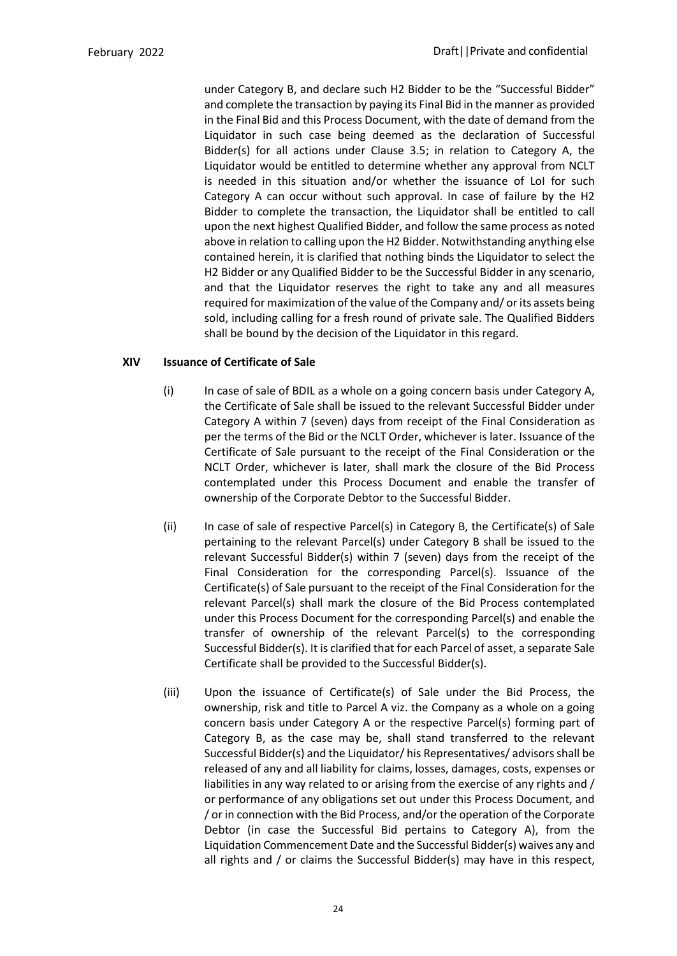under Category B, and declare such H2 Bidder to be the "Successful Bidder" and complete the transaction by paying its Final Bid in the manner as provided in the Final Bid and this Process Document, with the date of demand from the Liquidator in such case being deemed as the declaration of Successful Bidder(s) for all actions under Clause 3.5; in relation to Category A, the Liquidator would be entitled to determine whether any approval from NCLT is needed in this situation and/or whether the issuance of LoI for such Category A can occur without such approval. In case of failure by the H2 Bidder to complete the transaction, the Liquidator shall be entitled to call upon the next highest Qualified Bidder, and follow the same process as noted above in relation to calling upon the H2 Bidder. Notwithstanding anything else contained herein, it is clarified that nothing binds the Liquidator to select the H2 Bidder or any Qualified Bidder to be the Successful Bidder in any scenario, and that the Liquidator reserves the right to take any and all measures required for maximization of the value of the Company and/ or its assets being sold, including calling for a fresh round of private sale. The Qualified Bidders shall be bound by the decision of the Liquidator in this regard.

### **XIV Issuance of Certificate of Sale**

- (i) In case of sale of BDIL as a whole on a going concern basis under Category A, the Certificate of Sale shall be issued to the relevant Successful Bidder under Category A within 7 (seven) days from receipt of the Final Consideration as per the terms of the Bid or the NCLT Order, whichever is later. Issuance of the Certificate of Sale pursuant to the receipt of the Final Consideration or the NCLT Order, whichever is later, shall mark the closure of the Bid Process contemplated under this Process Document and enable the transfer of ownership of the Corporate Debtor to the Successful Bidder.
- (ii) In case of sale of respective Parcel(s) in Category B, the Certificate(s) of Sale pertaining to the relevant Parcel(s) under Category B shall be issued to the relevant Successful Bidder(s) within 7 (seven) days from the receipt of the Final Consideration for the corresponding Parcel(s). Issuance of the Certificate(s) of Sale pursuant to the receipt of the Final Consideration for the relevant Parcel(s) shall mark the closure of the Bid Process contemplated under this Process Document for the corresponding Parcel(s) and enable the transfer of ownership of the relevant Parcel(s) to the corresponding Successful Bidder(s). It is clarified that for each Parcel of asset, a separate Sale Certificate shall be provided to the Successful Bidder(s).
- (iii) Upon the issuance of Certificate(s) of Sale under the Bid Process, the ownership, risk and title to Parcel A viz. the Company as a whole on a going concern basis under Category A or the respective Parcel(s) forming part of Category B, as the case may be, shall stand transferred to the relevant Successful Bidder(s) and the Liquidator/ his Representatives/ advisors shall be released of any and all liability for claims, losses, damages, costs, expenses or liabilities in any way related to or arising from the exercise of any rights and / or performance of any obligations set out under this Process Document, and / or in connection with the Bid Process, and/or the operation of the Corporate Debtor (in case the Successful Bid pertains to Category A), from the Liquidation Commencement Date and the Successful Bidder(s) waives any and all rights and / or claims the Successful Bidder(s) may have in this respect,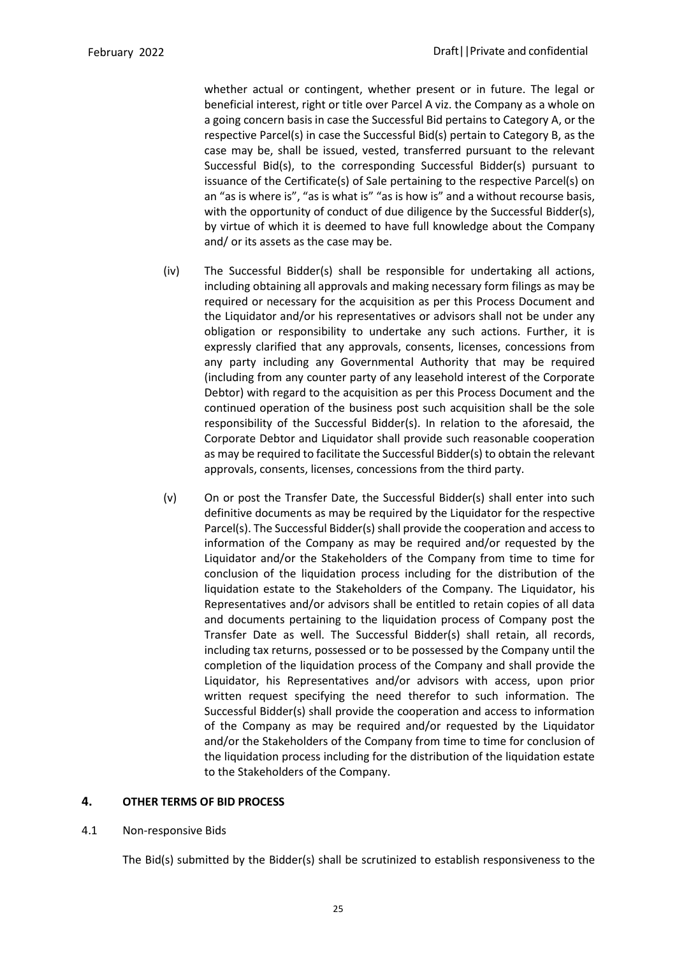whether actual or contingent, whether present or in future. The legal or beneficial interest, right or title over Parcel A viz. the Company as a whole on a going concern basis in case the Successful Bid pertains to Category A, or the respective Parcel(s) in case the Successful Bid(s) pertain to Category B, as the case may be, shall be issued, vested, transferred pursuant to the relevant Successful Bid(s), to the corresponding Successful Bidder(s) pursuant to issuance of the Certificate(s) of Sale pertaining to the respective Parcel(s) on an "as is where is", "as is what is" "as is how is" and a without recourse basis, with the opportunity of conduct of due diligence by the Successful Bidder(s), by virtue of which it is deemed to have full knowledge about the Company and/ or its assets as the case may be.

- (iv) The Successful Bidder(s) shall be responsible for undertaking all actions, including obtaining all approvals and making necessary form filings as may be required or necessary for the acquisition as per this Process Document and the Liquidator and/or his representatives or advisors shall not be under any obligation or responsibility to undertake any such actions. Further, it is expressly clarified that any approvals, consents, licenses, concessions from any party including any Governmental Authority that may be required (including from any counter party of any leasehold interest of the Corporate Debtor) with regard to the acquisition as per this Process Document and the continued operation of the business post such acquisition shall be the sole responsibility of the Successful Bidder(s). In relation to the aforesaid, the Corporate Debtor and Liquidator shall provide such reasonable cooperation as may be required to facilitate the Successful Bidder(s) to obtain the relevant approvals, consents, licenses, concessions from the third party.
- (v) On or post the Transfer Date, the Successful Bidder(s) shall enter into such definitive documents as may be required by the Liquidator for the respective Parcel(s). The Successful Bidder(s) shall provide the cooperation and access to information of the Company as may be required and/or requested by the Liquidator and/or the Stakeholders of the Company from time to time for conclusion of the liquidation process including for the distribution of the liquidation estate to the Stakeholders of the Company. The Liquidator, his Representatives and/or advisors shall be entitled to retain copies of all data and documents pertaining to the liquidation process of Company post the Transfer Date as well. The Successful Bidder(s) shall retain, all records, including tax returns, possessed or to be possessed by the Company until the completion of the liquidation process of the Company and shall provide the Liquidator, his Representatives and/or advisors with access, upon prior written request specifying the need therefor to such information. The Successful Bidder(s) shall provide the cooperation and access to information of the Company as may be required and/or requested by the Liquidator and/or the Stakeholders of the Company from time to time for conclusion of the liquidation process including for the distribution of the liquidation estate to the Stakeholders of the Company.

### <span id="page-30-0"></span>**4. OTHER TERMS OF BID PROCESS**

4.1 Non-responsive Bids

The Bid(s) submitted by the Bidder(s) shall be scrutinized to establish responsiveness to the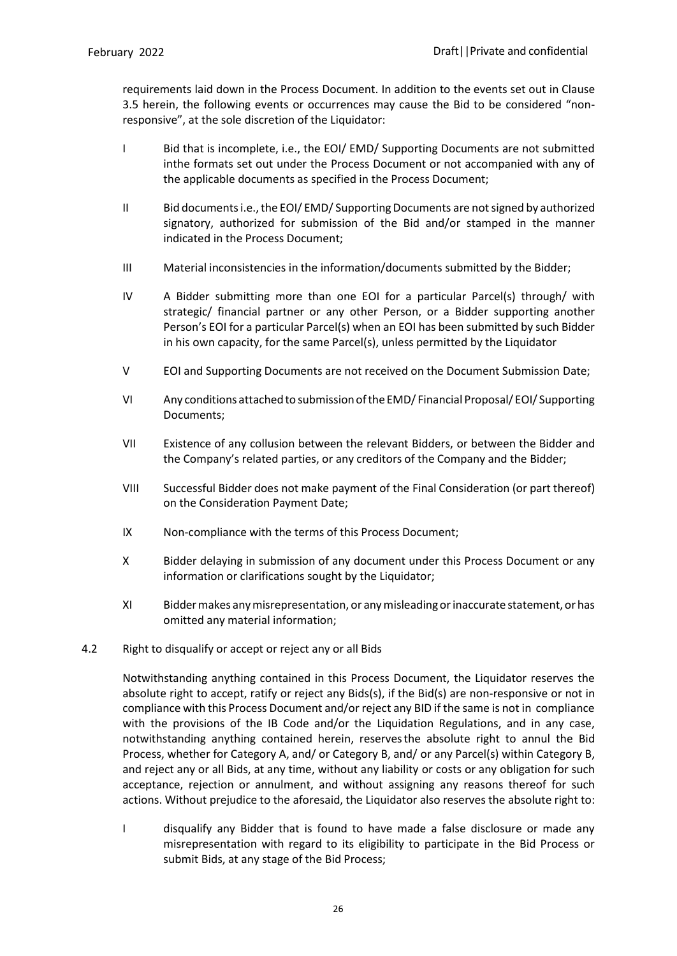requirements laid down in the Process Document. In addition to the events set out in Clause 3.5 herein, the following events or occurrences may cause the Bid to be considered "nonresponsive", at the sole discretion of the Liquidator:

- I Bid that is incomplete, i.e., the EOI/ EMD/ Supporting Documents are not submitted inthe formats set out under the Process Document or not accompanied with any of the applicable documents as specified in the Process Document;
- II Bid documents i.e., the EOI/ EMD/ Supporting Documents are not signed by authorized signatory, authorized for submission of the Bid and/or stamped in the manner indicated in the Process Document;
- III Material inconsistencies in the information/documents submitted by the Bidder;
- IV A Bidder submitting more than one EOI for a particular Parcel(s) through/ with strategic/ financial partner or any other Person, or a Bidder supporting another Person's EOI for a particular Parcel(s) when an EOI has been submitted by such Bidder in his own capacity, for the same Parcel(s), unless permitted by the Liquidator
- V EOI and Supporting Documents are not received on the Document Submission Date;
- VI Any conditions attached to submission of the EMD/ Financial Proposal/ EOI/ Supporting Documents;
- VII Existence of any collusion between the relevant Bidders, or between the Bidder and the Company's related parties, or any creditors of the Company and the Bidder;
- VIII Successful Bidder does not make payment of the Final Consideration (or part thereof) on the Consideration Payment Date;
- IX Non-compliance with the terms of this Process Document;
- X Bidder delaying in submission of any document under this Process Document or any information or clarifications sought by the Liquidator;
- XI Biddermakes anymisrepresentation, or anymisleadingorinaccurate statement, orhas omitted any material information;
- 4.2 Right to disqualify or accept or reject any or all Bids

Notwithstanding anything contained in this Process Document, the Liquidator reserves the absolute right to accept, ratify or reject any Bids(s), if the Bid(s) are non-responsive or not in compliance with this Process Document and/or reject any BID if the same is not in compliance with the provisions of the IB Code and/or the Liquidation Regulations, and in any case, notwithstanding anything contained herein, reservesthe absolute right to annul the Bid Process, whether for Category A, and/ or Category B, and/ or any Parcel(s) within Category B, and reject any or all Bids, at any time, without any liability or costs or any obligation for such acceptance, rejection or annulment, and without assigning any reasons thereof for such actions. Without prejudice to the aforesaid, the Liquidator also reserves the absolute right to:

I disqualify any Bidder that is found to have made a false disclosure or made any misrepresentation with regard to its eligibility to participate in the Bid Process or submit Bids, at any stage of the Bid Process;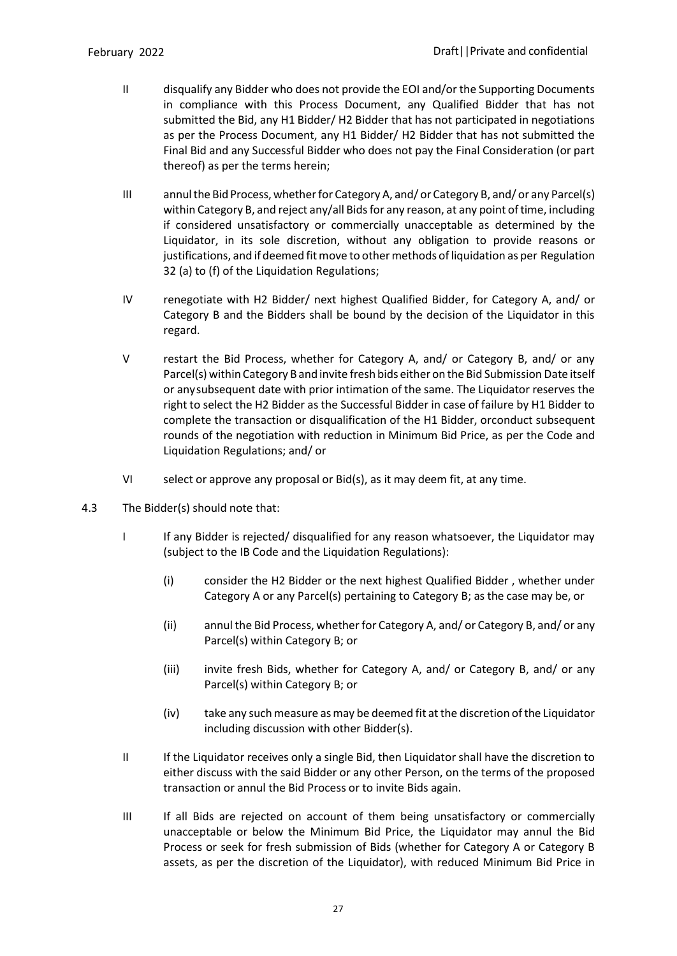- II disqualify any Bidder who does not provide the EOI and/or the Supporting Documents in compliance with this Process Document, any Qualified Bidder that has not submitted the Bid, any H1 Bidder/ H2 Bidder that has not participated in negotiations as per the Process Document, any H1 Bidder/ H2 Bidder that has not submitted the Final Bid and any Successful Bidder who does not pay the Final Consideration (or part thereof) as per the terms herein;
- III annul the Bid Process, whether for Category A, and/ or Category B, and/ or any Parcel(s) within Category B, and reject any/all Bidsfor any reason, at any point oftime, including if considered unsatisfactory or commercially unacceptable as determined by the Liquidator, in its sole discretion, without any obligation to provide reasons or justifications, and if deemed fitmove to othermethods ofliquidation as per Regulation 32 (a) to (f) of the Liquidation Regulations;
- IV renegotiate with H2 Bidder/ next highest Qualified Bidder, for Category A, and/ or Category B and the Bidders shall be bound by the decision of the Liquidator in this regard.
- V restart the Bid Process, whether for Category A, and/ or Category B, and/ or any Parcel(s) within Category B and invite fresh bids either on the Bid Submission Date itself or any subsequent date with prior intimation of the same. The Liquidator reserves the right to select the H2 Bidder as the Successful Bidder in case of failure by H1 Bidder to complete the transaction or disqualification of the H1 Bidder, orconduct subsequent rounds of the negotiation with reduction in Minimum Bid Price, as per the Code and Liquidation Regulations; and/ or
- VI select or approve any proposal or Bid(s), as it may deem fit, at any time.
- 4.3 The Bidder(s) should note that:
	- I If any Bidder is rejected/ disqualified for any reason whatsoever, the Liquidator may (subject to the IB Code and the Liquidation Regulations):
		- (i) consider the H2 Bidder or the next highest Qualified Bidder , whether under Category A or any Parcel(s) pertaining to Category B; as the case may be, or
		- (ii) annul the Bid Process, whether for Category A, and/ or Category B, and/ or any Parcel(s) within Category B; or
		- (iii) invite fresh Bids, whether for Category A, and/ or Category B, and/ or any Parcel(s) within Category B; or
		- (iv) take any suchmeasure asmay be deemed fit atthe discretion ofthe Liquidator including discussion with other Bidder(s).
	- II If the Liquidator receives only a single Bid, then Liquidator shall have the discretion to either discuss with the said Bidder or any other Person, on the terms of the proposed transaction or annul the Bid Process or to invite Bids again.
	- III If all Bids are rejected on account of them being unsatisfactory or commercially unacceptable or below the Minimum Bid Price, the Liquidator may annul the Bid Process or seek for fresh submission of Bids (whether for Category A or Category B assets, as per the discretion of the Liquidator), with reduced Minimum Bid Price in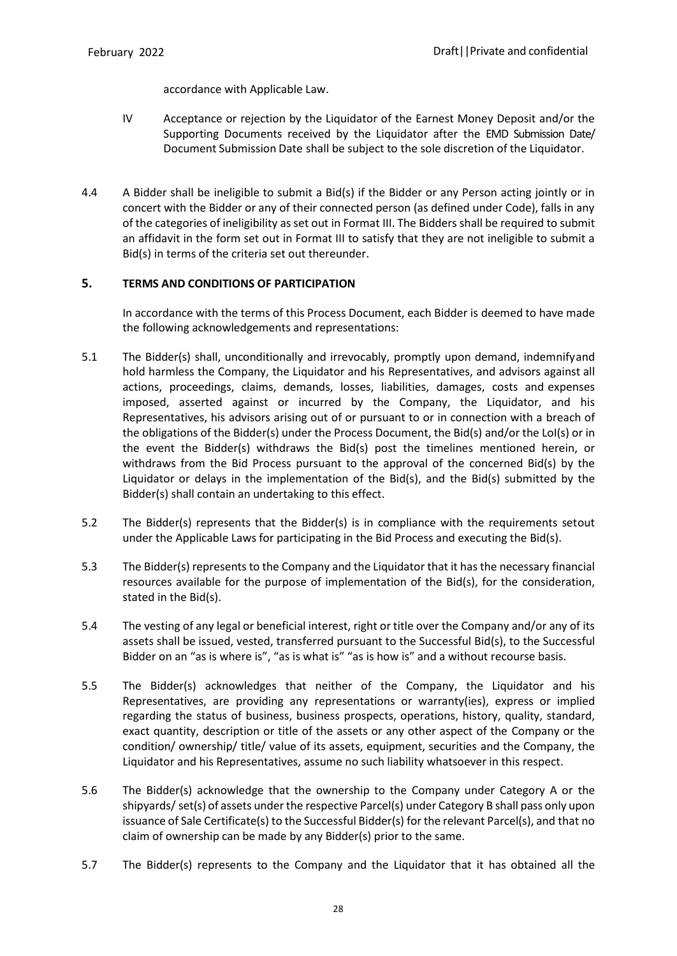accordance with Applicable Law.

- IV Acceptance or rejection by the Liquidator of the Earnest Money Deposit and/or the Supporting Documents received by the Liquidator after the EMD Submission Date/ Document Submission Date shall be subject to the sole discretion of the Liquidator.
- 4.4 A Bidder shall be ineligible to submit a Bid(s) if the Bidder or any Person acting jointly or in concert with the Bidder or any of their connected person (as defined under Code), falls in any of the categories of ineligibility as set out in Format III. The Bidders shall be required to submit an affidavit in the form set out in Format III to satisfy that they are not ineligible to submit a Bid(s) in terms of the criteria set out thereunder.

# <span id="page-33-0"></span>**5. TERMS AND CONDITIONS OF PARTICIPATION**

In accordance with the terms of this Process Document, each Bidder is deemed to have made the following acknowledgements and representations:

- 5.1 The Bidder(s) shall, unconditionally and irrevocably, promptly upon demand, indemnifyand hold harmless the Company, the Liquidator and his Representatives, and advisors against all actions, proceedings, claims, demands, losses, liabilities, damages, costs and expenses imposed, asserted against or incurred by the Company, the Liquidator, and his Representatives, his advisors arising out of or pursuant to or in connection with a breach of the obligations of the Bidder(s) under the Process Document, the Bid(s) and/or the LoI(s) or in the event the Bidder(s) withdraws the Bid(s) post the timelines mentioned herein, or withdraws from the Bid Process pursuant to the approval of the concerned Bid(s) by the Liquidator or delays in the implementation of the Bid(s), and the Bid(s) submitted by the Bidder(s) shall contain an undertaking to this effect.
- 5.2 The Bidder(s) represents that the Bidder(s) is in compliance with the requirements setout under the Applicable Laws for participating in the Bid Process and executing the Bid(s).
- 5.3 The Bidder(s) represents to the Company and the Liquidator that it has the necessary financial resources available for the purpose of implementation of the Bid(s), for the consideration, stated in the Bid(s).
- 5.4 The vesting of any legal or beneficial interest, right or title over the Company and/or any of its assets shall be issued, vested, transferred pursuant to the Successful Bid(s), to the Successful Bidder on an "as is where is", "as is what is" "as is how is" and a without recourse basis.
- 5.5 The Bidder(s) acknowledges that neither of the Company, the Liquidator and his Representatives, are providing any representations or warranty(ies), express or implied regarding the status of business, business prospects, operations, history, quality, standard, exact quantity, description or title of the assets or any other aspect of the Company or the condition/ ownership/ title/ value of its assets, equipment, securities and the Company, the Liquidator and his Representatives, assume no such liability whatsoever in this respect.
- 5.6 The Bidder(s) acknowledge that the ownership to the Company under Category A or the shipyards/ set(s) of assets under the respective Parcel(s) under Category B shall pass only upon issuance of Sale Certificate(s) to the Successful Bidder(s) forthe relevant Parcel(s), and that no claim of ownership can be made by any Bidder(s) prior to the same.
- 5.7 The Bidder(s) represents to the Company and the Liquidator that it has obtained all the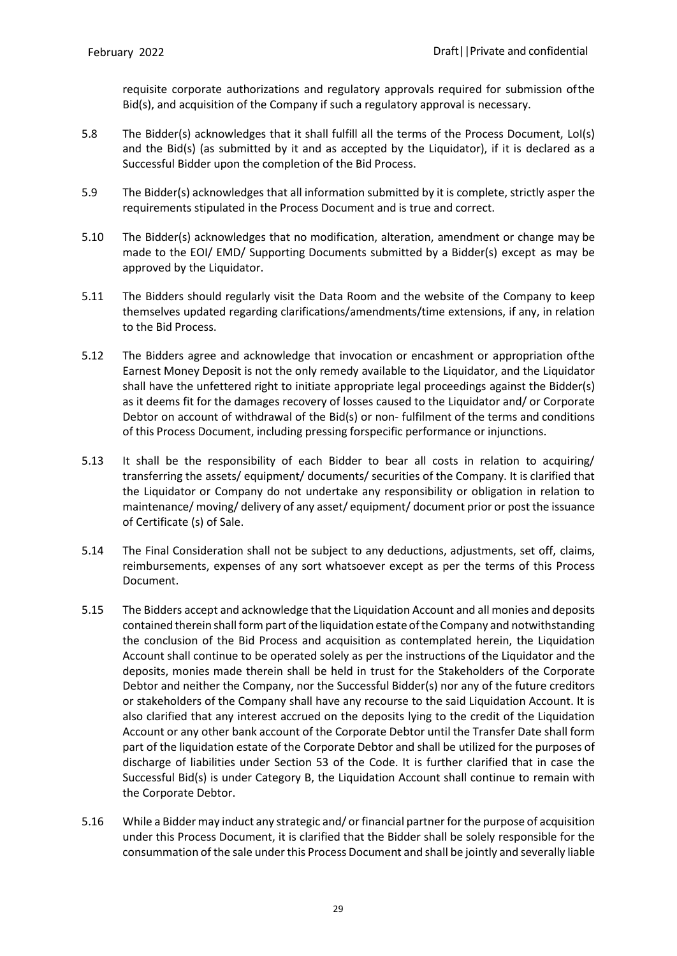requisite corporate authorizations and regulatory approvals required for submission ofthe Bid(s), and acquisition of the Company if such a regulatory approval is necessary.

- 5.8 The Bidder(s) acknowledges that it shall fulfill all the terms of the Process Document, LoI(s) and the Bid(s) (as submitted by it and as accepted by the Liquidator), if it is declared as a Successful Bidder upon the completion of the Bid Process.
- 5.9 The Bidder(s) acknowledges that all information submitted by it is complete, strictly asper the requirements stipulated in the Process Document and is true and correct.
- 5.10 The Bidder(s) acknowledges that no modification, alteration, amendment or change may be made to the EOI/ EMD/ Supporting Documents submitted by a Bidder(s) except as may be approved by the Liquidator.
- 5.11 The Bidders should regularly visit the Data Room and the website of the Company to keep themselves updated regarding clarifications/amendments/time extensions, if any, in relation to the Bid Process.
- 5.12 The Bidders agree and acknowledge that invocation or encashment or appropriation ofthe Earnest Money Deposit is not the only remedy available to the Liquidator, and the Liquidator shall have the unfettered right to initiate appropriate legal proceedings against the Bidder(s) as it deems fit for the damages recovery of losses caused to the Liquidator and/ or Corporate Debtor on account of withdrawal of the Bid(s) or non- fulfilment of the terms and conditions of this Process Document, including pressing forspecific performance or injunctions.
- 5.13 It shall be the responsibility of each Bidder to bear all costs in relation to acquiring/ transferring the assets/ equipment/ documents/ securities of the Company. It is clarified that the Liquidator or Company do not undertake any responsibility or obligation in relation to maintenance/ moving/ delivery of any asset/ equipment/ document prior or post the issuance of Certificate (s) of Sale.
- 5.14 The Final Consideration shall not be subject to any deductions, adjustments, set off, claims, reimbursements, expenses of any sort whatsoever except as per the terms of this Process Document.
- 5.15 The Bidders accept and acknowledge that the Liquidation Account and all monies and deposits contained therein shall form part of the liquidation estate of the Company and notwithstanding the conclusion of the Bid Process and acquisition as contemplated herein, the Liquidation Account shall continue to be operated solely as per the instructions of the Liquidator and the deposits, monies made therein shall be held in trust for the Stakeholders of the Corporate Debtor and neither the Company, nor the Successful Bidder(s) nor any of the future creditors or stakeholders of the Company shall have any recourse to the said Liquidation Account. It is also clarified that any interest accrued on the deposits lying to the credit of the Liquidation Account or any other bank account of the Corporate Debtor until the Transfer Date shall form part of the liquidation estate of the Corporate Debtor and shall be utilized for the purposes of discharge of liabilities under Section 53 of the Code. It is further clarified that in case the Successful Bid(s) is under Category B, the Liquidation Account shall continue to remain with the Corporate Debtor.
- 5.16 While a Bidder may induct any strategic and/ or financial partner for the purpose of acquisition under this Process Document, it is clarified that the Bidder shall be solely responsible for the consummation of the sale under this Process Document and shall be jointly and severally liable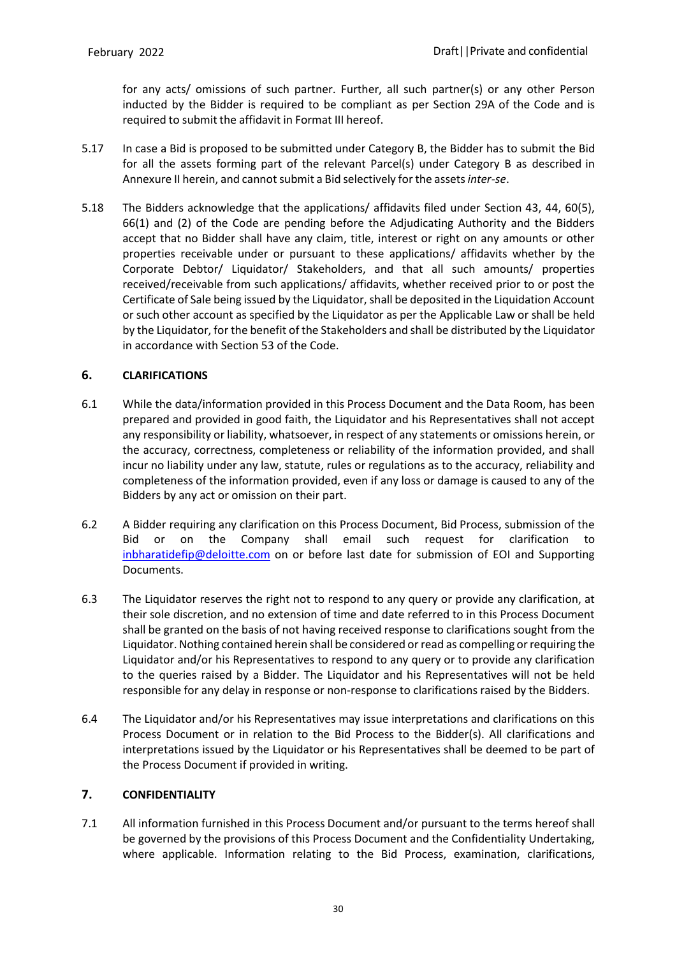for any acts/ omissions of such partner. Further, all such partner(s) or any other Person inducted by the Bidder is required to be compliant as per Section 29A of the Code and is required to submit the affidavit in Format III hereof.

- 5.17 In case a Bid is proposed to be submitted under Category B, the Bidder has to submit the Bid for all the assets forming part of the relevant Parcel(s) under Category B as described in Annexure II herein, and cannot submit a Bid selectively for the assets inter-se.
- 5.18 The Bidders acknowledge that the applications/ affidavits filed under Section 43, 44, 60(5), 66(1) and (2) of the Code are pending before the Adjudicating Authority and the Bidders accept that no Bidder shall have any claim, title, interest or right on any amounts or other properties receivable under or pursuant to these applications/ affidavits whether by the Corporate Debtor/ Liquidator/ Stakeholders, and that all such amounts/ properties received/receivable from such applications/ affidavits, whether received prior to or post the Certificate of Sale being issued by the Liquidator, shall be deposited in the Liquidation Account or such other account as specified by the Liquidator as per the Applicable Law or shall be held by the Liquidator, for the benefit of the Stakeholders and shall be distributed by the Liquidator in accordance with Section 53 of the Code.

# <span id="page-35-0"></span>**6. CLARIFICATIONS**

- 6.1 While the data/information provided in this Process Document and the Data Room, has been prepared and provided in good faith, the Liquidator and his Representatives shall not accept any responsibility or liability, whatsoever, in respect of any statements or omissions herein, or the accuracy, correctness, completeness or reliability of the information provided, and shall incur no liability under any law, statute, rules or regulations as to the accuracy, reliability and completeness of the information provided, even if any loss or damage is caused to any of the Bidders by any act or omission on their part.
- 6.2 A Bidder requiring any clarification on this Process Document, Bid Process, submission of the Bid or on the Company shall email such request for clarification to [inbharatidefip@deloitte.com](mailto:inbharatidefip@deloitte.com) on or before last date for submission of EOI and Supporting Documents.
- 6.3 The Liquidator reserves the right not to respond to any query or provide any clarification, at their sole discretion, and no extension of time and date referred to in this Process Document shall be granted on the basis of not having received response to clarifications sought from the Liquidator. Nothing contained herein shall be considered or read as compelling or requiring the Liquidator and/or his Representatives to respond to any query or to provide any clarification to the queries raised by a Bidder. The Liquidator and his Representatives will not be held responsible for any delay in response or non-response to clarifications raised by the Bidders.
- 6.4 The Liquidator and/or his Representatives may issue interpretations and clarifications on this Process Document or in relation to the Bid Process to the Bidder(s). All clarifications and interpretations issued by the Liquidator or his Representatives shall be deemed to be part of the Process Document if provided in writing.

# <span id="page-35-1"></span>**7. CONFIDENTIALITY**

7.1 All information furnished in this Process Document and/or pursuant to the terms hereof shall be governed by the provisions of this Process Document and the Confidentiality Undertaking, where applicable. Information relating to the Bid Process, examination, clarifications,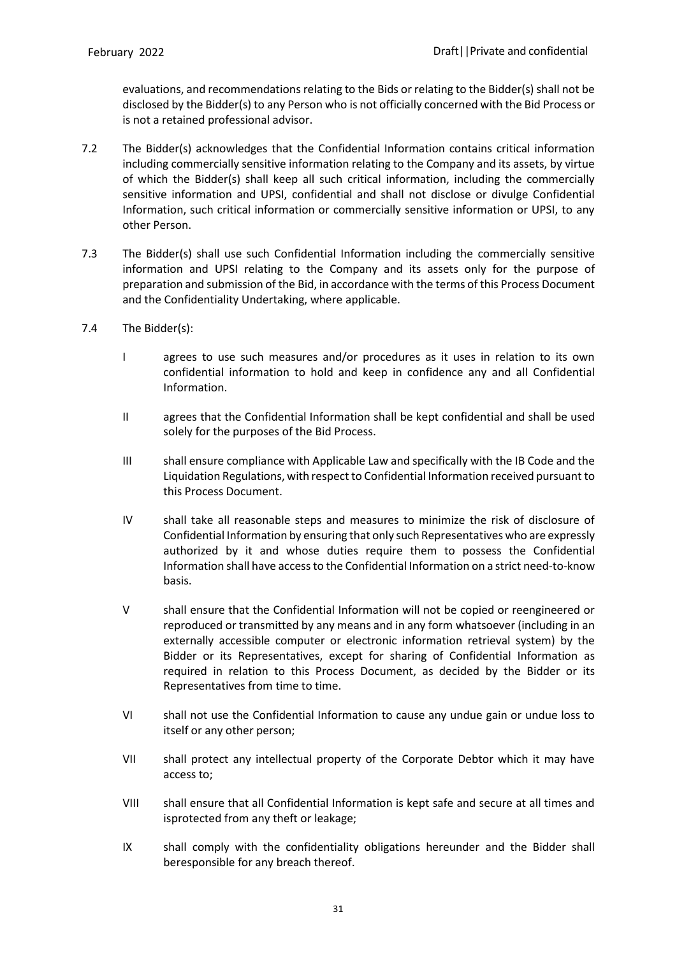evaluations, and recommendations relating to the Bids or relating to the Bidder(s) shall not be disclosed by the Bidder(s) to any Person who is not officially concerned with the Bid Process or is not a retained professional advisor.

- 7.2 The Bidder(s) acknowledges that the Confidential Information contains critical information including commercially sensitive information relating to the Company and its assets, by virtue of which the Bidder(s) shall keep all such critical information, including the commercially sensitive information and UPSI, confidential and shall not disclose or divulge Confidential Information, such critical information or commercially sensitive information or UPSI, to any other Person.
- 7.3 The Bidder(s) shall use such Confidential Information including the commercially sensitive information and UPSI relating to the Company and its assets only for the purpose of preparation and submission of the Bid, in accordance with the terms of this Process Document and the Confidentiality Undertaking, where applicable.
- 7.4 The Bidder(s):
	- I agrees to use such measures and/or procedures as it uses in relation to its own confidential information to hold and keep in confidence any and all Confidential Information.
	- II agrees that the Confidential Information shall be kept confidential and shall be used solely for the purposes of the Bid Process.
	- III shall ensure compliance with Applicable Law and specifically with the IB Code and the Liquidation Regulations, with respect to Confidential Information received pursuant to this Process Document.
	- IV shall take all reasonable steps and measures to minimize the risk of disclosure of Confidential Information by ensuring that only such Representatives who are expressly authorized by it and whose duties require them to possess the Confidential Information shall have accessto the Confidential Information on a strict need-to-know basis.
	- V shall ensure that the Confidential Information will not be copied or reengineered or reproduced or transmitted by any means and in any form whatsoever (including in an externally accessible computer or electronic information retrieval system) by the Bidder or its Representatives, except for sharing of Confidential Information as required in relation to this Process Document, as decided by the Bidder or its Representatives from time to time.
	- VI shall not use the Confidential Information to cause any undue gain or undue loss to itself or any other person;
	- VII shall protect any intellectual property of the Corporate Debtor which it may have access to;
	- VIII shall ensure that all Confidential Information is kept safe and secure at all times and isprotected from any theft or leakage;
	- IX shall comply with the confidentiality obligations hereunder and the Bidder shall beresponsible for any breach thereof.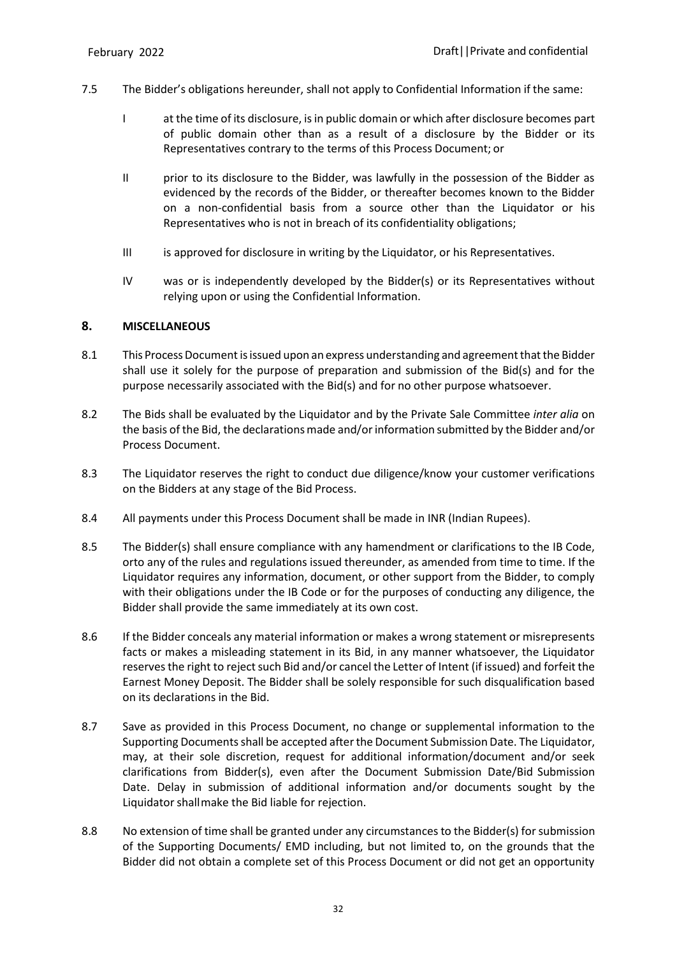- 7.5 The Bidder's obligations hereunder, shall not apply to Confidential Information if the same:
	- I at the time of its disclosure, is in public domain or which after disclosure becomes part of public domain other than as a result of a disclosure by the Bidder or its Representatives contrary to the terms of this Process Document; or
	- II prior to its disclosure to the Bidder, was lawfully in the possession of the Bidder as evidenced by the records of the Bidder, or thereafter becomes known to the Bidder on a non-confidential basis from a source other than the Liquidator or his Representatives who is not in breach of its confidentiality obligations;
	- III is approved for disclosure in writing by the Liquidator, or his Representatives.
	- IV was or is independently developed by the Bidder(s) or its Representatives without relying upon or using the Confidential Information.

#### **8. MISCELLANEOUS**

- 8.1 This Process Document is issued upon an express understanding and agreement that the Bidder shall use it solely for the purpose of preparation and submission of the Bid(s) and for the purpose necessarily associated with the Bid(s) and for no other purpose whatsoever.
- 8.2 The Bids shall be evaluated by the Liquidator and by the Private Sale Committee *inter alia* on the basis of the Bid, the declarations made and/or information submitted by the Bidder and/or Process Document.
- 8.3 The Liquidator reserves the right to conduct due diligence/know your customer verifications on the Bidders at any stage of the Bid Process.
- 8.4 All payments under this Process Document shall be made in INR (Indian Rupees).
- 8.5 The Bidder(s) shall ensure compliance with any hamendment or clarifications to the IB Code, orto any of the rules and regulations issued thereunder, as amended from time to time. If the Liquidator requires any information, document, or other support from the Bidder, to comply with their obligations under the IB Code or for the purposes of conducting any diligence, the Bidder shall provide the same immediately at its own cost.
- 8.6 If the Bidder conceals any material information or makes a wrong statement or misrepresents facts or makes a misleading statement in its Bid, in any manner whatsoever, the Liquidator reserves the right to reject such Bid and/or cancel the Letter of Intent (if issued) and forfeit the Earnest Money Deposit. The Bidder shall be solely responsible for such disqualification based on its declarations in the Bid.
- 8.7 Save as provided in this Process Document, no change or supplemental information to the Supporting Documents shall be accepted after the Document Submission Date. The Liquidator, may, at their sole discretion, request for additional information/document and/or seek clarifications from Bidder(s), even after the Document Submission Date/Bid Submission Date. Delay in submission of additional information and/or documents sought by the Liquidatorshall make the Bid liable for rejection.
- 8.8 No extension of time shall be granted under any circumstances to the Bidder(s) for submission of the Supporting Documents/ EMD including, but not limited to, on the grounds that the Bidder did not obtain a complete set of this Process Document or did not get an opportunity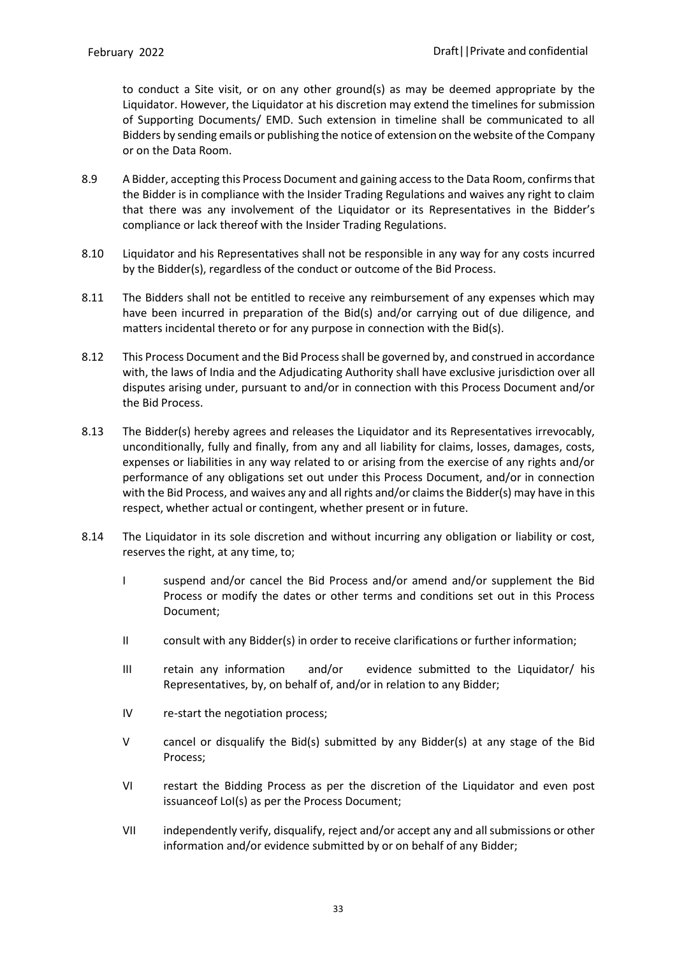to conduct a Site visit, or on any other ground(s) as may be deemed appropriate by the Liquidator. However, the Liquidator at his discretion may extend the timelines for submission of Supporting Documents/ EMD. Such extension in timeline shall be communicated to all Bidders by sending emails or publishing the notice of extension on the website of the Company or on the Data Room.

- 8.9 A Bidder, accepting this Process Document and gaining accessto the Data Room, confirmsthat the Bidder is in compliance with the Insider Trading Regulations and waives any right to claim that there was any involvement of the Liquidator or its Representatives in the Bidder's compliance or lack thereof with the Insider Trading Regulations.
- 8.10 Liquidator and his Representatives shall not be responsible in any way for any costs incurred by the Bidder(s), regardless of the conduct or outcome of the Bid Process.
- 8.11 The Bidders shall not be entitled to receive any reimbursement of any expenses which may have been incurred in preparation of the Bid(s) and/or carrying out of due diligence, and matters incidental thereto or for any purpose in connection with the Bid(s).
- 8.12 This Process Document and the Bid Process shall be governed by, and construed in accordance with, the laws of India and the Adjudicating Authority shall have exclusive jurisdiction over all disputes arising under, pursuant to and/or in connection with this Process Document and/or the Bid Process.
- 8.13 The Bidder(s) hereby agrees and releases the Liquidator and its Representatives irrevocably, unconditionally, fully and finally, from any and all liability for claims, losses, damages, costs, expenses or liabilities in any way related to or arising from the exercise of any rights and/or performance of any obligations set out under this Process Document, and/or in connection with the Bid Process, and waives any and all rights and/or claims the Bidder(s) may have in this respect, whether actual or contingent, whether present or in future.
- 8.14 The Liquidator in its sole discretion and without incurring any obligation or liability or cost, reserves the right, at any time, to;
	- I suspend and/or cancel the Bid Process and/or amend and/or supplement the Bid Process or modify the dates or other terms and conditions set out in this Process Document;
	- II consult with any Bidder(s) in order to receive clarifications or further information;
	- III retain any information and/or evidence submitted to the Liquidator/ his Representatives, by, on behalf of, and/or in relation to any Bidder;
	- IV re-start the negotiation process;
	- V cancel or disqualify the Bid(s) submitted by any Bidder(s) at any stage of the Bid Process;
	- VI restart the Bidding Process as per the discretion of the Liquidator and even post issuanceof LoI(s) as per the Process Document;
	- VII independently verify, disqualify, reject and/or accept any and all submissions or other information and/or evidence submitted by or on behalf of any Bidder;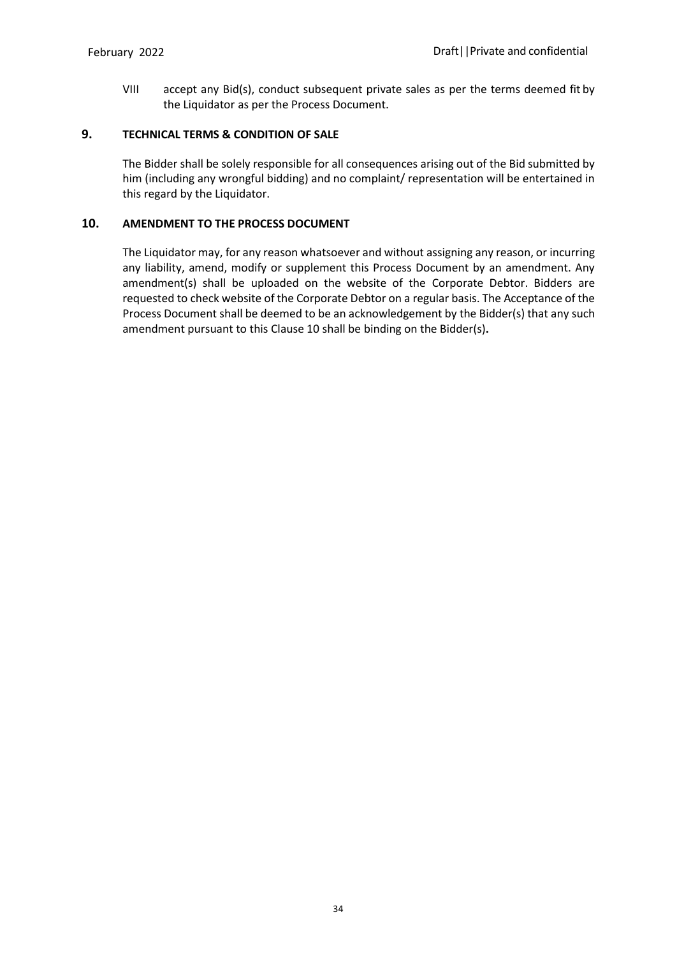VIII accept any Bid(s), conduct subsequent private sales as per the terms deemed fit by the Liquidator as per the Process Document.

## **9. TECHNICAL TERMS & CONDITION OF SALE**

The Bidder shall be solely responsible for all consequences arising out of the Bid submitted by him (including any wrongful bidding) and no complaint/ representation will be entertained in this regard by the Liquidator.

## **10. AMENDMENT TO THE PROCESS DOCUMENT**

The Liquidator may, for any reason whatsoever and without assigning any reason, or incurring any liability, amend, modify or supplement this Process Document by an amendment. Any amendment(s) shall be uploaded on the website of the Corporate Debtor. Bidders are requested to check website of the Corporate Debtor on a regular basis. The Acceptance of the Process Document shall be deemed to be an acknowledgement by the Bidder(s) that any such amendment pursuant to this Clause 10 shall be binding on the Bidder(s)**.**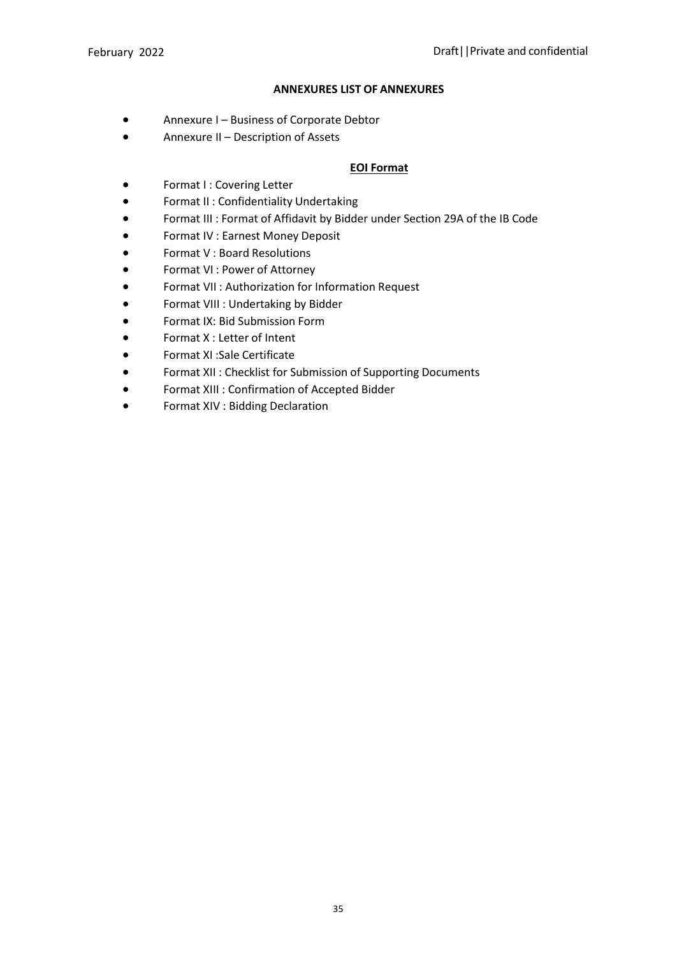### **ANNEXURES LIST OF ANNEXURES**

- Annexure I Business of Corporate Debtor
- Annexure II Description of Assets

## **EOI Format**

- Format I : Covering Letter
- Format II : Confidentiality Undertaking
- Format III : Format of Affidavit by Bidder under Section 29A of the IB Code
- Format IV : Earnest Money Deposit
- Format V : Board Resolutions
- Format VI : Power of Attorney
- Format VII : Authorization for Information Request
- Format VIII : Undertaking by Bidder
- Format IX: Bid Submission Form
- Format X : Letter of Intent
- Format XI :Sale Certificate
- Format XII : Checklist for Submission of Supporting Documents
- Format XIII : Confirmation of Accepted Bidder
- Format XIV : Bidding Declaration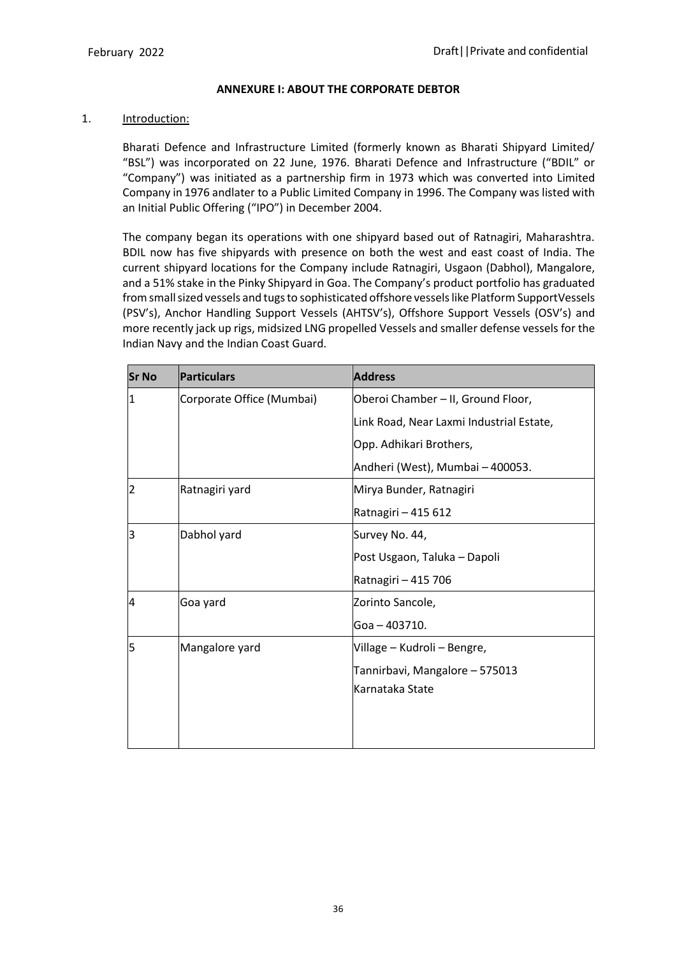#### **ANNEXURE I: ABOUT THE CORPORATE DEBTOR**

#### 1. **Introduction:**

Bharati Defence and Infrastructure Limited (formerly known as Bharati Shipyard Limited/ "BSL") was incorporated on 22 June, 1976. Bharati Defence and Infrastructure ("BDIL" or "Company") was initiated as a partnership firm in 1973 which was converted into Limited Company in 1976 andlater to a Public Limited Company in 1996. The Company was listed with an Initial Public Offering ("IPO") in December 2004.

The company began its operations with one shipyard based out of Ratnagiri, Maharashtra. BDIL now has five shipyards with presence on both the west and east coast of India. The current shipyard locations for the Company include Ratnagiri, Usgaon (Dabhol), Mangalore, and a 51% stake in the Pinky Shipyard in Goa. The Company's product portfolio has graduated from small sized vessels and tugs to sophisticated offshore vessels like Platform SupportVessels (PSV's), Anchor Handling Support Vessels (AHTSV's), Offshore Support Vessels (OSV's) and more recently jack up rigs, midsized LNG propelled Vessels and smaller defense vessels for the Indian Navy and the Indian Coast Guard.

| <b>Sr No</b>   | <b>Particulars</b>        | <b>Address</b>                           |
|----------------|---------------------------|------------------------------------------|
| 1              | Corporate Office (Mumbai) | Oberoi Chamber - II, Ground Floor,       |
|                |                           | Link Road, Near Laxmi Industrial Estate, |
|                |                           | Opp. Adhikari Brothers,                  |
|                |                           | Andheri (West), Mumbai - 400053.         |
| $\overline{2}$ | Ratnagiri yard            | Mirya Bunder, Ratnagiri                  |
|                |                           | Ratnagiri - 415 612                      |
| 3              | Dabhol yard               | Survey No. 44,                           |
|                |                           | Post Usgaon, Taluka - Dapoli             |
|                |                           | Ratnagiri - 415 706                      |
| 4              | Goa yard                  | Zorinto Sancole,                         |
|                |                           | Goa - 403710.                            |
| 5              | Mangalore yard            | Village - Kudroli - Bengre,              |
|                |                           | Tannirbavi, Mangalore - 575013           |
|                |                           | Karnataka State                          |
|                |                           |                                          |
|                |                           |                                          |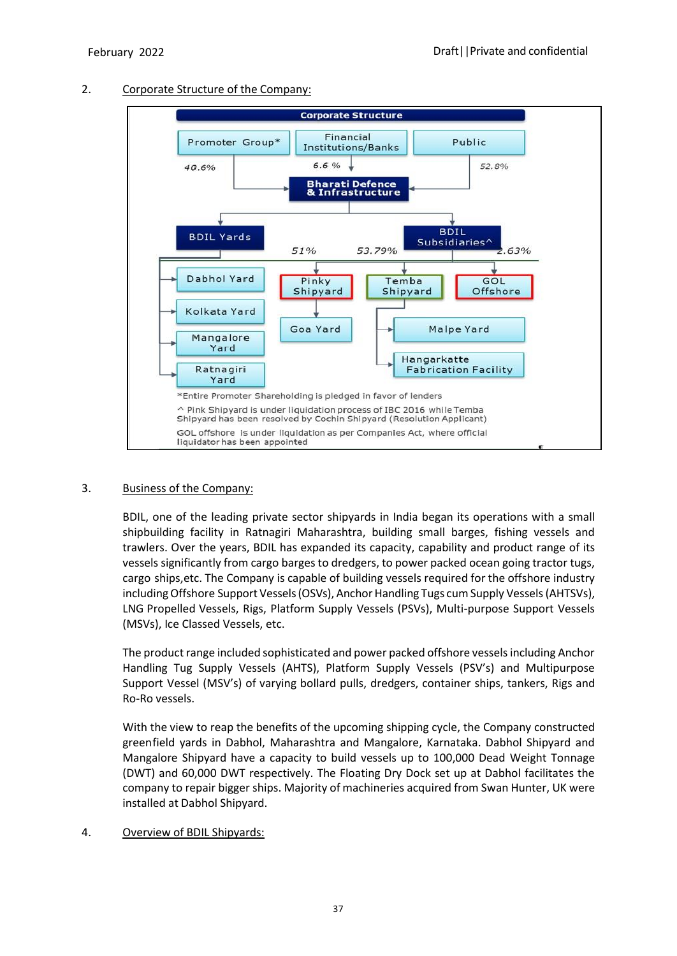

## 2. Corporate Structure of the Company:

## 3. Business of the Company:

BDIL, one of the leading private sector shipyards in India began its operations with a small shipbuilding facility in Ratnagiri Maharashtra, building small barges, fishing vessels and trawlers. Over the years, BDIL has expanded its capacity, capability and product range of its vessels significantly from cargo barges to dredgers, to power packed ocean going tractor tugs, cargo ships,etc. The Company is capable of building vessels required for the offshore industry including Offshore Support Vessels (OSVs), Anchor Handling Tugs cum Supply Vessels (AHTSVs), LNG Propelled Vessels, Rigs, Platform Supply Vessels (PSVs), Multi-purpose Support Vessels (MSVs), Ice Classed Vessels, etc.

The product range included sophisticated and power packed offshore vessels including Anchor Handling Tug Supply Vessels (AHTS), Platform Supply Vessels (PSV's) and Multipurpose Support Vessel (MSV's) of varying bollard pulls, dredgers, container ships, tankers, Rigs and Ro-Ro vessels.

With the view to reap the benefits of the upcoming shipping cycle, the Company constructed greenfield yards in Dabhol, Maharashtra and Mangalore, Karnataka. Dabhol Shipyard and Mangalore Shipyard have a capacity to build vessels up to 100,000 Dead Weight Tonnage (DWT) and 60,000 DWT respectively. The Floating Dry Dock set up at Dabhol facilitates the company to repair bigger ships. Majority of machineries acquired from Swan Hunter, UK were installed at Dabhol Shipyard.

## 4. Overview of BDIL Shipyards: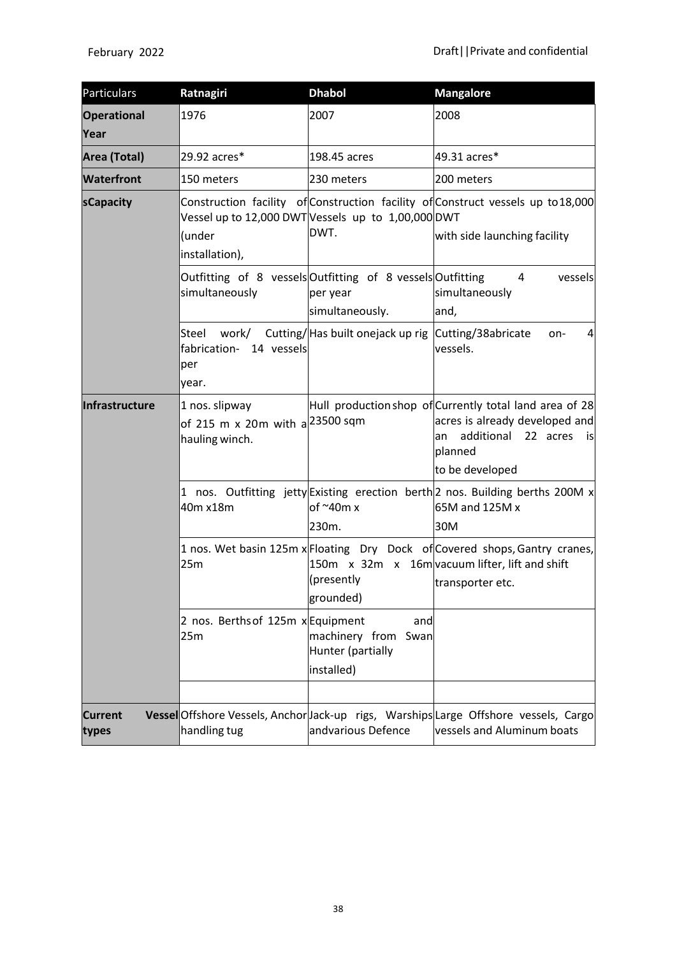| <b>Particulars</b>         | Ratnagiri                                                                     | <b>Dhabol</b>                                                 | <b>Mangalore</b>                                                                                                                                                 |
|----------------------------|-------------------------------------------------------------------------------|---------------------------------------------------------------|------------------------------------------------------------------------------------------------------------------------------------------------------------------|
| <b>Operational</b><br>Year | 1976                                                                          | 2007                                                          | 2008                                                                                                                                                             |
| Area (Total)               | 29.92 acres*                                                                  | 198.45 acres                                                  | 49.31 acres*                                                                                                                                                     |
| <b>Waterfront</b>          | 150 meters                                                                    | 230 meters                                                    | 200 meters                                                                                                                                                       |
| sCapacity                  | Vessel up to 12,000 DWTVessels up to 1,00,000 DWT<br>(under<br>installation), | DWT.                                                          | Construction facility of Construction facility of Construct vessels up to 18,000<br>with side launching facility                                                 |
|                            | Outfitting of 8 vessels Outfitting of 8 vessels Outfitting<br>simultaneously  | per year<br>simultaneously.                                   | 4<br>vessels<br>simultaneously<br>and,                                                                                                                           |
|                            | Steel<br>work/<br>fabrication- 14 vessels<br>per<br>year.                     | Cutting/Has built onejack up rig Cutting/38abricate           | on-<br>4<br>vessels.                                                                                                                                             |
| Infrastructure             | 1 nos. slipway<br>of 215 m x 20m with a $\sim$ 23500 sqm<br>hauling winch.    |                                                               | Hull production shop of Currently total land area of 28<br>acres is already developed and<br>additional<br>22 acres<br>an<br>is is<br>planned<br>to be developed |
|                            | 40m x18m                                                                      | of $\sim$ 40m x<br>230m.                                      | 1 nos. Outfitting jetty Existing erection berth 2 nos. Building berths 200M x<br>65M and 125M x<br>30M                                                           |
|                            | 25m                                                                           | (presently<br>grounded)                                       | 1 nos. Wet basin 125m x Floating Dry Dock of Covered shops, Gantry cranes,<br>150 $m \times 32m \times 16m$ vacuum lifter, lift and shift<br>transporter etc.    |
|                            | 2 nos. Berths of 125m x Equipment<br>25m                                      | and<br>machinery from Swan<br>Hunter (partially<br>installed) |                                                                                                                                                                  |
| <b>Current</b><br>types    | handling tug                                                                  | andvarious Defence                                            | Vessel Offshore Vessels, Anchor Jack-up rigs, Warships Large Offshore vessels, Cargo<br>vessels and Aluminum boats                                               |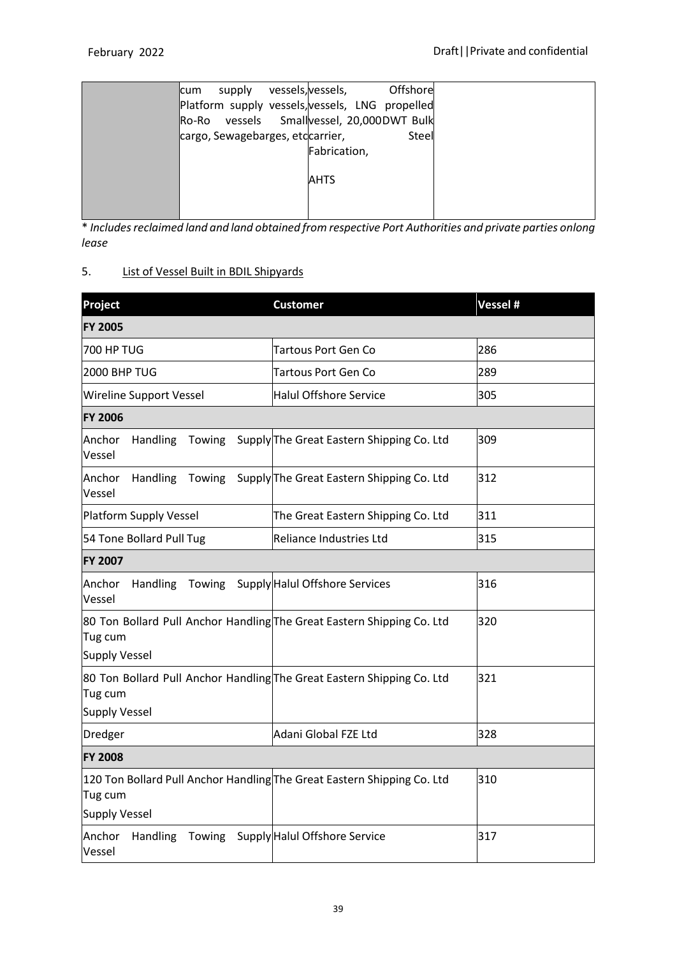| supply<br>lcum                                  | vessels, vessels, | Offshore |  |
|-------------------------------------------------|-------------------|----------|--|
| Platform supply vessels, vessels, LNG propelled |                   |          |  |
| Ro-Ro vessels Smallvessel, 20,000DWT Bulk       |                   |          |  |
| cargo, Sewagebarges, etccarrier,                |                   | Steel    |  |
|                                                 | Fabrication,      |          |  |
|                                                 |                   |          |  |
|                                                 | <b>AHTS</b>       |          |  |
|                                                 |                   |          |  |
|                                                 |                   |          |  |

\* *Includesreclaimed land and land obtained from respective Port Authorities and private parties onlong lease*

# 5. List of Vessel Built in BDIL Shipyards

| Project                                                                                                    | <b>Customer</b>                                  | Vessel # |  |
|------------------------------------------------------------------------------------------------------------|--------------------------------------------------|----------|--|
| <b>FY 2005</b>                                                                                             |                                                  |          |  |
| <b>700 HP TUG</b>                                                                                          | <b>Tartous Port Gen Co</b>                       | 286      |  |
| 2000 BHP TUG                                                                                               | <b>Tartous Port Gen Co</b>                       | 289      |  |
| Wireline Support Vessel                                                                                    | <b>Halul Offshore Service</b>                    | 305      |  |
| <b>FY 2006</b>                                                                                             |                                                  |          |  |
| Anchor<br>Handling<br>Vessel                                                                               | Towing Supply The Great Eastern Shipping Co. Ltd | 309      |  |
| Anchor<br>Handling<br>Towing<br>Vessel                                                                     | Supply The Great Eastern Shipping Co. Ltd        | 312      |  |
| <b>Platform Supply Vessel</b>                                                                              | The Great Eastern Shipping Co. Ltd               | 311      |  |
| 54 Tone Bollard Pull Tug                                                                                   | Reliance Industries Ltd                          | 315      |  |
| <b>FY 2007</b>                                                                                             |                                                  |          |  |
| Anchor<br><b>Handling</b><br>Vessel                                                                        | Towing Supply Halul Offshore Services            | 316      |  |
| 80 Ton Bollard Pull Anchor Handling The Great Eastern Shipping Co. Ltd<br>Tug cum<br><b>Supply Vessel</b>  |                                                  | 320      |  |
| 80 Ton Bollard Pull Anchor Handling The Great Eastern Shipping Co. Ltd<br>Tug cum<br><b>Supply Vessel</b>  |                                                  | 321      |  |
| Dredger                                                                                                    | Adani Global FZE Ltd                             | 328      |  |
| <b>FY 2008</b>                                                                                             |                                                  |          |  |
| 120 Ton Bollard Pull Anchor Handling The Great Eastern Shipping Co. Ltd<br>Tug cum<br><b>Supply Vessel</b> |                                                  | 310      |  |
| Handling<br>Anchor<br>Vessel                                                                               | Towing Supply Halul Offshore Service             | 317      |  |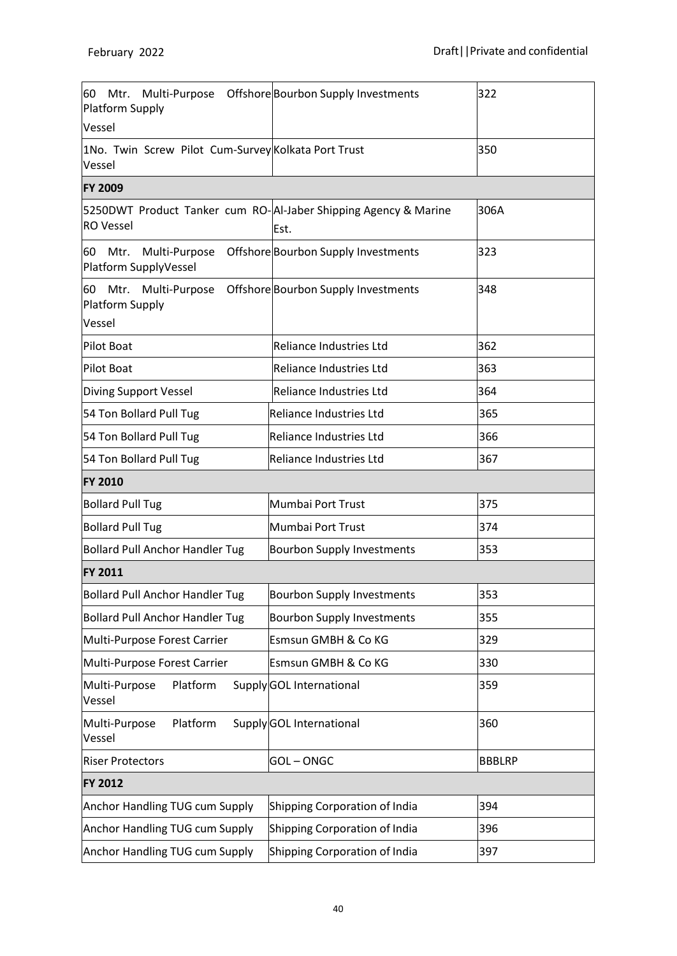| 60 Mtr. Multi-Purpose Offshore Bourbon Supply Investments<br>Platform Supply        |                                                   | 322           |
|-------------------------------------------------------------------------------------|---------------------------------------------------|---------------|
| Vessel                                                                              |                                                   |               |
| 1No. Twin Screw Pilot Cum-Survey Kolkata Port Trust<br>Vessel                       |                                                   | 350           |
| <b>FY 2009</b>                                                                      |                                                   |               |
| 5250DWT Product Tanker cum RO-AI-Jaber Shipping Agency & Marine<br><b>RO</b> Vessel | Est.                                              | 306A          |
| Mtr.<br>Multi-Purpose<br>60<br>Platform SupplyVessel                                | Offshore Bourbon Supply Investments               | 323           |
| 60 Mtr.<br>Platform Supply<br>Vessel                                                | Multi-Purpose Offshore Bourbon Supply Investments | 348           |
| Pilot Boat                                                                          | Reliance Industries Ltd                           | 362           |
| <b>Pilot Boat</b>                                                                   | Reliance Industries Ltd                           | 363           |
| Diving Support Vessel                                                               | <b>Reliance Industries Ltd</b>                    | 364           |
| 54 Ton Bollard Pull Tug                                                             | Reliance Industries Ltd                           | 365           |
| 54 Ton Bollard Pull Tug                                                             | <b>Reliance Industries Ltd</b>                    | 366           |
| 54 Ton Bollard Pull Tug                                                             | <b>Reliance Industries Ltd</b>                    | 367           |
| <b>FY 2010</b>                                                                      |                                                   |               |
| <b>Bollard Pull Tug</b>                                                             | Mumbai Port Trust                                 | 375           |
| <b>Bollard Pull Tug</b>                                                             | Mumbai Port Trust                                 | 374           |
| <b>Bollard Pull Anchor Handler Tug</b>                                              | <b>Bourbon Supply Investments</b>                 | 353           |
| <b>FY 2011</b>                                                                      |                                                   |               |
| <b>Bollard Pull Anchor Handler Tug</b>                                              | <b>Bourbon Supply Investments</b>                 | 353           |
| <b>Bollard Pull Anchor Handler Tug</b>                                              | <b>Bourbon Supply Investments</b>                 | 355           |
| Multi-Purpose Forest Carrier                                                        | Esmsun GMBH & Co KG                               | 329           |
| Multi-Purpose Forest Carrier                                                        | Esmsun GMBH & Co KG                               | 330           |
| Platform<br>Multi-Purpose<br>Vessel                                                 | Supply GOL International                          | 359           |
| Platform<br>Multi-Purpose<br>Vessel                                                 | Supply GOL International                          | 360           |
| <b>Riser Protectors</b>                                                             | <b>GOL-ONGC</b>                                   | <b>BBBLRP</b> |
| <b>FY 2012</b>                                                                      |                                                   |               |
| Anchor Handling TUG cum Supply                                                      | Shipping Corporation of India                     | 394           |
| <b>Anchor Handling TUG cum Supply</b>                                               | Shipping Corporation of India                     | 396           |
| <b>Anchor Handling TUG cum Supply</b>                                               | Shipping Corporation of India<br>397              |               |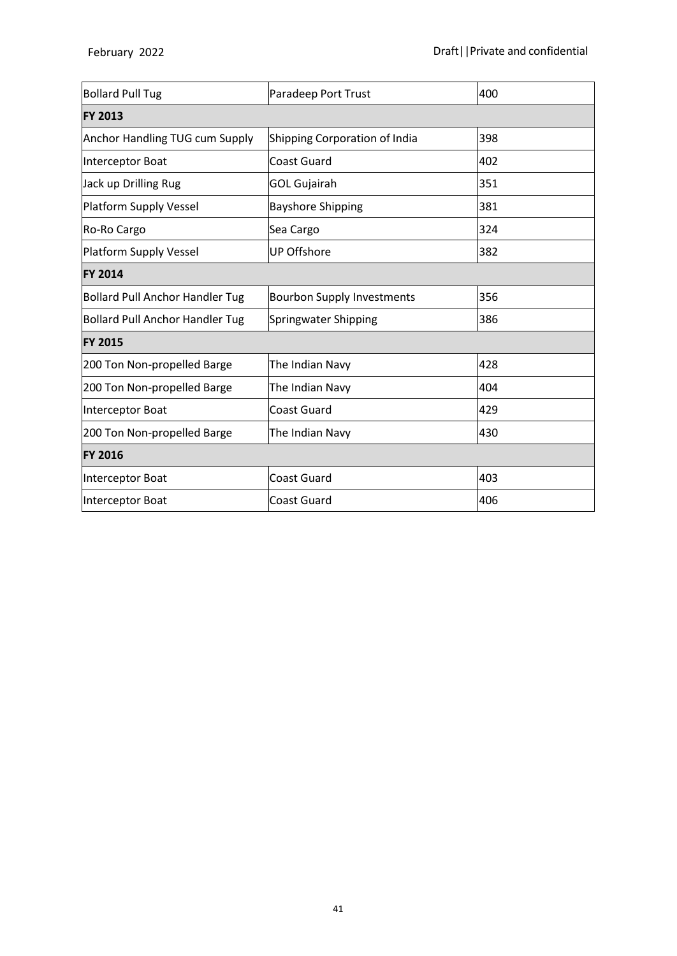| <b>Bollard Pull Tug</b>                | Paradeep Port Trust               | 400 |
|----------------------------------------|-----------------------------------|-----|
| <b>FY 2013</b>                         |                                   |     |
| Anchor Handling TUG cum Supply         | Shipping Corporation of India     | 398 |
| Interceptor Boat                       | Coast Guard                       | 402 |
| Jack up Drilling Rug                   | <b>GOL Gujairah</b>               | 351 |
| Platform Supply Vessel                 | <b>Bayshore Shipping</b>          | 381 |
| Ro-Ro Cargo                            | Sea Cargo                         | 324 |
| Platform Supply Vessel                 | <b>UP Offshore</b>                | 382 |
| <b>FY 2014</b>                         |                                   |     |
| <b>Bollard Pull Anchor Handler Tug</b> | <b>Bourbon Supply Investments</b> | 356 |
| <b>Bollard Pull Anchor Handler Tug</b> | Springwater Shipping              | 386 |
| <b>FY 2015</b>                         |                                   |     |
| 200 Ton Non-propelled Barge            | The Indian Navy                   | 428 |
| 200 Ton Non-propelled Barge            | The Indian Navy                   | 404 |
| Interceptor Boat                       | <b>Coast Guard</b>                | 429 |
| 200 Ton Non-propelled Barge            | The Indian Navy                   | 430 |
| <b>FY 2016</b>                         |                                   |     |
| Interceptor Boat                       | <b>Coast Guard</b>                | 403 |
| Interceptor Boat                       | <b>Coast Guard</b>                | 406 |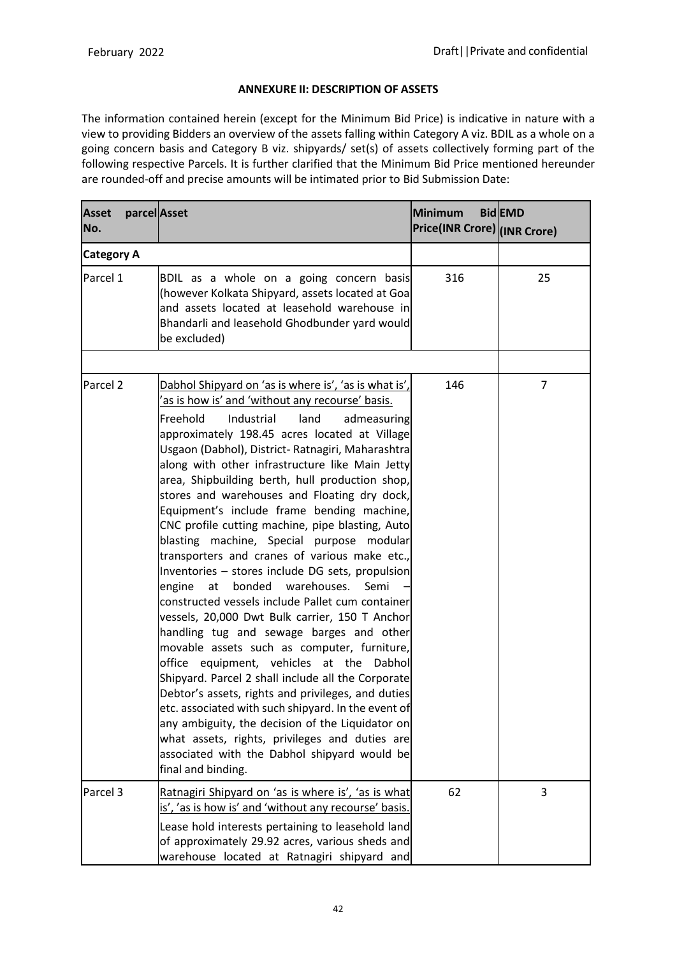### **ANNEXURE II: DESCRIPTION OF ASSETS**

The information contained herein (except for the Minimum Bid Price) is indicative in nature with a view to providing Bidders an overview of the assets falling within Category A viz. BDIL as a whole on a going concern basis and Category B viz. shipyards/ set(s) of assets collectively forming part of the following respective Parcels. It is further clarified that the Minimum Bid Price mentioned hereunder are rounded-off and precise amounts will be intimated prior to Bid Submission Date:

| <b>Asset</b><br>No. | parcel Asset |                                                                                                                                                                                                                                                                                                                                                                                                                                                                                                                                                                                                                                                                                                                                                                                                                                                                                                                                                                                                                                                                                                                                                                                                                                                                                                                      | <b>Minimum</b><br>Price(INR Crore) (INR Crore) | <b>BidEMD</b> |
|---------------------|--------------|----------------------------------------------------------------------------------------------------------------------------------------------------------------------------------------------------------------------------------------------------------------------------------------------------------------------------------------------------------------------------------------------------------------------------------------------------------------------------------------------------------------------------------------------------------------------------------------------------------------------------------------------------------------------------------------------------------------------------------------------------------------------------------------------------------------------------------------------------------------------------------------------------------------------------------------------------------------------------------------------------------------------------------------------------------------------------------------------------------------------------------------------------------------------------------------------------------------------------------------------------------------------------------------------------------------------|------------------------------------------------|---------------|
| <b>Category A</b>   |              |                                                                                                                                                                                                                                                                                                                                                                                                                                                                                                                                                                                                                                                                                                                                                                                                                                                                                                                                                                                                                                                                                                                                                                                                                                                                                                                      |                                                |               |
| Parcel 1            |              | BDIL as a whole on a going concern basis<br>(however Kolkata Shipyard, assets located at Goa<br>and assets located at leasehold warehouse in<br>Bhandarli and leasehold Ghodbunder yard would<br>be excluded)                                                                                                                                                                                                                                                                                                                                                                                                                                                                                                                                                                                                                                                                                                                                                                                                                                                                                                                                                                                                                                                                                                        | 316                                            | 25            |
| Parcel <sub>2</sub> |              | Dabhol Shipyard on 'as is where is', 'as is what is',<br>'as is how is' and 'without any recourse' basis.<br>Freehold<br>Industrial<br>land<br>admeasuring<br>approximately 198.45 acres located at Village<br>Usgaon (Dabhol), District- Ratnagiri, Maharashtra<br>along with other infrastructure like Main Jetty<br>area, Shipbuilding berth, hull production shop,<br>stores and warehouses and Floating dry dock,<br>Equipment's include frame bending machine,<br>CNC profile cutting machine, pipe blasting, Auto<br>blasting machine, Special purpose modular<br>transporters and cranes of various make etc.,<br>Inventories - stores include DG sets, propulsion<br>engine<br>at<br>bonded warehouses.<br>Semi<br>constructed vessels include Pallet cum container<br>vessels, 20,000 Dwt Bulk carrier, 150 T Anchor<br>handling tug and sewage barges and other<br>movable assets such as computer, furniture,<br>office equipment, vehicles at the Dabhol<br>Shipyard. Parcel 2 shall include all the Corporate<br>Debtor's assets, rights and privileges, and duties<br>etc. associated with such shipyard. In the event of<br>any ambiguity, the decision of the Liquidator on<br>what assets, rights, privileges and duties are<br>associated with the Dabhol shipyard would be<br>final and binding. | 146                                            | 7             |
| Parcel 3            |              | Ratnagiri Shipyard on 'as is where is', 'as is what<br>is', 'as is how is' and 'without any recourse' basis.<br>Lease hold interests pertaining to leasehold land<br>of approximately 29.92 acres, various sheds and<br>warehouse located at Ratnagiri shipyard and                                                                                                                                                                                                                                                                                                                                                                                                                                                                                                                                                                                                                                                                                                                                                                                                                                                                                                                                                                                                                                                  | 62                                             | 3             |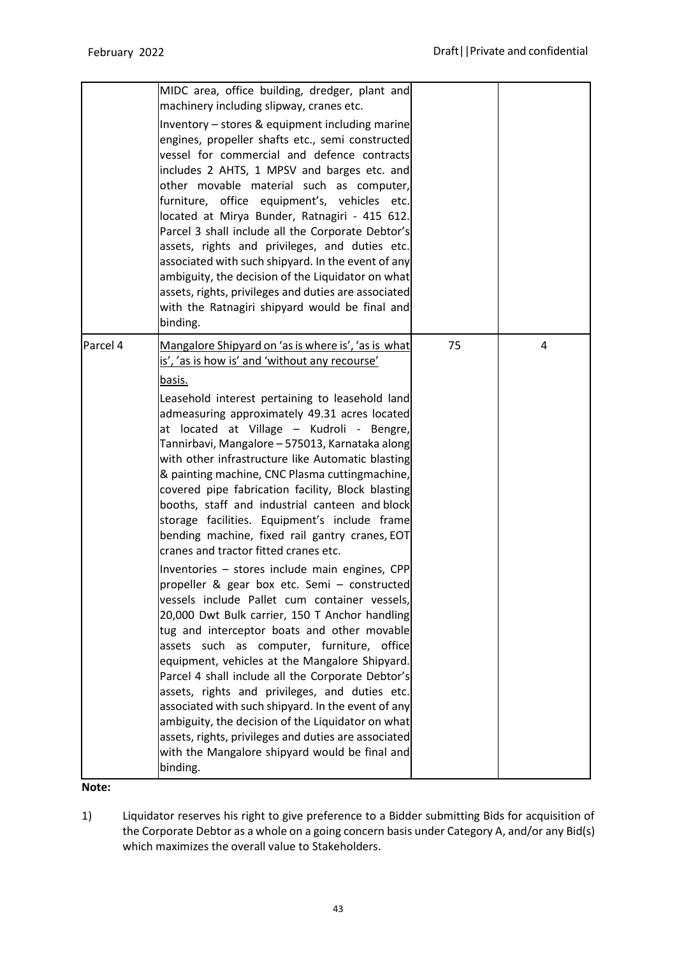|          | MIDC area, office building, dredger, plant and<br>machinery including slipway, cranes etc.<br>Inventory - stores & equipment including marine<br>engines, propeller shafts etc., semi constructed<br>vessel for commercial and defence contracts<br>includes 2 AHTS, 1 MPSV and barges etc. and<br>other movable material such as computer,<br>furniture, office equipment's, vehicles etc.<br>located at Mirya Bunder, Ratnagiri - 415 612.<br>Parcel 3 shall include all the Corporate Debtor's<br>assets, rights and privileges, and duties etc.<br>associated with such shipyard. In the event of any<br>ambiguity, the decision of the Liquidator on what<br>assets, rights, privileges and duties are associated<br>with the Ratnagiri shipyard would be final and<br>binding.                                                                                                                                                                                                                                                                                                                                                                                                                                                                                                                                                                                      |    |   |
|----------|---------------------------------------------------------------------------------------------------------------------------------------------------------------------------------------------------------------------------------------------------------------------------------------------------------------------------------------------------------------------------------------------------------------------------------------------------------------------------------------------------------------------------------------------------------------------------------------------------------------------------------------------------------------------------------------------------------------------------------------------------------------------------------------------------------------------------------------------------------------------------------------------------------------------------------------------------------------------------------------------------------------------------------------------------------------------------------------------------------------------------------------------------------------------------------------------------------------------------------------------------------------------------------------------------------------------------------------------------------------------------|----|---|
| Parcel 4 | Mangalore Shipyard on 'as is where is', 'as is what<br>is', 'as is how is' and 'without any recourse'<br>basis.<br>Leasehold interest pertaining to leasehold land<br>admeasuring approximately 49.31 acres located<br>at located at Village - Kudroli - Bengre,<br>Tannirbavi, Mangalore - 575013, Karnataka along<br>with other infrastructure like Automatic blasting<br>& painting machine, CNC Plasma cuttingmachine,<br>covered pipe fabrication facility, Block blasting<br>booths, staff and industrial canteen and block<br>storage facilities. Equipment's include frame<br>bending machine, fixed rail gantry cranes, EOT<br>cranes and tractor fitted cranes etc.<br>Inventories - stores include main engines, CPP<br>propeller & gear box etc. Semi - constructed<br>vessels include Pallet cum container vessels,<br>20,000 Dwt Bulk carrier, 150 T Anchor handling<br>tug and interceptor boats and other movable<br>assets such as computer, furniture, office<br>equipment, vehicles at the Mangalore Shipyard.<br>Parcel 4 shall include all the Corporate Debtor's<br>assets, rights and privileges, and duties etc.<br>associated with such shipyard. In the event of any<br>ambiguity, the decision of the Liquidator on what<br>assets, rights, privileges and duties are associated<br>with the Mangalore shipyard would be final and<br>binding. | 75 | 4 |

**Note:**

1) Liquidator reserves his right to give preference to a Bidder submitting Bids for acquisition of the Corporate Debtor as a whole on a going concern basis under Category A, and/or any Bid(s) which maximizes the overall value to Stakeholders.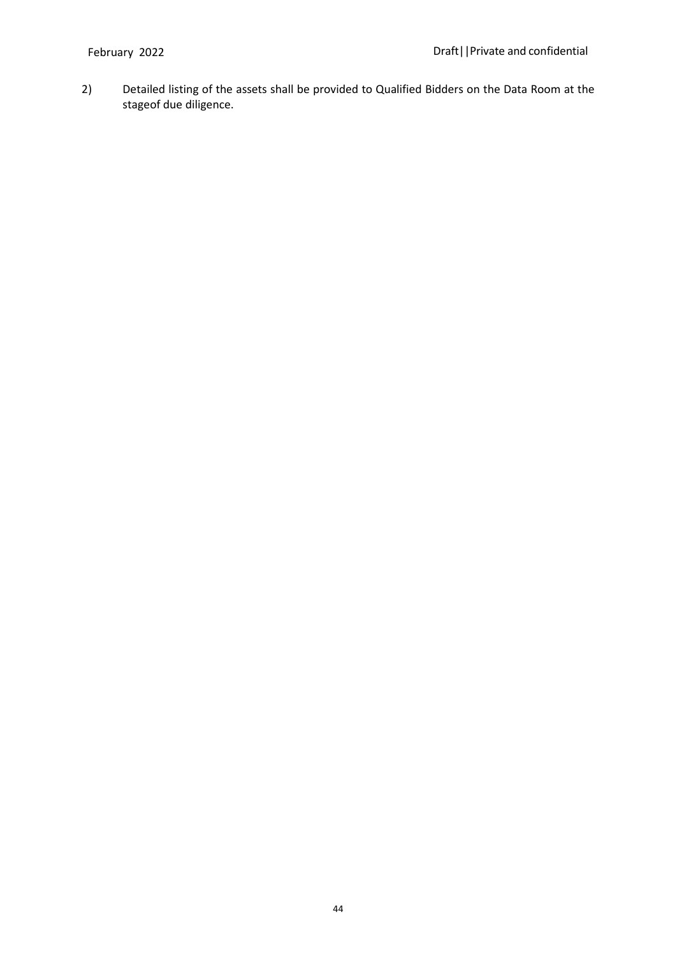2) Detailed listing of the assets shall be provided to Qualified Bidders on the Data Room at the stageof due diligence.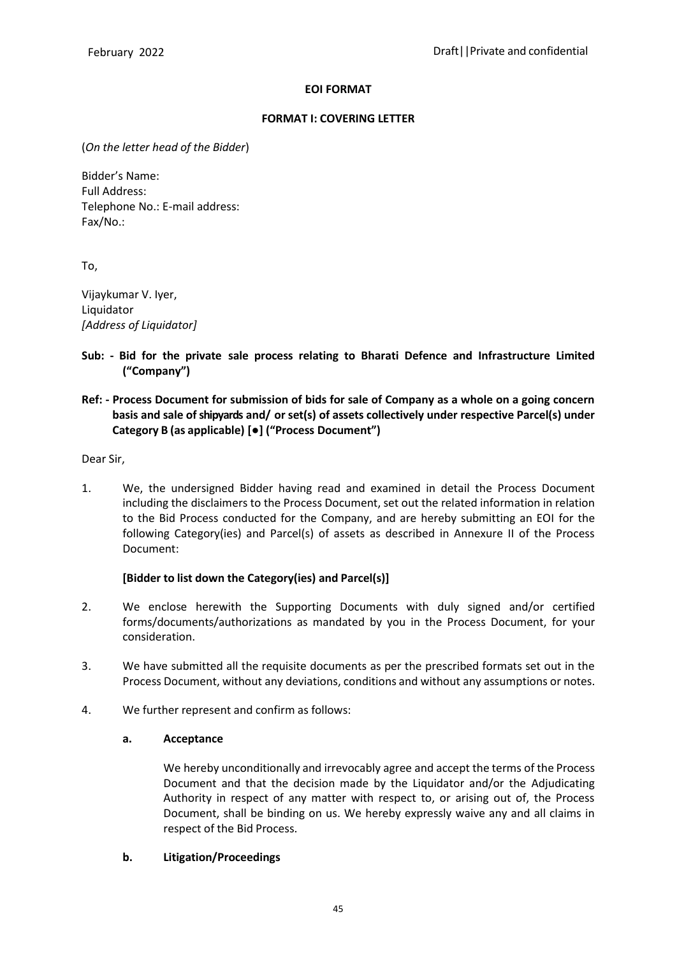### **EOI FORMAT**

### **FORMAT I: COVERING LETTER**

(*On the letter head of the Bidder*)

Bidder's Name: Full Address: Telephone No.: E-mail address: Fax/No.:

To,

Vijaykumar V. Iyer, Liquidator *[Address of Liquidator]*

**Sub: - Bid for the private sale process relating to Bharati Defence and Infrastructure Limited ("Company")**

## **Ref: - Process Document for submission of bids for sale of Company as a whole on a going concern basis and sale ofshipyards and/ or set(s) of assets collectively under respective Parcel(s) under Category B (as applicable) [●] ("Process Document")**

Dear Sir,

1. We, the undersigned Bidder having read and examined in detail the Process Document including the disclaimers to the Process Document, set out the related information in relation to the Bid Process conducted for the Company, and are hereby submitting an EOI for the following Category(ies) and Parcel(s) of assets as described in Annexure II of the Process Document:

## **[Bidder to list down the Category(ies) and Parcel(s)]**

- 2. We enclose herewith the Supporting Documents with duly signed and/or certified forms/documents/authorizations as mandated by you in the Process Document, for your consideration.
- 3. We have submitted all the requisite documents as per the prescribed formats set out in the Process Document, without any deviations, conditions and without any assumptions or notes.
- 4. We further represent and confirm as follows:

### **a. Acceptance**

We hereby unconditionally and irrevocably agree and accept the terms of the Process Document and that the decision made by the Liquidator and/or the Adjudicating Authority in respect of any matter with respect to, or arising out of, the Process Document, shall be binding on us. We hereby expressly waive any and all claims in respect of the Bid Process.

## **b. Litigation/Proceedings**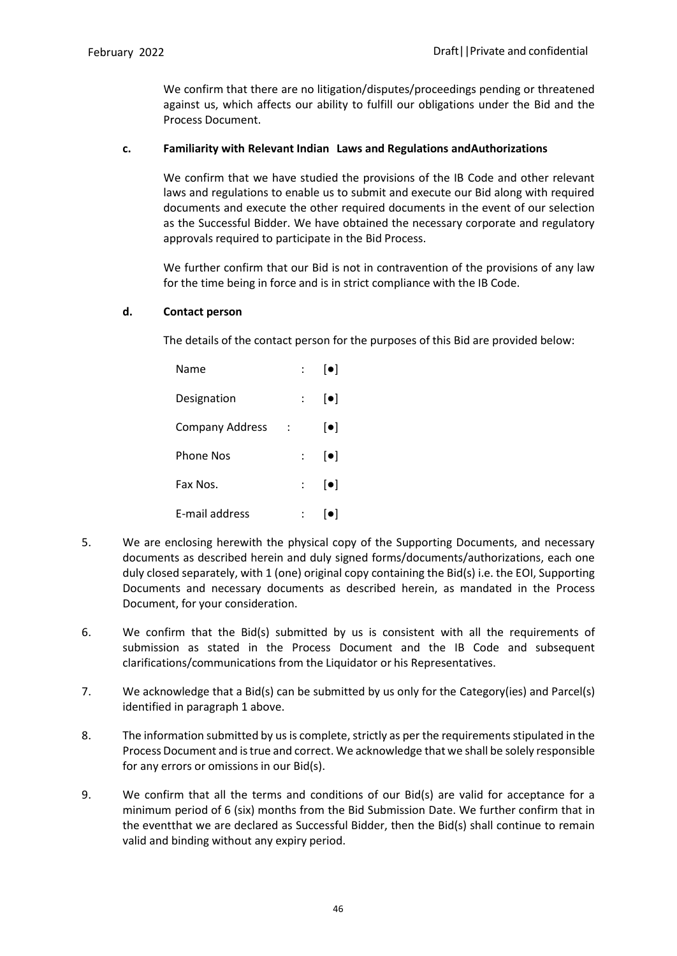We confirm that there are no litigation/disputes/proceedings pending or threatened against us, which affects our ability to fulfill our obligations under the Bid and the Process Document.

### **c. Familiarity with Relevant Indian Laws and Regulations andAuthorizations**

We confirm that we have studied the provisions of the IB Code and other relevant laws and regulations to enable us to submit and execute our Bid along with required documents and execute the other required documents in the event of our selection as the Successful Bidder. We have obtained the necessary corporate and regulatory approvals required to participate in the Bid Process.

We further confirm that our Bid is not in contravention of the provisions of any law for the time being in force and is in strict compliance with the IB Code.

#### **d. Contact person**

The details of the contact person for the purposes of this Bid are provided below:

| Name                   |                           | $\left[ \bullet \right]$ |
|------------------------|---------------------------|--------------------------|
| Designation            |                           | $\left[ \bullet \right]$ |
| <b>Company Address</b> |                           | $\left[ \bullet \right]$ |
| Phone Nos              | $\mathcal{L}$             | $\left[\bullet\right]$   |
| Fax Nos.               | $\mathbb{R}^{\mathbb{Z}}$ | $\left[ \bullet \right]$ |
| E-mail address         |                           | $\lceil \bullet \rceil$  |

- 5. We are enclosing herewith the physical copy of the Supporting Documents, and necessary documents as described herein and duly signed forms/documents/authorizations, each one duly closed separately, with 1 (one) original copy containing the Bid(s) i.e. the EOI, Supporting Documents and necessary documents as described herein, as mandated in the Process Document, for your consideration.
- 6. We confirm that the Bid(s) submitted by us is consistent with all the requirements of submission as stated in the Process Document and the IB Code and subsequent clarifications/communications from the Liquidator or his Representatives.
- 7. We acknowledge that a Bid(s) can be submitted by us only for the Category(ies) and Parcel(s) identified in paragraph 1 above.
- 8. The information submitted by us is complete, strictly as per the requirements stipulated in the Process Document and istrue and correct. We acknowledge that we shall be solely responsible for any errors or omissions in our Bid(s).
- 9. We confirm that all the terms and conditions of our Bid(s) are valid for acceptance for a minimum period of 6 (six) months from the Bid Submission Date. We further confirm that in the eventthat we are declared as Successful Bidder, then the Bid(s) shall continue to remain valid and binding without any expiry period.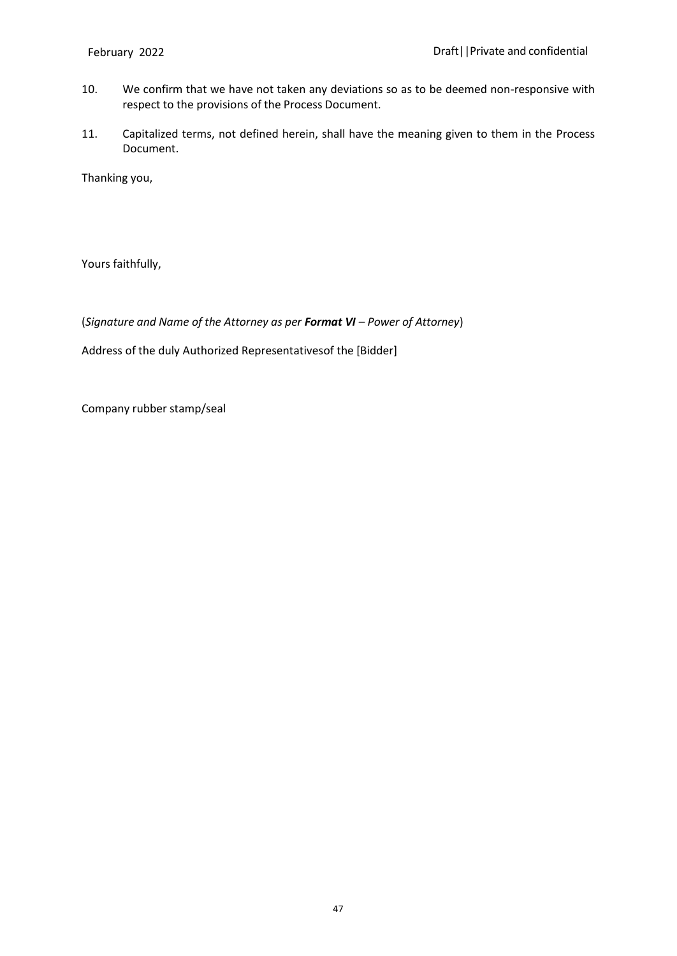- 10. We confirm that we have not taken any deviations so as to be deemed non-responsive with respect to the provisions of the Process Document.
- 11. Capitalized terms, not defined herein, shall have the meaning given to them in the Process Document.

Thanking you,

Yours faithfully,

(*Signature and Name of the Attorney as per Format VI – Power of Attorney*)

Address of the duly Authorized Representativesof the [Bidder]

Company rubber stamp/seal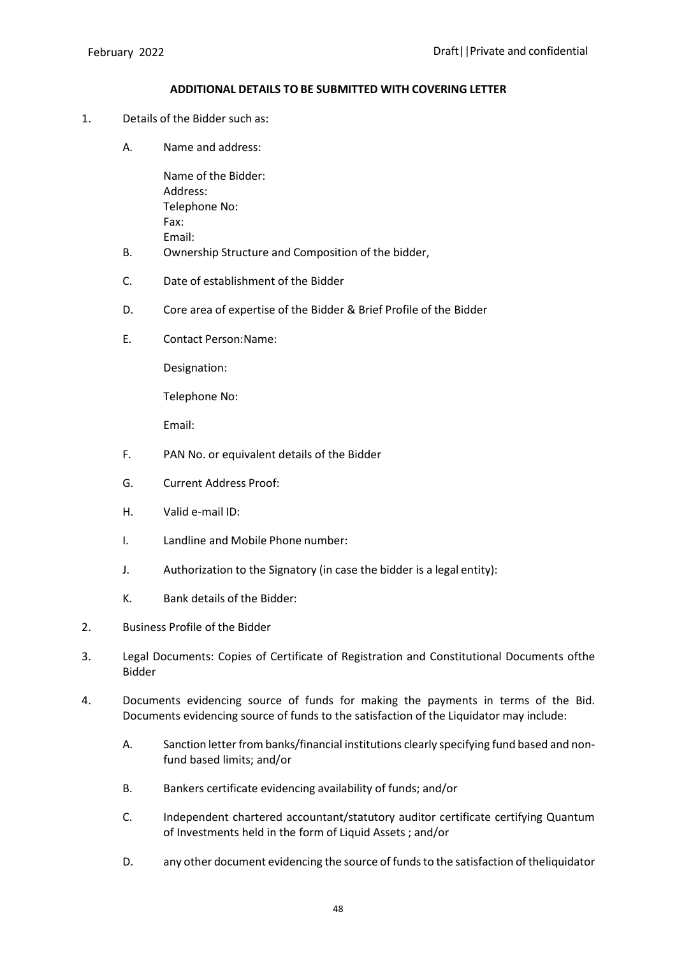#### **ADDITIONAL DETAILS TO BE SUBMITTED WITH COVERING LETTER**

- 1. Details of the Bidder such as:
	- A. Name and address:

Name of the Bidder: Address: Telephone No: Fax: Email:

- B. Ownership Structure and Composition of the bidder,
- C. Date of establishment of the Bidder
- D. Core area of expertise of the Bidder & Brief Profile of the Bidder
- E. Contact Person:Name:

Designation:

Telephone No:

Email:

- F. PAN No. or equivalent details of the Bidder
- G. Current Address Proof:
- H. Valid e-mail ID:
- I. Landline and Mobile Phone number:
- J. Authorization to the Signatory (in case the bidder is a legal entity):
- K. Bank details of the Bidder:
- 2. Business Profile of the Bidder
- 3. Legal Documents: Copies of Certificate of Registration and Constitutional Documents ofthe Bidder
- 4. Documents evidencing source of funds for making the payments in terms of the Bid. Documents evidencing source of funds to the satisfaction of the Liquidator may include:
	- A. Sanction letter from banks/financial institutions clearly specifying fund based and nonfund based limits; and/or
	- B. Bankers certificate evidencing availability of funds; and/or
	- C. Independent chartered accountant/statutory auditor certificate certifying Quantum of Investments held in the form of Liquid Assets ; and/or
	- D. any other document evidencing the source of funds to the satisfaction of theliquidator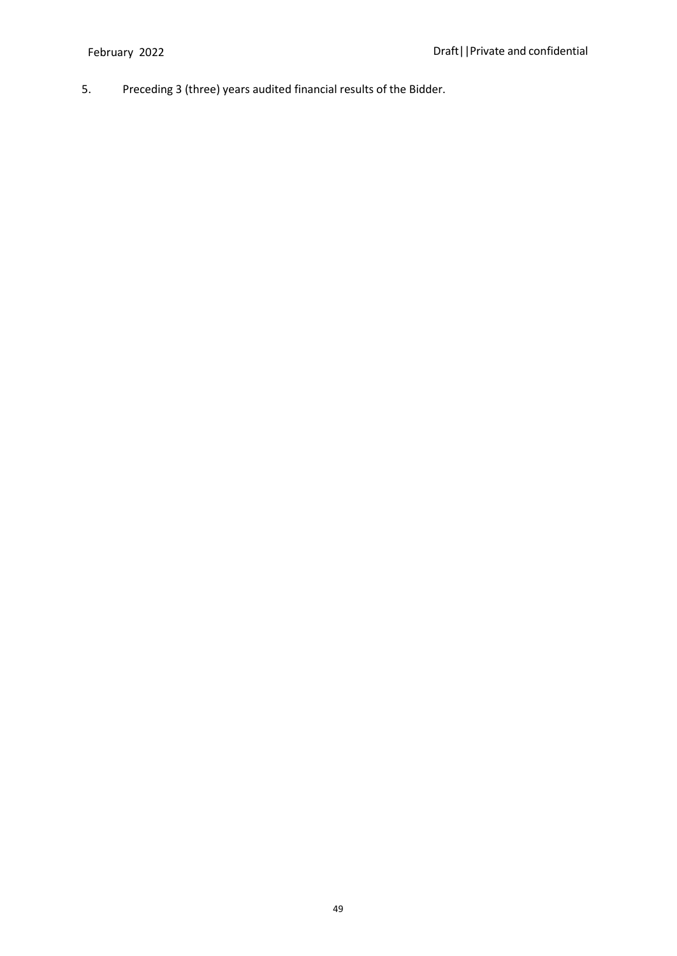5. Preceding 3 (three) years audited financial results of the Bidder.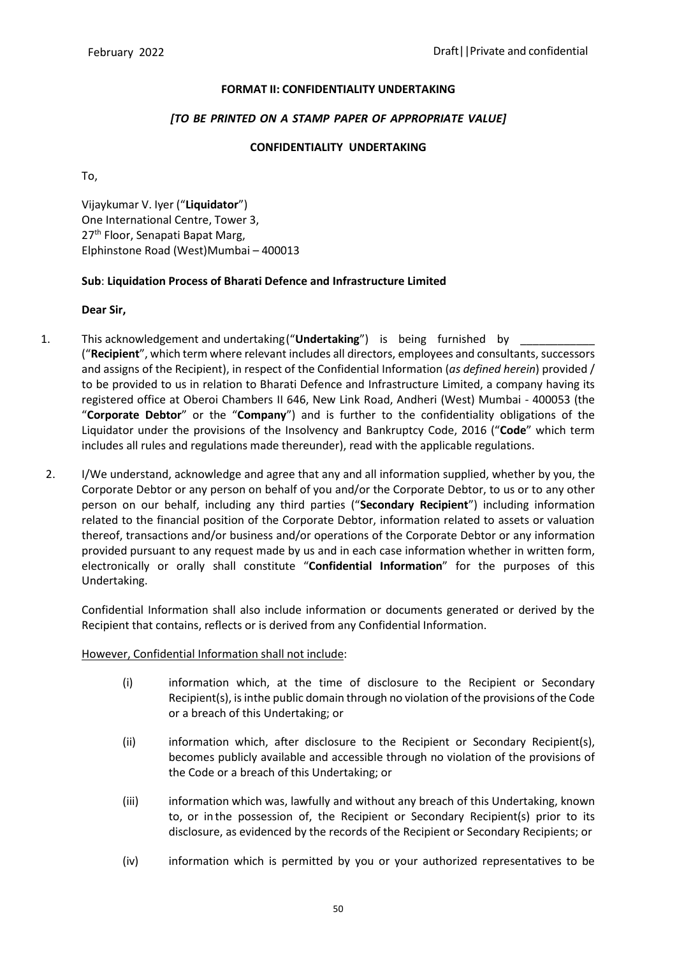#### **FORMAT II: CONFIDENTIALITY UNDERTAKING**

#### *[TO BE PRINTED ON A STAMP PAPER OF APPROPRIATE VALUE]*

#### **CONFIDENTIALITY UNDERTAKING**

To,

Vijaykumar V. Iyer ("**Liquidator**") One International Centre, Tower 3, 27<sup>th</sup> Floor, Senapati Bapat Marg. Elphinstone Road (West)Mumbai – 400013

### **Sub**: **Liquidation Process of Bharati Defence and Infrastructure Limited**

### **Dear Sir,**

- 1. This acknowledgement and undertaking ("**Undertaking**") is being furnished by ("**Recipient**", which term where relevant includes all directors, employees and consultants, successors and assigns of the Recipient), in respect of the Confidential Information (*as defined herein*) provided / to be provided to us in relation to Bharati Defence and Infrastructure Limited, a company having its registered office at Oberoi Chambers II 646, New Link Road, Andheri (West) Mumbai - 400053 (the "**Corporate Debtor**" or the "**Company**") and is further to the confidentiality obligations of the Liquidator under the provisions of the Insolvency and Bankruptcy Code, 2016 ("**Code**" which term includes all rules and regulations made thereunder), read with the applicable regulations.
- 2. I/We understand, acknowledge and agree that any and all information supplied, whether by you, the Corporate Debtor or any person on behalf of you and/or the Corporate Debtor, to us or to any other person on our behalf, including any third parties ("**Secondary Recipient**") including information related to the financial position of the Corporate Debtor, information related to assets or valuation thereof, transactions and/or business and/or operations of the Corporate Debtor or any information provided pursuant to any request made by us and in each case information whether in written form, electronically or orally shall constitute "**Confidential Information**" for the purposes of this Undertaking.

Confidential Information shall also include information or documents generated or derived by the Recipient that contains, reflects or is derived from any Confidential Information.

However, Confidential Information shall not include:

- (i) information which, at the time of disclosure to the Recipient or Secondary Recipient(s), is inthe public domain through no violation of the provisions of the Code or a breach of this Undertaking; or
- (ii) information which, after disclosure to the Recipient or Secondary Recipient(s), becomes publicly available and accessible through no violation of the provisions of the Code or a breach of this Undertaking; or
- (iii) information which was, lawfully and without any breach of this Undertaking, known to, or in the possession of, the Recipient or Secondary Recipient(s) prior to its disclosure, as evidenced by the records of the Recipient or Secondary Recipients; or
- (iv) information which is permitted by you or your authorized representatives to be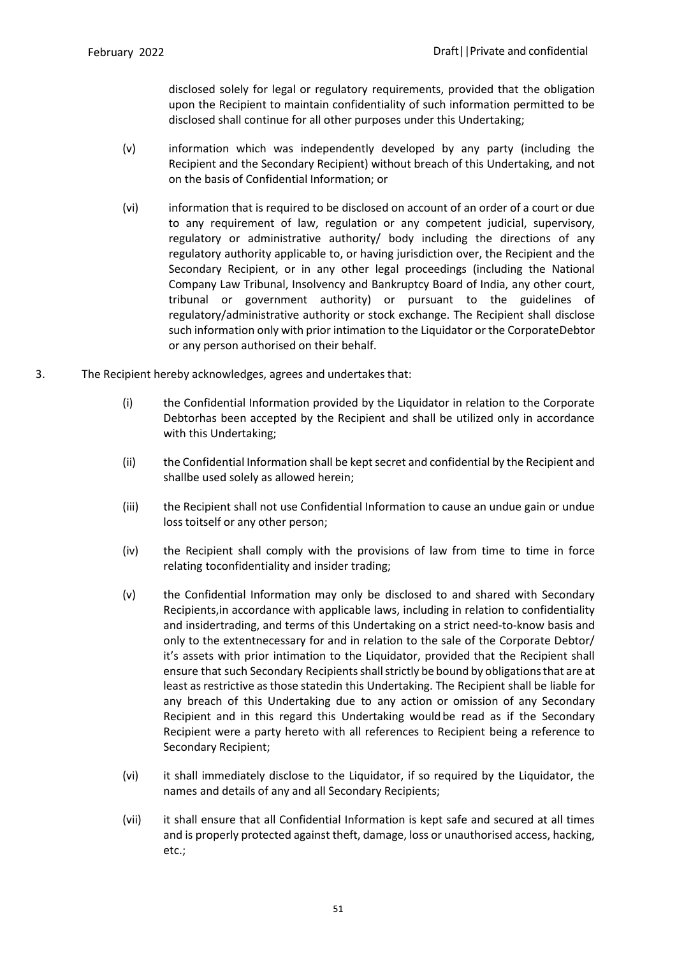disclosed solely for legal or regulatory requirements, provided that the obligation upon the Recipient to maintain confidentiality of such information permitted to be disclosed shall continue for all other purposes under this Undertaking;

- (v) information which was independently developed by any party (including the Recipient and the Secondary Recipient) without breach of this Undertaking, and not on the basis of Confidential Information; or
- (vi) information that is required to be disclosed on account of an order of a court or due to any requirement of law, regulation or any competent judicial, supervisory, regulatory or administrative authority/ body including the directions of any regulatory authority applicable to, or having jurisdiction over, the Recipient and the Secondary Recipient, or in any other legal proceedings (including the National Company Law Tribunal, Insolvency and Bankruptcy Board of India, any other court, tribunal or government authority) or pursuant to the guidelines of regulatory/administrative authority or stock exchange. The Recipient shall disclose such information only with prior intimation to the Liquidator or the CorporateDebtor or any person authorised on their behalf.
- 3. The Recipient hereby acknowledges, agrees and undertakes that:
	- (i) the Confidential Information provided by the Liquidator in relation to the Corporate Debtorhas been accepted by the Recipient and shall be utilized only in accordance with this Undertaking;
	- (ii) the Confidential Information shall be kept secret and confidential by the Recipient and shallbe used solely as allowed herein;
	- (iii) the Recipient shall not use Confidential Information to cause an undue gain or undue loss toitself or any other person;
	- (iv) the Recipient shall comply with the provisions of law from time to time in force relating toconfidentiality and insider trading;
	- (v) the Confidential Information may only be disclosed to and shared with Secondary Recipients,in accordance with applicable laws, including in relation to confidentiality and insidertrading, and terms of this Undertaking on a strict need-to-know basis and only to the extentnecessary for and in relation to the sale of the Corporate Debtor/ it's assets with prior intimation to the Liquidator, provided that the Recipient shall ensure that such Secondary Recipients shall strictly be bound by obligations that are at least asrestrictive asthose statedin this Undertaking. The Recipient shall be liable for any breach of this Undertaking due to any action or omission of any Secondary Recipient and in this regard this Undertaking would be read as if the Secondary Recipient were a party hereto with all references to Recipient being a reference to Secondary Recipient;
	- (vi) it shall immediately disclose to the Liquidator, if so required by the Liquidator, the names and details of any and all Secondary Recipients;
	- (vii) it shall ensure that all Confidential Information is kept safe and secured at all times and is properly protected against theft, damage, loss or unauthorised access, hacking, etc.;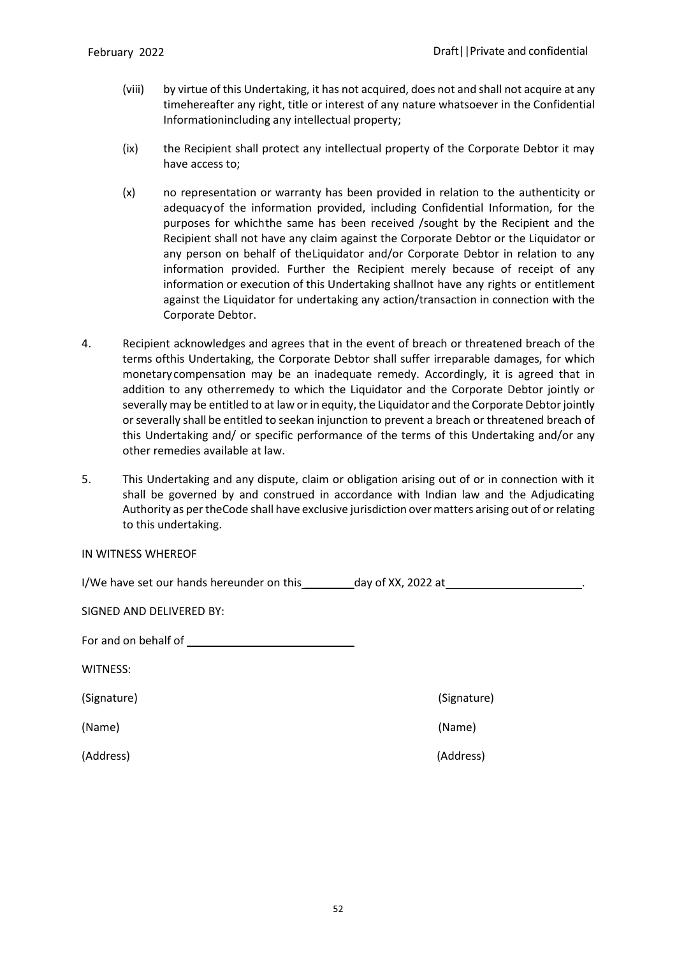- (viii) by virtue of this Undertaking, it has not acquired, does not and shall not acquire at any timehereafter any right, title or interest of any nature whatsoever in the Confidential Informationincluding any intellectual property;
- (ix) the Recipient shall protect any intellectual property of the Corporate Debtor it may have access to;
- (x) no representation or warranty has been provided in relation to the authenticity or adequacyof the information provided, including Confidential Information, for the purposes for whichthe same has been received /sought by the Recipient and the Recipient shall not have any claim against the Corporate Debtor or the Liquidator or any person on behalf of theLiquidator and/or Corporate Debtor in relation to any information provided. Further the Recipient merely because of receipt of any information or execution of this Undertaking shallnot have any rights or entitlement against the Liquidator for undertaking any action/transaction in connection with the Corporate Debtor.
- 4. Recipient acknowledges and agrees that in the event of breach or threatened breach of the terms ofthis Undertaking, the Corporate Debtor shall suffer irreparable damages, for which monetary compensation may be an inadequate remedy. Accordingly, it is agreed that in addition to any otherremedy to which the Liquidator and the Corporate Debtor jointly or severally may be entitled to at law or in equity, the Liquidator and the Corporate Debtor jointly orseverally shall be entitled to seekan injunction to prevent a breach or threatened breach of this Undertaking and/ or specific performance of the terms of this Undertaking and/or any other remedies available at law.
- 5. This Undertaking and any dispute, claim or obligation arising out of or in connection with it shall be governed by and construed in accordance with Indian law and the Adjudicating Authority as per theCode shall have exclusive jurisdiction over matters arising out of or relating to this undertaking.

| I/We have set our hands hereunder on this | day of XX, 2022 at |
|-------------------------------------------|--------------------|
|-------------------------------------------|--------------------|

| For and on behalf of |  |
|----------------------|--|
|                      |  |

WITNESS:

(Name) (Name)

(Signature) (Signature)

(Address) (Address)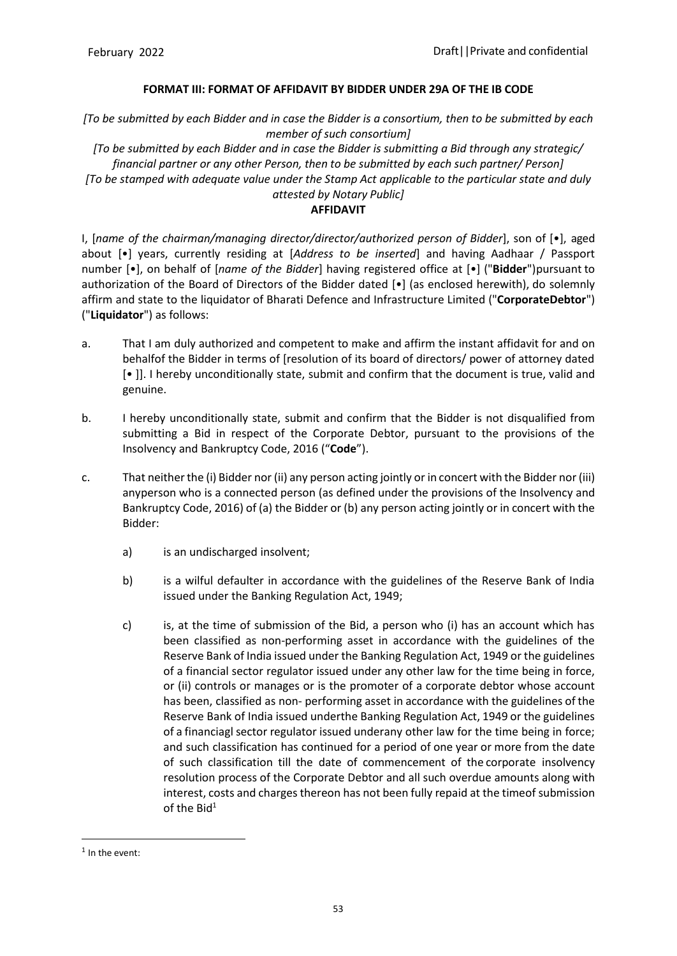### **FORMAT III: FORMAT OF AFFIDAVIT BY BIDDER UNDER 29A OF THE IB CODE**

*[To be submitted by each Bidder and in case the Bidder is a consortium, then to be submitted by each member of such consortium]*

*[To be submitted by each Bidder and in case the Bidder is submitting a Bid through any strategic/ financial partner or any other Person, then to be submitted by each such partner/ Person] [To be stamped with adequate value under the Stamp Act applicable to the particular state and duly attested by Notary Public]*

### **AFFIDAVIT**

I, [*name of the chairman/managing director/director/authorized person of Bidder*], son of [•], aged about [•] years, currently residing at [*Address to be inserted*] and having Aadhaar / Passport number [•], on behalf of [*name of the Bidder*] having registered office at [•] ("**Bidder**") pursuant to authorization of the Board of Directors of the Bidder dated [•] (as enclosed herewith), do solemnly affirm and state to the liquidator of Bharati Defence and Infrastructure Limited ("**CorporateDebtor**") ("**Liquidator**") as follows:

- a. That I am duly authorized and competent to make and affirm the instant affidavit for and on behalfof the Bidder in terms of [resolution of its board of directors/ power of attorney dated [• ]]. I hereby unconditionally state, submit and confirm that the document is true, valid and genuine.
- b. I hereby unconditionally state, submit and confirm that the Bidder is not disqualified from submitting a Bid in respect of the Corporate Debtor, pursuant to the provisions of the Insolvency and Bankruptcy Code, 2016 ("**Code**").
- c. That neither the (i) Bidder nor (ii) any person acting jointly or in concert with the Bidder nor (iii) anyperson who is a connected person (as defined under the provisions of the Insolvency and Bankruptcy Code, 2016) of (a) the Bidder or (b) any person acting jointly or in concert with the Bidder:
	- a) is an undischarged insolvent;
	- b) is a wilful defaulter in accordance with the guidelines of the Reserve Bank of India issued under the Banking Regulation Act, 1949;
	- c) is, at the time of submission of the Bid, a person who (i) has an account which has been classified as non-performing asset in accordance with the guidelines of the Reserve Bank of India issued under the Banking Regulation Act, 1949 or the guidelines of a financial sector regulator issued under any other law for the time being in force, or (ii) controls or manages or is the promoter of a corporate debtor whose account has been, classified as non- performing asset in accordance with the guidelines of the Reserve Bank of India issued underthe Banking Regulation Act, 1949 or the guidelines of a financiagl sector regulator issued underany other law for the time being in force; and such classification has continued for a period of one year or more from the date of such classification till the date of commencement of the corporate insolvency resolution process of the Corporate Debtor and all such overdue amounts along with interest, costs and charges thereon has not been fully repaid at the timeof submission of the Bid $1$

<sup>&</sup>lt;sup>1</sup> In the event: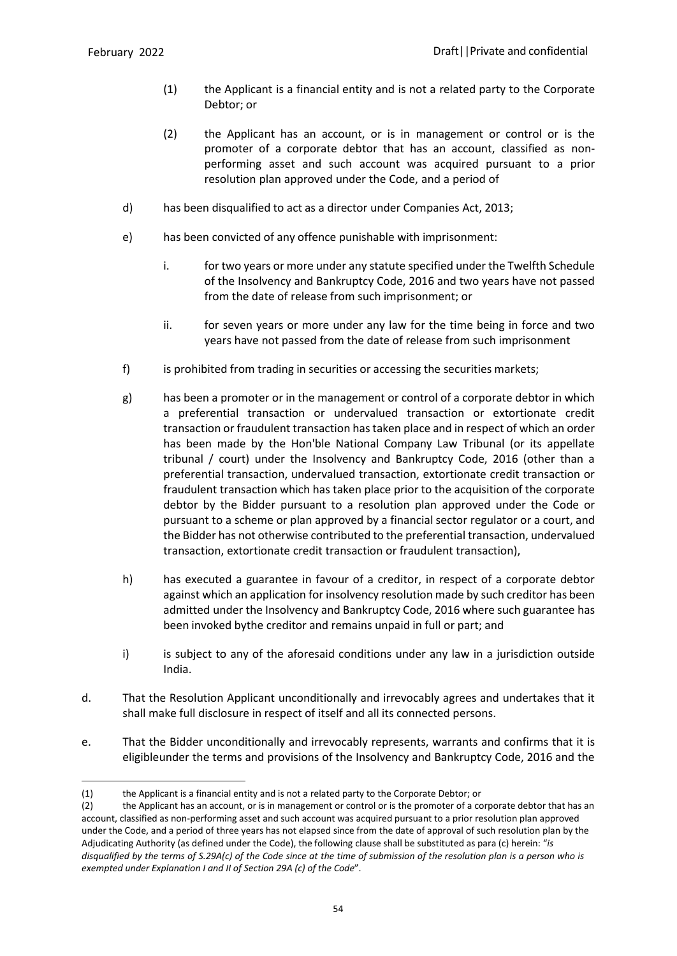- (1) the Applicant is a financial entity and is not a related party to the Corporate Debtor; or
- (2) the Applicant has an account, or is in management or control or is the promoter of a corporate debtor that has an account, classified as nonperforming asset and such account was acquired pursuant to a prior resolution plan approved under the Code, and a period of
- d) has been disqualified to act as a director under Companies Act, 2013;
- e) has been convicted of any offence punishable with imprisonment:
	- i. for two years or more under any statute specified under the Twelfth Schedule of the Insolvency and Bankruptcy Code, 2016 and two years have not passed from the date of release from such imprisonment; or
	- ii. for seven years or more under any law for the time being in force and two years have not passed from the date of release from such imprisonment
- f) is prohibited from trading in securities or accessing the securities markets;
- g) has been a promoter or in the management or control of a corporate debtor in which a preferential transaction or undervalued transaction or extortionate credit transaction or fraudulent transaction has taken place and in respect of which an order has been made by the Hon'ble National Company Law Tribunal (or its appellate tribunal / court) under the Insolvency and Bankruptcy Code, 2016 (other than a preferential transaction, undervalued transaction, extortionate credit transaction or fraudulent transaction which has taken place prior to the acquisition of the corporate debtor by the Bidder pursuant to a resolution plan approved under the Code or pursuant to a scheme or plan approved by a financial sector regulator or a court, and the Bidder has not otherwise contributed to the preferential transaction, undervalued transaction, extortionate credit transaction or fraudulent transaction),
- h) has executed a guarantee in favour of a creditor, in respect of a corporate debtor against which an application for insolvency resolution made by such creditor has been admitted under the Insolvency and Bankruptcy Code, 2016 where such guarantee has been invoked bythe creditor and remains unpaid in full or part; and
- i) is subject to any of the aforesaid conditions under any law in a jurisdiction outside India.
- d. That the Resolution Applicant unconditionally and irrevocably agrees and undertakes that it shall make full disclosure in respect of itself and all its connected persons.
- e. That the Bidder unconditionally and irrevocably represents, warrants and confirms that it is eligibleunder the terms and provisions of the Insolvency and Bankruptcy Code, 2016 and the

<sup>(1)</sup> the Applicant is a financial entity and is not a related party to the Corporate Debtor; or

<sup>(2)</sup> the Applicant has an account, or is in management or control or is the promoter of a corporate debtor that has an account, classified as non-performing asset and such account was acquired pursuant to a prior resolution plan approved under the Code, and a period of three years has not elapsed since from the date of approval of such resolution plan by the Adjudicating Authority (as defined under the Code), the following clause shall be substituted as para (c) herein: "*is* disqualified by the terms of S.29A(c) of the Code since at the time of submission of the resolution plan is a person who is *exempted under Explanation I and II of Section 29A (c) of the Code*".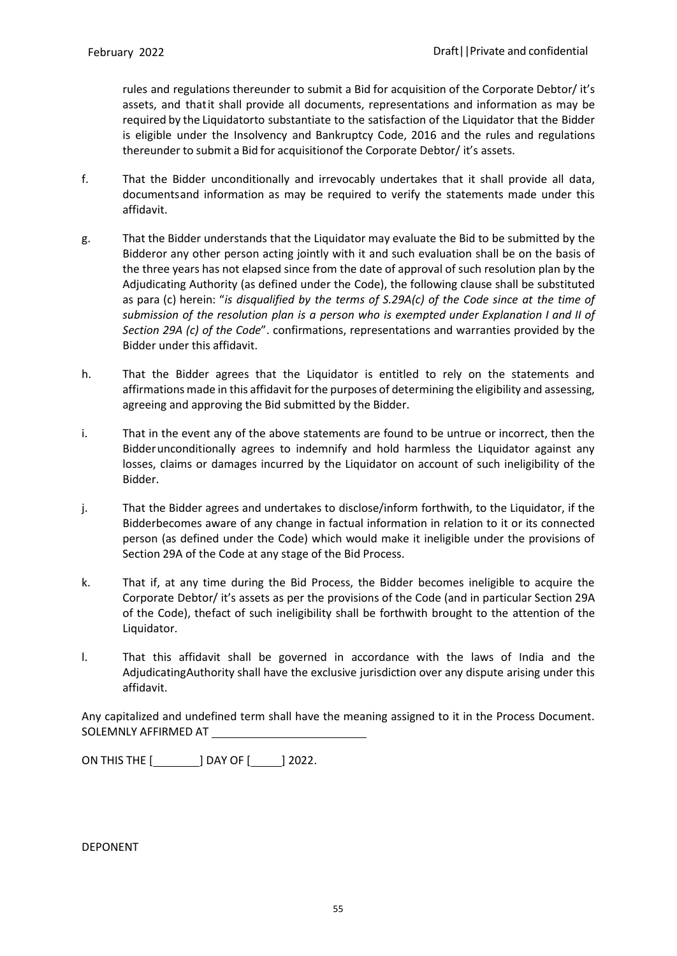rules and regulations thereunder to submit a Bid for acquisition of the Corporate Debtor/ it's assets, and thatit shall provide all documents, representations and information as may be required by the Liquidatorto substantiate to the satisfaction of the Liquidator that the Bidder is eligible under the Insolvency and Bankruptcy Code, 2016 and the rules and regulations thereunder to submit a Bid for acquisitionof the Corporate Debtor/ it's assets.

- f. That the Bidder unconditionally and irrevocably undertakes that it shall provide all data, documentsand information as may be required to verify the statements made under this affidavit.
- g. That the Bidder understands that the Liquidator may evaluate the Bid to be submitted by the Bidderor any other person acting jointly with it and such evaluation shall be on the basis of the three years has not elapsed since from the date of approval of such resolution plan by the Adjudicating Authority (as defined under the Code), the following clause shall be substituted as para (c) herein: "*is disqualified by the terms of S.29A(c) of the Code since at the time of submission of the resolution plan is a person who is exempted under Explanation I and II of Section 29A (c) of the Code*". confirmations, representations and warranties provided by the Bidder under this affidavit.
- h. That the Bidder agrees that the Liquidator is entitled to rely on the statements and affirmations made in this affidavit for the purposes of determining the eligibility and assessing, agreeing and approving the Bid submitted by the Bidder.
- i. That in the event any of the above statements are found to be untrue or incorrect, then the Bidderunconditionally agrees to indemnify and hold harmless the Liquidator against any losses, claims or damages incurred by the Liquidator on account of such ineligibility of the Bidder.
- j. That the Bidder agrees and undertakes to disclose/inform forthwith, to the Liquidator, if the Bidderbecomes aware of any change in factual information in relation to it or its connected person (as defined under the Code) which would make it ineligible under the provisions of Section 29A of the Code at any stage of the Bid Process.
- k. That if, at any time during the Bid Process, the Bidder becomes ineligible to acquire the Corporate Debtor/ it's assets as per the provisions of the Code (and in particular Section 29A of the Code), thefact of such ineligibility shall be forthwith brought to the attention of the Liquidator.
- l. That this affidavit shall be governed in accordance with the laws of India and the AdjudicatingAuthority shall have the exclusive jurisdiction over any dispute arising under this affidavit.

Any capitalized and undefined term shall have the meaning assigned to it in the Process Document. SOLEMNLY AFFIRMED AT

ON THIS THE [**with Lines and This The [with Devil** 2022.

DEPONENT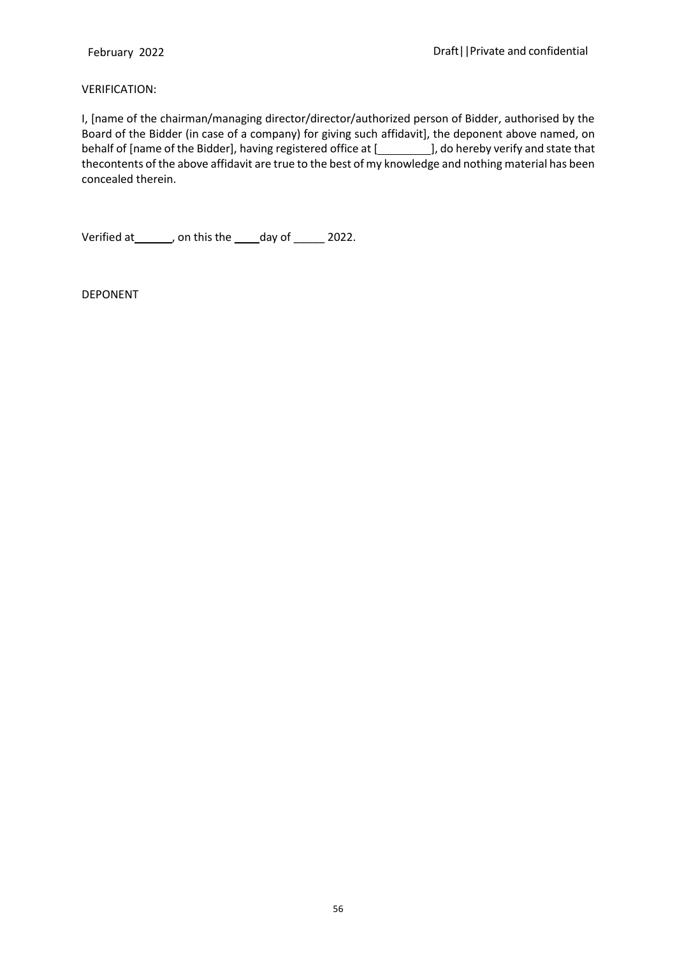#### VERIFICATION:

I, [name of the chairman/managing director/director/authorized person of Bidder, authorised by the Board of the Bidder (in case of a company) for giving such affidavit], the deponent above named, on behalf of [name of the Bidder], having registered office at [ ], do hereby verify and state that thecontents of the above affidavit are true to the best of my knowledge and nothing material has been concealed therein.

Verified at\_\_\_\_\_\_, on this the \_\_\_\_day of \_\_\_\_\_ 2022.

DEPONENT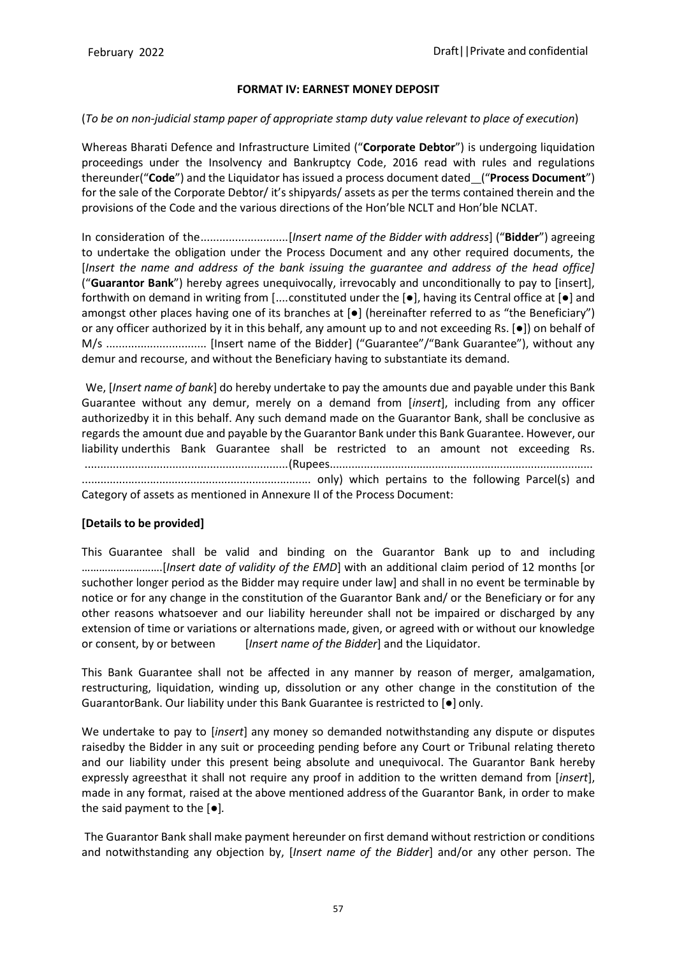### **FORMAT IV: EARNEST MONEY DEPOSIT**

### (*To be on non-judicial stamp paper of appropriate stamp duty value relevant to place of execution*)

Whereas Bharati Defence and Infrastructure Limited ("**Corporate Debtor**") is undergoing liquidation proceedings under the Insolvency and Bankruptcy Code, 2016 read with rules and regulations thereunder("**Code**") and the Liquidator has issued a process document dated ("**Process Document**") for the sale of the Corporate Debtor/ it's shipyards/ assets as per the terms contained therein and the provisions of the Code and the various directions of the Hon'ble NCLT and Hon'ble NCLAT.

In consideration of the............................[*Insert name of the Bidder with address*] ("**Bidder**") agreeing to undertake the obligation under the Process Document and any other required documents, the [*Insert the name and address of the bank issuing the guarantee and address of the head office]*  ("**Guarantor Bank**") hereby agrees unequivocally, irrevocably and unconditionally to pay to [insert], forthwith on demand in writing from [....constituted under the [●], having its Central office at [●] and amongst other places having one of its branches at  $\bullet$  (hereinafter referred to as "the Beneficiary") or any officer authorized by it in this behalf, any amount up to and not exceeding Rs. [●]) on behalf of M/s ................................ [Insert name of the Bidder] ("Guarantee"/"Bank Guarantee"), without any demur and recourse, and without the Beneficiary having to substantiate its demand.

We, [*Insert name of bank*] do hereby undertake to pay the amounts due and payable under this Bank Guarantee without any demur, merely on a demand from [*insert*], including from any officer authorizedby it in this behalf. Any such demand made on the Guarantor Bank, shall be conclusive as regards the amount due and payable by the Guarantor Bank under this Bank Guarantee. However, our liability underthis Bank Guarantee shall be restricted to an amount not exceeding Rs. .................................................................(Rupees..................................................................................... .......................................................................... only) which pertains to the following Parcel(s) and Category of assets as mentioned in Annexure II of the Process Document:

## **[Details to be provided]**

This Guarantee shall be valid and binding on the Guarantor Bank up to and including ……………………….[*Insert date of validity of the EMD*] with an additional claim period of 12 months [or suchother longer period as the Bidder may require under law] and shall in no event be terminable by notice or for any change in the constitution of the Guarantor Bank and/ or the Beneficiary or for any other reasons whatsoever and our liability hereunder shall not be impaired or discharged by any extension of time or variations or alternations made, given, or agreed with or without our knowledge or consent, by or between [*Insert name of the Bidder*] and the Liquidator.

This Bank Guarantee shall not be affected in any manner by reason of merger, amalgamation, restructuring, liquidation, winding up, dissolution or any other change in the constitution of the GuarantorBank. Our liability under this Bank Guarantee is restricted to [●] only.

We undertake to pay to [*insert*] any money so demanded notwithstanding any dispute or disputes raisedby the Bidder in any suit or proceeding pending before any Court or Tribunal relating thereto and our liability under this present being absolute and unequivocal. The Guarantor Bank hereby expressly agreesthat it shall not require any proof in addition to the written demand from [*insert*], made in any format, raised at the above mentioned address of the Guarantor Bank, in order to make the said payment to the [●]*.*

The Guarantor Bank shall make payment hereunder on first demand without restriction or conditions and notwithstanding any objection by, [*Insert name of the Bidder*] and/or any other person. The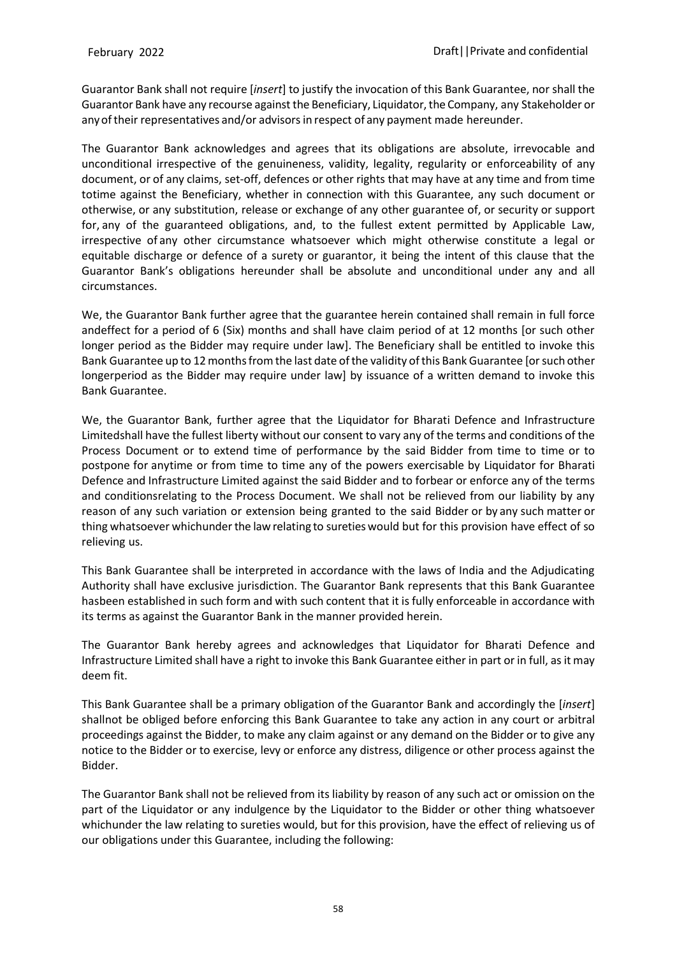Guarantor Bank shall not require [*insert*] to justify the invocation of this Bank Guarantee, nor shall the Guarantor Bank have any recourse against the Beneficiary, Liquidator,the Company, any Stakeholder or anyoftheir representatives and/or advisorsin respect of any payment made hereunder.

The Guarantor Bank acknowledges and agrees that its obligations are absolute, irrevocable and unconditional irrespective of the genuineness, validity, legality, regularity or enforceability of any document, or of any claims, set-off, defences or other rights that may have at any time and from time totime against the Beneficiary, whether in connection with this Guarantee, any such document or otherwise, or any substitution, release or exchange of any other guarantee of, or security or support for, any of the guaranteed obligations, and, to the fullest extent permitted by Applicable Law, irrespective of any other circumstance whatsoever which might otherwise constitute a legal or equitable discharge or defence of a surety or guarantor, it being the intent of this clause that the Guarantor Bank's obligations hereunder shall be absolute and unconditional under any and all circumstances.

We, the Guarantor Bank further agree that the guarantee herein contained shall remain in full force andeffect for a period of 6 (Six) months and shall have claim period of at 12 months [or such other longer period as the Bidder may require under law]. The Beneficiary shall be entitled to invoke this Bank Guarantee up to 12 months from the last date of the validity of this Bank Guarantee [or such other longerperiod as the Bidder may require under law] by issuance of a written demand to invoke this Bank Guarantee.

We, the Guarantor Bank, further agree that the Liquidator for Bharati Defence and Infrastructure Limitedshall have the fullest liberty without our consent to vary any of the terms and conditions of the Process Document or to extend time of performance by the said Bidder from time to time or to postpone for anytime or from time to time any of the powers exercisable by Liquidator for Bharati Defence and Infrastructure Limited against the said Bidder and to forbear or enforce any of the terms and conditionsrelating to the Process Document. We shall not be relieved from our liability by any reason of any such variation or extension being granted to the said Bidder or by any such matter or thing whatsoever whichunder the law relating to sureties would but for this provision have effect of so relieving us.

This Bank Guarantee shall be interpreted in accordance with the laws of India and the Adjudicating Authority shall have exclusive jurisdiction. The Guarantor Bank represents that this Bank Guarantee hasbeen established in such form and with such content that it is fully enforceable in accordance with its terms as against the Guarantor Bank in the manner provided herein.

The Guarantor Bank hereby agrees and acknowledges that Liquidator for Bharati Defence and Infrastructure Limited shall have a right to invoke this Bank Guarantee either in part or in full, as it may deem fit.

This Bank Guarantee shall be a primary obligation of the Guarantor Bank and accordingly the [*insert*] shallnot be obliged before enforcing this Bank Guarantee to take any action in any court or arbitral proceedings against the Bidder, to make any claim against or any demand on the Bidder or to give any notice to the Bidder or to exercise, levy or enforce any distress, diligence or other process against the Bidder.

The Guarantor Bank shall not be relieved from its liability by reason of any such act or omission on the part of the Liquidator or any indulgence by the Liquidator to the Bidder or other thing whatsoever whichunder the law relating to sureties would, but for this provision, have the effect of relieving us of our obligations under this Guarantee, including the following: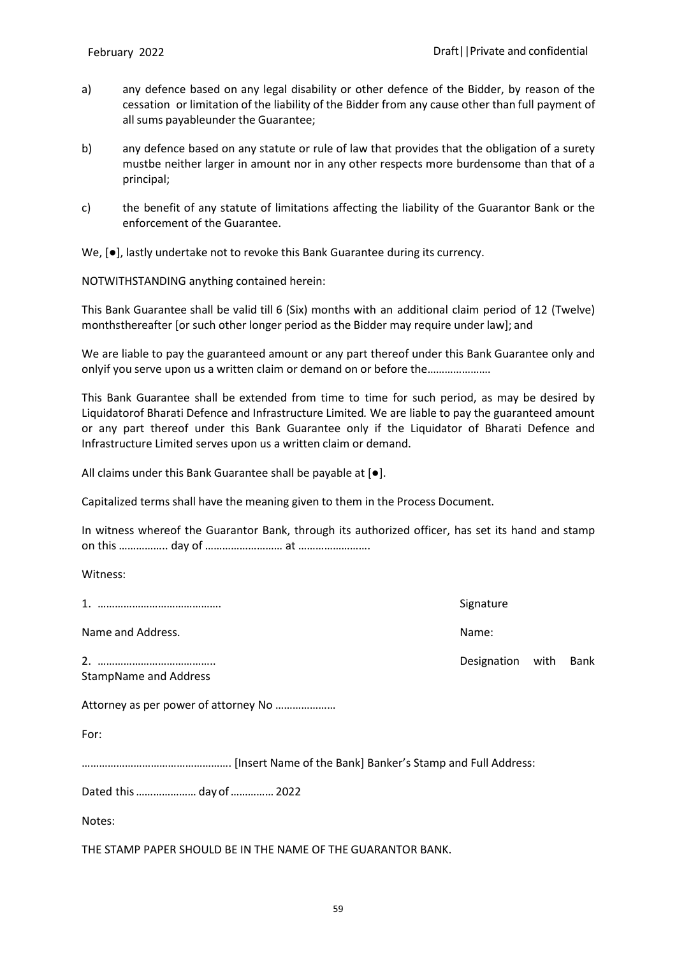- a) any defence based on any legal disability or other defence of the Bidder, by reason of the cessation or limitation of the liability of the Bidder from any cause other than full payment of all sums payableunder the Guarantee;
- b) any defence based on any statute or rule of law that provides that the obligation of a surety mustbe neither larger in amount nor in any other respects more burdensome than that of a principal;
- c) the benefit of any statute of limitations affecting the liability of the Guarantor Bank or the enforcement of the Guarantee.

We, [●], lastly undertake not to revoke this Bank Guarantee during its currency.

NOTWITHSTANDING anything contained herein:

This Bank Guarantee shall be valid till 6 (Six) months with an additional claim period of 12 (Twelve) monthsthereafter [or such other longer period as the Bidder may require under law]; and

We are liable to pay the guaranteed amount or any part thereof under this Bank Guarantee only and onlyif you serve upon us a written claim or demand on or before the………………….

This Bank Guarantee shall be extended from time to time for such period, as may be desired by Liquidatorof Bharati Defence and Infrastructure Limited*.* We are liable to pay the guaranteed amount or any part thereof under this Bank Guarantee only if the Liquidator of Bharati Defence and Infrastructure Limited serves upon us a written claim or demand.

All claims under this Bank Guarantee shall be payable at [●].

Capitalized terms shall have the meaning given to them in the Process Document.

In witness whereof the Guarantor Bank, through its authorized officer, has set its hand and stamp on this …………….. day of ……………………… at …………………….

Witness:

1. ……………………………………. Signature

Name and Address. Name: Name: Name: Name: Name: Name: Name: Name: Name: Name: Name: Name: Name: Name: Name: Name: Name: Name: Name: Name: Name: Name: Name: Name: Name: Name: Name: Name: Name: Name: Name: Name: Name: Name:

2. ………………………………….. Designation with Bank StampName and Address

Attorney as per power of attorney No …………………

For:

……………………………………………. [Insert Name of the Bank] Banker's Stamp and Full Address:

Dated this………………… day of……………2022

Notes:

THE STAMP PAPER SHOULD BE IN THE NAME OF THE GUARANTOR BANK.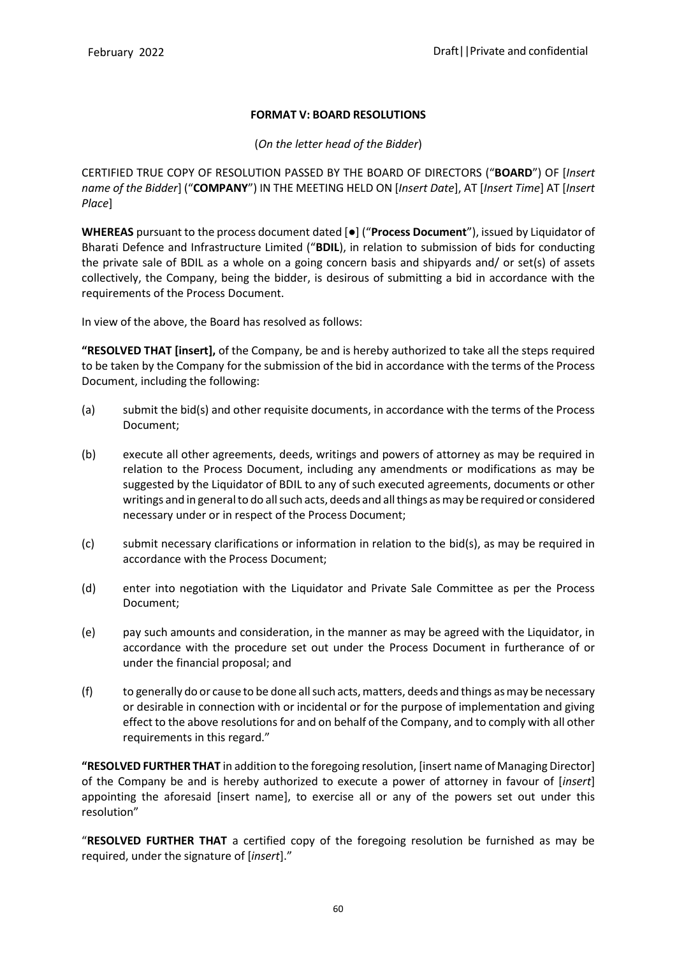## **FORMAT V: BOARD RESOLUTIONS**

## (*On the letter head of the Bidder*)

CERTIFIED TRUE COPY OF RESOLUTION PASSED BY THE BOARD OF DIRECTORS ("**BOARD**") OF [*Insert name of the Bidder*] ("**COMPANY**") IN THE MEETING HELD ON [*Insert Date*], AT [*Insert Time*] AT [*Insert Place*]

**WHEREAS** pursuant to the process document dated [●] ("**Process Document**"), issued by Liquidator of Bharati Defence and Infrastructure Limited ("**BDIL**), in relation to submission of bids for conducting the private sale of BDIL as a whole on a going concern basis and shipyards and/ or set(s) of assets collectively, the Company, being the bidder, is desirous of submitting a bid in accordance with the requirements of the Process Document.

In view of the above, the Board has resolved as follows:

**"RESOLVED THAT [insert],** of the Company, be and is hereby authorized to take all the steps required to be taken by the Company for the submission of the bid in accordance with the terms of the Process Document, including the following:

- (a) submit the bid(s) and other requisite documents, in accordance with the terms of the Process Document;
- (b) execute all other agreements, deeds, writings and powers of attorney as may be required in relation to the Process Document, including any amendments or modifications as may be suggested by the Liquidator of BDIL to any of such executed agreements, documents or other writings and in general to do all such acts, deeds and all things as may be required or considered necessary under or in respect of the Process Document;
- (c) submit necessary clarifications or information in relation to the bid(s), as may be required in accordance with the Process Document;
- (d) enter into negotiation with the Liquidator and Private Sale Committee as per the Process Document;
- (e) pay such amounts and consideration, in the manner as may be agreed with the Liquidator, in accordance with the procedure set out under the Process Document in furtherance of or under the financial proposal; and
- (f) to generally do or cause to be done allsuch acts,matters, deeds and things asmay be necessary or desirable in connection with or incidental or for the purpose of implementation and giving effect to the above resolutions for and on behalf of the Company, and to comply with all other requirements in this regard."

**"RESOLVED FURTHER THAT** in addition to the foregoing resolution, [insert name of Managing Director] of the Company be and is hereby authorized to execute a power of attorney in favour of [*insert*] appointing the aforesaid [insert name], to exercise all or any of the powers set out under this resolution"

"**RESOLVED FURTHER THAT** a certified copy of the foregoing resolution be furnished as may be required, under the signature of [*insert*]."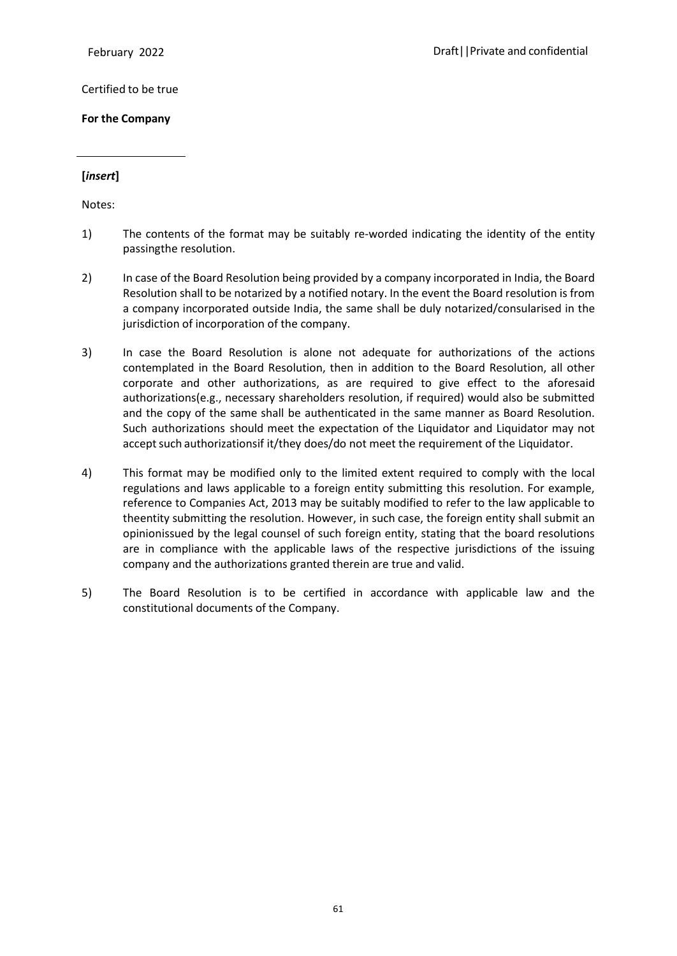Certified to be true

**For the Company**

### **[***insert***]**

Notes:

- 1) The contents of the format may be suitably re-worded indicating the identity of the entity passingthe resolution.
- 2) In case of the Board Resolution being provided by a company incorporated in India, the Board Resolution shall to be notarized by a notified notary. In the event the Board resolution is from a company incorporated outside India, the same shall be duly notarized/consularised in the jurisdiction of incorporation of the company.
- 3) In case the Board Resolution is alone not adequate for authorizations of the actions contemplated in the Board Resolution, then in addition to the Board Resolution, all other corporate and other authorizations, as are required to give effect to the aforesaid authorizations(e.g., necessary shareholders resolution, if required) would also be submitted and the copy of the same shall be authenticated in the same manner as Board Resolution. Such authorizations should meet the expectation of the Liquidator and Liquidator may not accept such authorizationsif it/they does/do not meet the requirement of the Liquidator.
- 4) This format may be modified only to the limited extent required to comply with the local regulations and laws applicable to a foreign entity submitting this resolution. For example, reference to Companies Act, 2013 may be suitably modified to refer to the law applicable to theentity submitting the resolution. However, in such case, the foreign entity shall submit an opinionissued by the legal counsel of such foreign entity, stating that the board resolutions are in compliance with the applicable laws of the respective jurisdictions of the issuing company and the authorizations granted therein are true and valid.
- 5) The Board Resolution is to be certified in accordance with applicable law and the constitutional documents of the Company.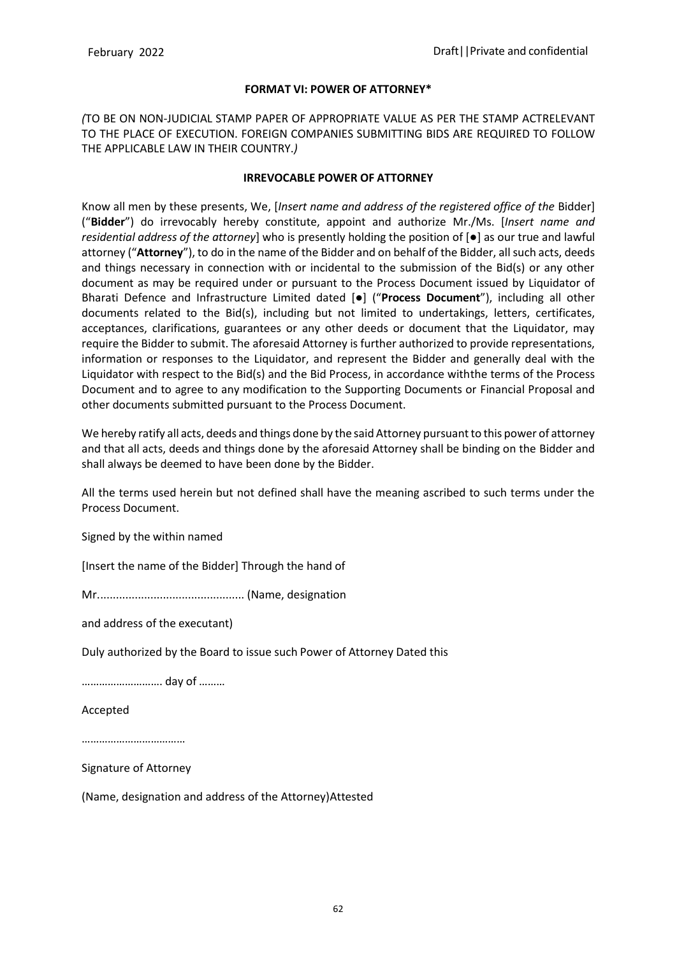#### **FORMAT VI: POWER OF ATTORNEY\***

*(*TO BE ON NON-JUDICIAL STAMP PAPER OF APPROPRIATE VALUE AS PER THE STAMP ACTRELEVANT TO THE PLACE OF EXECUTION. FOREIGN COMPANIES SUBMITTING BIDS ARE REQUIRED TO FOLLOW THE APPLICABLE LAW IN THEIR COUNTRY.*)*

### **IRREVOCABLE POWER OF ATTORNEY**

Know all men by these presents, We, [*Insert name and address of the registered office of the* Bidder] ("**Bidder**") do irrevocably hereby constitute, appoint and authorize Mr./Ms. [*Insert name and residential address of the attorney*] who is presently holding the position of [●] as our true and lawful attorney ("**Attorney**"), to do in the name of the Bidder and on behalf of the Bidder, allsuch acts, deeds and things necessary in connection with or incidental to the submission of the Bid(s) or any other document as may be required under or pursuant to the Process Document issued by Liquidator of Bharati Defence and Infrastructure Limited dated [●] ("**Process Document**"), including all other documents related to the Bid(s), including but not limited to undertakings, letters, certificates, acceptances, clarifications, guarantees or any other deeds or document that the Liquidator, may require the Bidder to submit. The aforesaid Attorney is further authorized to provide representations, information or responses to the Liquidator, and represent the Bidder and generally deal with the Liquidator with respect to the Bid(s) and the Bid Process, in accordance withthe terms of the Process Document and to agree to any modification to the Supporting Documents or Financial Proposal and other documents submitted pursuant to the Process Document.

We hereby ratify all acts, deeds and things done by the said Attorney pursuant to this power of attorney and that all acts, deeds and things done by the aforesaid Attorney shall be binding on the Bidder and shall always be deemed to have been done by the Bidder.

All the terms used herein but not defined shall have the meaning ascribed to such terms under the Process Document.

Signed by the within named

[Insert the name of the Bidder] Through the hand of

Mr............................................... (Name, designation

and address of the executant)

Duly authorized by the Board to issue such Power of Attorney Dated this

………………………. day of ………

Accepted

………………………………

Signature of Attorney

(Name, designation and address of the Attorney)Attested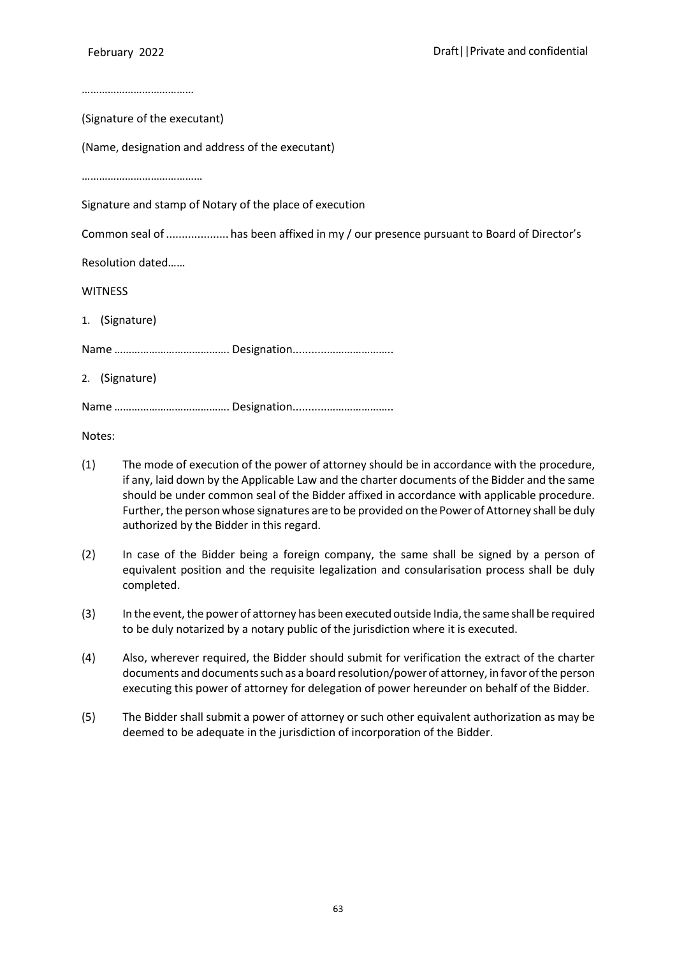(Signature of the executant)

(Name, designation and address of the executant)

……………………………………

Signature and stamp of Notary of the place of execution

Common seal of .................... has been affixed in my / our presence pursuant to Board of Director's

Resolution dated……

**WITNESS** 

1. (Signature)

Name …………………………………. Designation...........…………………..

2. (Signature)

Name …………………………………. Designation...........…………………..

Notes:

- (1) The mode of execution of the power of attorney should be in accordance with the procedure, if any, laid down by the Applicable Law and the charter documents of the Bidder and the same should be under common seal of the Bidder affixed in accordance with applicable procedure. Further, the person whose signatures are to be provided on the Power of Attorney shall be duly authorized by the Bidder in this regard.
- (2) In case of the Bidder being a foreign company, the same shall be signed by a person of equivalent position and the requisite legalization and consularisation process shall be duly completed.
- (3) In the event, the power of attorney has been executed outside India, the same shall be required to be duly notarized by a notary public of the jurisdiction where it is executed.
- (4) Also, wherever required, the Bidder should submit for verification the extract of the charter documents and documents such as a board resolution/power of attorney, in favor of the person executing this power of attorney for delegation of power hereunder on behalf of the Bidder.
- (5) The Bidder shall submit a power of attorney or such other equivalent authorization as may be deemed to be adequate in the jurisdiction of incorporation of the Bidder.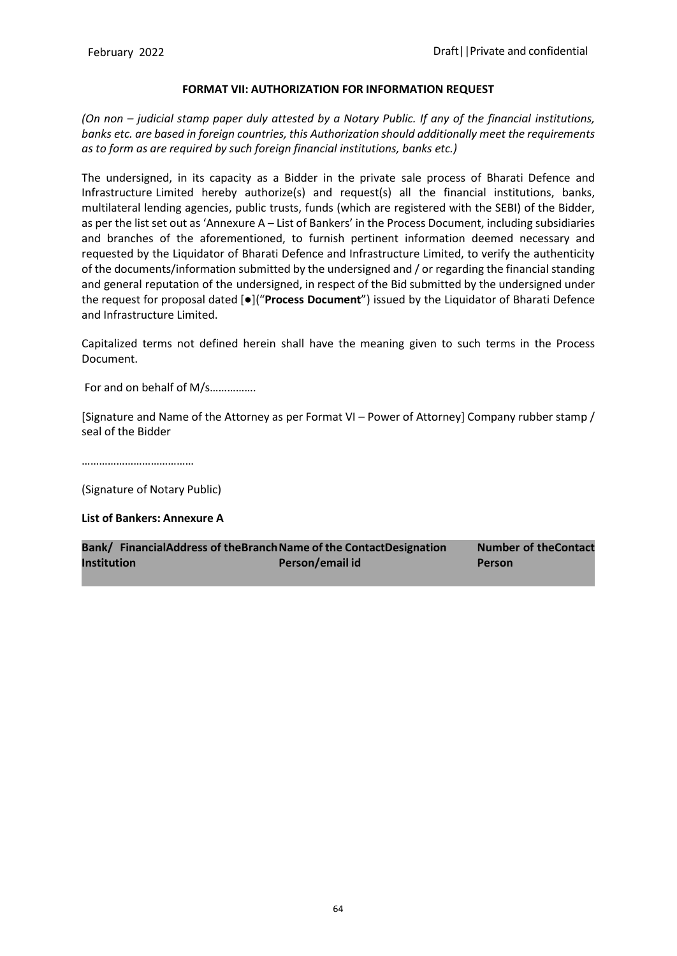#### **FORMAT VII: AUTHORIZATION FOR INFORMATION REQUEST**

*(On non – judicial stamp paper duly attested by a Notary Public. If any of the financial institutions, banks etc. are based in foreign countries, this Authorization should additionally meet the requirements as to form as are required by such foreign financial institutions, banks etc.)*

The undersigned, in its capacity as a Bidder in the private sale process of Bharati Defence and Infrastructure Limited hereby authorize(s) and request(s) all the financial institutions, banks, multilateral lending agencies, public trusts, funds (which are registered with the SEBI) of the Bidder, as per the list set out as 'Annexure A – List of Bankers' in the Process Document, including subsidiaries and branches of the aforementioned, to furnish pertinent information deemed necessary and requested by the Liquidator of Bharati Defence and Infrastructure Limited, to verify the authenticity of the documents/information submitted by the undersigned and / or regarding the financial standing and general reputation of the undersigned, in respect of the Bid submitted by the undersigned under the request for proposal dated [●]("**Process Document**") issued by the Liquidator of Bharati Defence and Infrastructure Limited.

Capitalized terms not defined herein shall have the meaning given to such terms in the Process Document.

For and on behalf of M/s…………….

[Signature and Name of the Attorney as per Format VI – Power of Attorney] Company rubber stamp / seal of the Bidder

…………………………………

(Signature of Notary Public)

#### **List of Bankers: Annexure A**

|                    | Bank/ FinancialAddress of theBranch Name of the ContactDesignation | <b>Number of the Contact</b> |
|--------------------|--------------------------------------------------------------------|------------------------------|
| <b>Institution</b> | Person/email id                                                    | Person                       |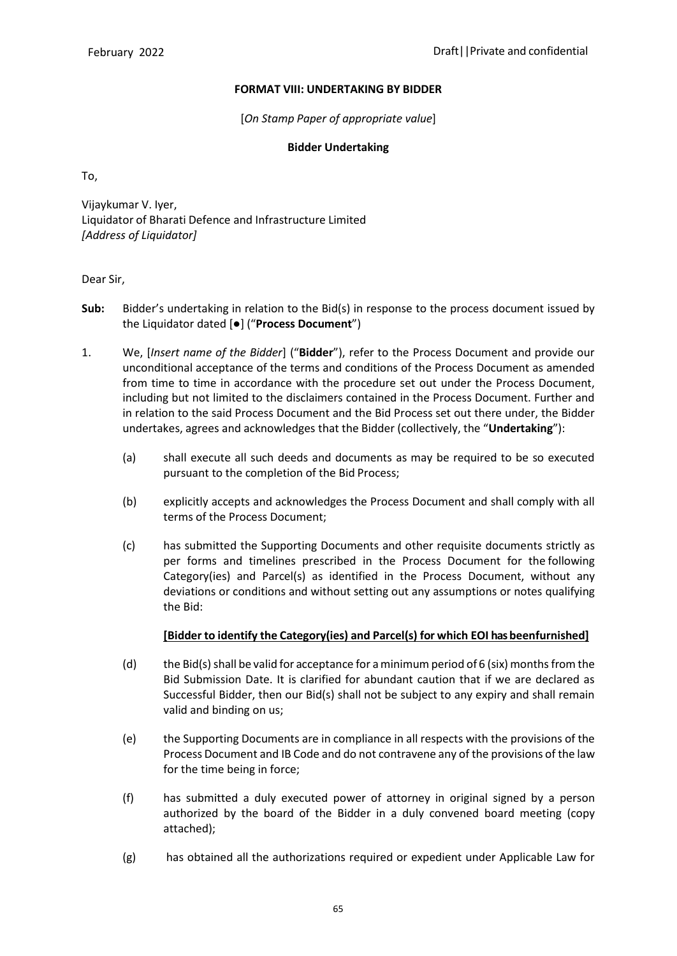### **FORMAT VIII: UNDERTAKING BY BIDDER**

[*On Stamp Paper of appropriate value*]

### **Bidder Undertaking**

To,

Vijaykumar V. Iyer, Liquidator of Bharati Defence and Infrastructure Limited *[Address of Liquidator]*

### Dear Sir,

- **Sub:** Bidder's undertaking in relation to the Bid(s) in response to the process document issued by the Liquidator dated [●] ("**Process Document**")
- 1. We, [*Insert name of the Bidder*] ("**Bidder**"), refer to the Process Document and provide our unconditional acceptance of the terms and conditions of the Process Document as amended from time to time in accordance with the procedure set out under the Process Document, including but not limited to the disclaimers contained in the Process Document. Further and in relation to the said Process Document and the Bid Process set out there under, the Bidder undertakes, agrees and acknowledges that the Bidder (collectively, the "**Undertaking**"):
	- (a) shall execute all such deeds and documents as may be required to be so executed pursuant to the completion of the Bid Process;
	- (b) explicitly accepts and acknowledges the Process Document and shall comply with all terms of the Process Document;
	- (c) has submitted the Supporting Documents and other requisite documents strictly as per forms and timelines prescribed in the Process Document for the following Category(ies) and Parcel(s) as identified in the Process Document, without any deviations or conditions and without setting out any assumptions or notes qualifying the Bid:

## **[Bidder to identify the Category(ies) and Parcel(s) for which EOI has beenfurnished]**

- (d) the Bid(s) shall be valid for acceptance for a minimum period of 6 (six) months from the Bid Submission Date. It is clarified for abundant caution that if we are declared as Successful Bidder, then our Bid(s) shall not be subject to any expiry and shall remain valid and binding on us;
- (e) the Supporting Documents are in compliance in all respects with the provisions of the Process Document and IB Code and do not contravene any of the provisions of the law for the time being in force;
- (f) has submitted a duly executed power of attorney in original signed by a person authorized by the board of the Bidder in a duly convened board meeting (copy attached);
- (g) has obtained all the authorizations required or expedient under Applicable Law for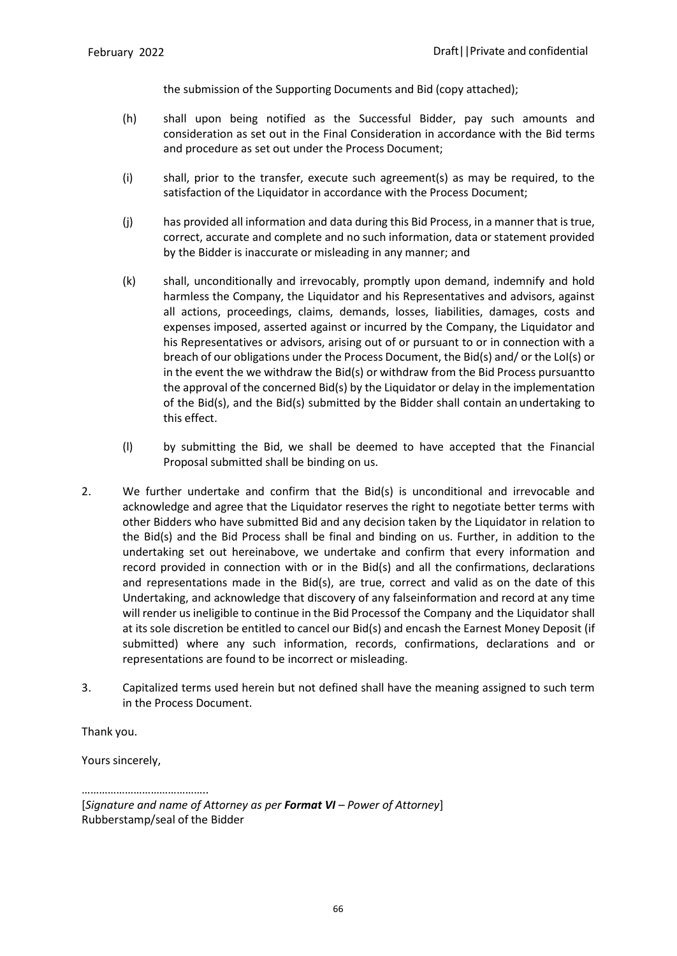the submission of the Supporting Documents and Bid (copy attached);

- (h) shall upon being notified as the Successful Bidder, pay such amounts and consideration as set out in the Final Consideration in accordance with the Bid terms and procedure as set out under the Process Document;
- (i) shall, prior to the transfer, execute such agreement(s) as may be required, to the satisfaction of the Liquidator in accordance with the Process Document;
- (j) has provided all information and data during this Bid Process, in a manner that is true, correct, accurate and complete and no such information, data or statement provided by the Bidder is inaccurate or misleading in any manner; and
- (k) shall, unconditionally and irrevocably, promptly upon demand, indemnify and hold harmless the Company, the Liquidator and his Representatives and advisors, against all actions, proceedings, claims, demands, losses, liabilities, damages, costs and expenses imposed, asserted against or incurred by the Company, the Liquidator and his Representatives or advisors, arising out of or pursuant to or in connection with a breach of our obligations under the Process Document, the Bid(s) and/ or the LoI(s) or in the event the we withdraw the Bid(s) or withdraw from the Bid Process pursuantto the approval of the concerned Bid(s) by the Liquidator or delay in the implementation of the Bid(s), and the Bid(s) submitted by the Bidder shall contain an undertaking to this effect.
- (l) by submitting the Bid, we shall be deemed to have accepted that the Financial Proposal submitted shall be binding on us.
- 2. We further undertake and confirm that the Bid(s) is unconditional and irrevocable and acknowledge and agree that the Liquidator reserves the right to negotiate better terms with other Bidders who have submitted Bid and any decision taken by the Liquidator in relation to the Bid(s) and the Bid Process shall be final and binding on us. Further, in addition to the undertaking set out hereinabove, we undertake and confirm that every information and record provided in connection with or in the Bid(s) and all the confirmations, declarations and representations made in the Bid(s), are true, correct and valid as on the date of this Undertaking, and acknowledge that discovery of any falseinformation and record at any time will render us ineligible to continue in the Bid Processof the Company and the Liquidator shall at its sole discretion be entitled to cancel our Bid(s) and encash the Earnest Money Deposit (if submitted) where any such information, records, confirmations, declarations and or representations are found to be incorrect or misleading.
- 3. Capitalized terms used herein but not defined shall have the meaning assigned to such term in the Process Document.

Thank you.

Yours sincerely,

…………………………………………

[*Signature and name of Attorney as per Format VI – Power of Attorney*] Rubberstamp/seal of the Bidder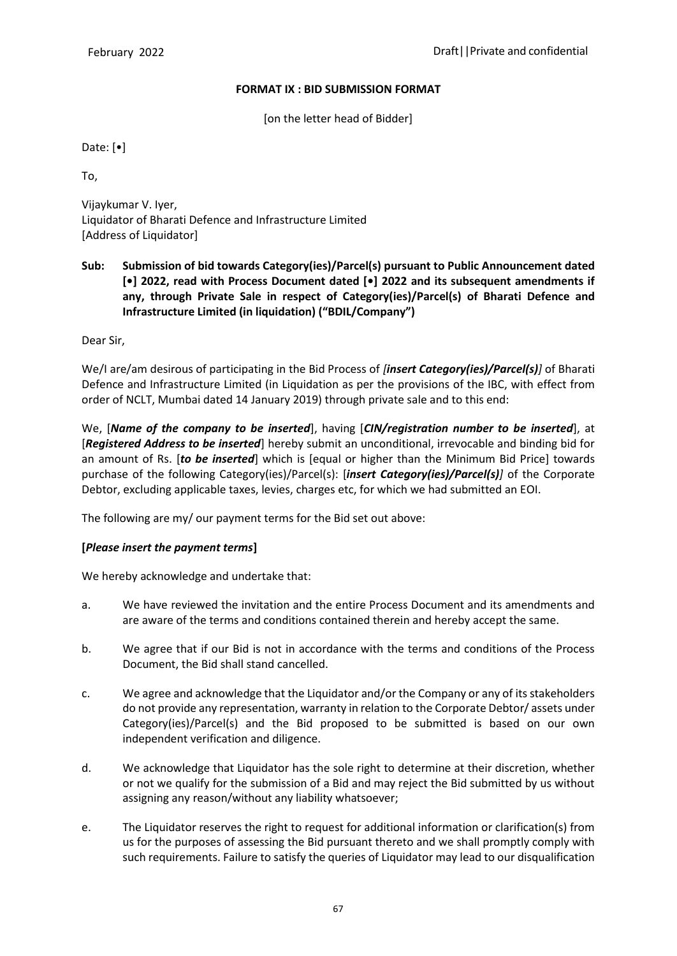### **FORMAT IX : BID SUBMISSION FORMAT**

[on the letter head of Bidder]

Date: [•]

To,

Vijaykumar V. Iyer, Liquidator of Bharati Defence and Infrastructure Limited [Address of Liquidator]

**Sub: Submission of bid towards Category(ies)/Parcel(s) pursuant to Public Announcement dated [•] 2022, read with Process Document dated [•] 2022 and its subsequent amendments if any, through Private Sale in respect of Category(ies)/Parcel(s) of Bharati Defence and Infrastructure Limited (in liquidation) ("BDIL/Company")**

Dear Sir,

We/I are/am desirous of participating in the Bid Process of *[insert Category(ies)/Parcel(s)]* of Bharati Defence and Infrastructure Limited (in Liquidation as per the provisions of the IBC, with effect from order of NCLT, Mumbai dated 14 January 2019) through private sale and to this end:

We, [*Name of the company to be inserted*], having [*CIN/registration number to be inserted*], at [*Registered Address to be inserted*] hereby submit an unconditional, irrevocable and binding bid for an amount of Rs. [*to be inserted*] which is [equal or higher than the Minimum Bid Price] towards purchase of the following Category(ies)/Parcel(s): [*insert Category(ies)/Parcel(s)]* of the Corporate Debtor, excluding applicable taxes, levies, charges etc, for which we had submitted an EOI.

The following are my/ our payment terms for the Bid set out above:

# **[***Please insert the payment terms***]**

We hereby acknowledge and undertake that:

- a. We have reviewed the invitation and the entire Process Document and its amendments and are aware of the terms and conditions contained therein and hereby accept the same.
- b. We agree that if our Bid is not in accordance with the terms and conditions of the Process Document, the Bid shall stand cancelled.
- c. We agree and acknowledge that the Liquidator and/or the Company or any of its stakeholders do not provide any representation, warranty in relation to the Corporate Debtor/ assets under Category(ies)/Parcel(s) and the Bid proposed to be submitted is based on our own independent verification and diligence.
- d. We acknowledge that Liquidator has the sole right to determine at their discretion, whether or not we qualify for the submission of a Bid and may reject the Bid submitted by us without assigning any reason/without any liability whatsoever;
- e. The Liquidator reserves the right to request for additional information or clarification(s) from us for the purposes of assessing the Bid pursuant thereto and we shall promptly comply with such requirements. Failure to satisfy the queries of Liquidator may lead to our disqualification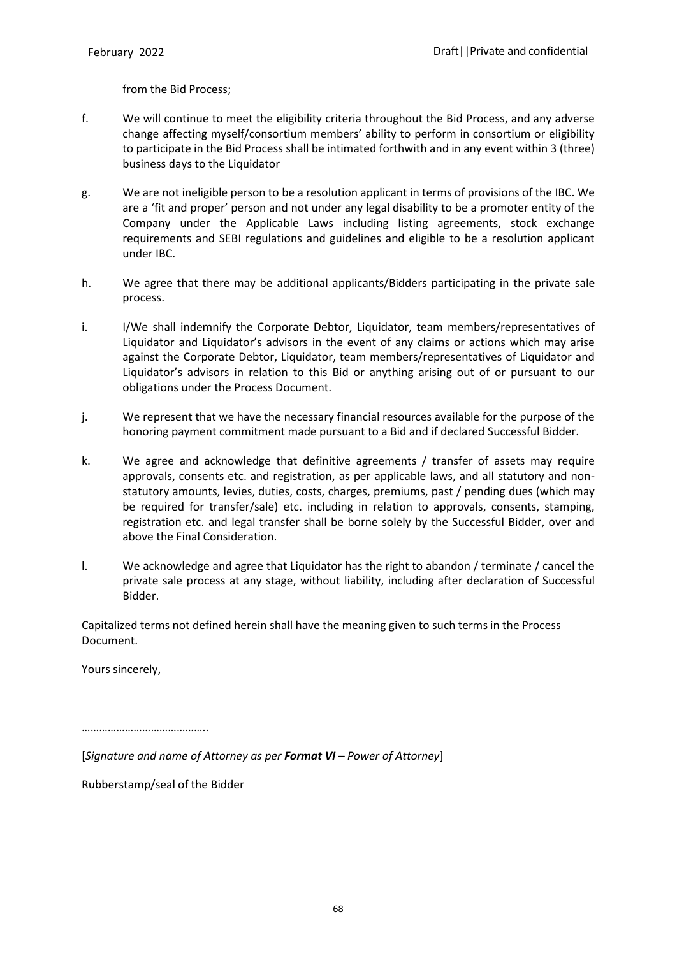from the Bid Process;

- f. We will continue to meet the eligibility criteria throughout the Bid Process, and any adverse change affecting myself/consortium members' ability to perform in consortium or eligibility to participate in the Bid Process shall be intimated forthwith and in any event within 3 (three) business days to the Liquidator
- g. We are not ineligible person to be a resolution applicant in terms of provisions of the IBC. We are a 'fit and proper' person and not under any legal disability to be a promoter entity of the Company under the Applicable Laws including listing agreements, stock exchange requirements and SEBI regulations and guidelines and eligible to be a resolution applicant under IBC.
- h. We agree that there may be additional applicants/Bidders participating in the private sale process.
- i. I/We shall indemnify the Corporate Debtor, Liquidator, team members/representatives of Liquidator and Liquidator's advisors in the event of any claims or actions which may arise against the Corporate Debtor, Liquidator, team members/representatives of Liquidator and Liquidator's advisors in relation to this Bid or anything arising out of or pursuant to our obligations under the Process Document.
- j. We represent that we have the necessary financial resources available for the purpose of the honoring payment commitment made pursuant to a Bid and if declared Successful Bidder.
- k. We agree and acknowledge that definitive agreements / transfer of assets may require approvals, consents etc. and registration, as per applicable laws, and all statutory and nonstatutory amounts, levies, duties, costs, charges, premiums, past / pending dues (which may be required for transfer/sale) etc. including in relation to approvals, consents, stamping, registration etc. and legal transfer shall be borne solely by the Successful Bidder, over and above the Final Consideration.
- l. We acknowledge and agree that Liquidator has the right to abandon / terminate / cancel the private sale process at any stage, without liability, including after declaration of Successful Bidder.

Capitalized terms not defined herein shall have the meaning given to such terms in the Process Document.

Yours sincerely,

……………………………………..

[*Signature and name of Attorney as per Format VI – Power of Attorney*]

Rubberstamp/seal of the Bidder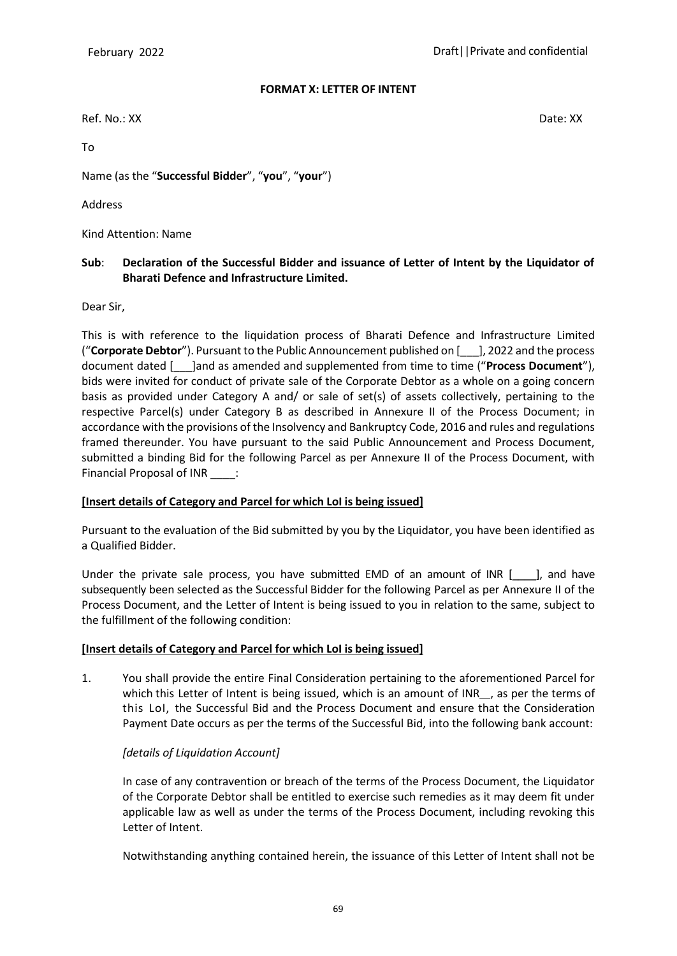#### **FORMAT X: LETTER OF INTENT**

Ref. No.: XX Date: XX

To

Name (as the "**Successful Bidder**", "**you**", "**your**")

Address

Kind Attention: Name

## **Sub**: **Declaration of the Successful Bidder and issuance of Letter of Intent by the Liquidator of Bharati Defence and Infrastructure Limited.**

Dear Sir,

This is with reference to the liquidation process of Bharati Defence and Infrastructure Limited ("**Corporate Debtor**"). Pursuant to the Public Announcement published on [\_\_\_], 2022 and the process document dated [\_\_\_]and as amended and supplemented from time to time ("**Process Document**"), bids were invited for conduct of private sale of the Corporate Debtor as a whole on a going concern basis as provided under Category A and/ or sale of set(s) of assets collectively, pertaining to the respective Parcel(s) under Category B as described in Annexure II of the Process Document; in accordance with the provisions of the Insolvency and Bankruptcy Code, 2016 and rules and regulations framed thereunder. You have pursuant to the said Public Announcement and Process Document, submitted a binding Bid for the following Parcel as per Annexure II of the Process Document, with Financial Proposal of INR \_\_\_\_:

### **[Insert details of Category and Parcel for which LoI is being issued]**

Pursuant to the evaluation of the Bid submitted by you by the Liquidator, you have been identified as a Qualified Bidder.

Under the private sale process, you have submitted EMD of an amount of INR  $[$  ], and have subsequently been selected as the Successful Bidder for the following Parcel as per Annexure II of the Process Document, and the Letter of Intent is being issued to you in relation to the same, subject to the fulfillment of the following condition:

### **[Insert details of Category and Parcel for which LoI is being issued]**

1. You shall provide the entire Final Consideration pertaining to the aforementioned Parcel for which this Letter of Intent is being issued, which is an amount of INR is as per the terms of this LoI, the Successful Bid and the Process Document and ensure that the Consideration Payment Date occurs as per the terms of the Successful Bid, into the following bank account:

# *[details of Liquidation Account]*

In case of any contravention or breach of the terms of the Process Document, the Liquidator of the Corporate Debtor shall be entitled to exercise such remedies as it may deem fit under applicable law as well as under the terms of the Process Document, including revoking this Letter of Intent.

Notwithstanding anything contained herein, the issuance of this Letter of Intent shall not be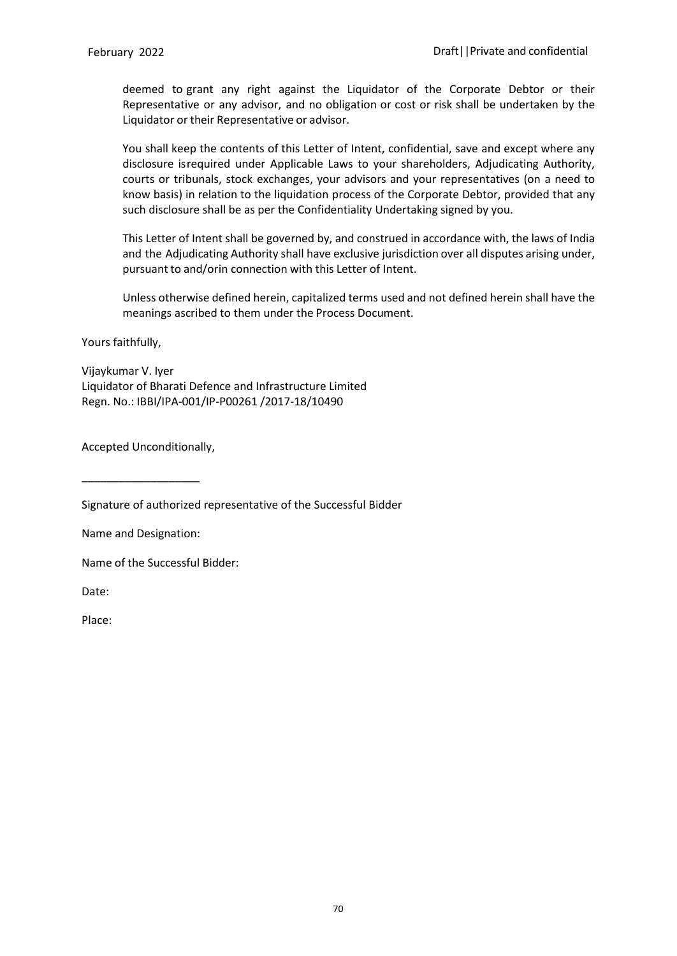deemed to grant any right against the Liquidator of the Corporate Debtor or their Representative or any advisor, and no obligation or cost or risk shall be undertaken by the Liquidator or their Representative or advisor.

You shall keep the contents of this Letter of Intent, confidential, save and except where any disclosure isrequired under Applicable Laws to your shareholders, Adjudicating Authority, courts or tribunals, stock exchanges, your advisors and your representatives (on a need to know basis) in relation to the liquidation process of the Corporate Debtor, provided that any such disclosure shall be as per the Confidentiality Undertaking signed by you.

This Letter of Intent shall be governed by, and construed in accordance with, the laws of India and the Adjudicating Authority shall have exclusive jurisdiction over all disputes arising under, pursuant to and/orin connection with this Letter of Intent.

Unless otherwise defined herein, capitalized terms used and not defined herein shall have the meanings ascribed to them under the Process Document.

Yours faithfully,

Vijaykumar V. Iyer Liquidator of Bharati Defence and Infrastructure Limited Regn. No.: IBBI/IPA-001/IP-P00261 /2017-18/10490

Accepted Unconditionally,

\_\_\_\_\_\_\_\_\_\_\_\_\_\_\_\_\_\_\_

Signature of authorized representative of the Successful Bidder

Name and Designation:

Name of the Successful Bidder:

Date:

Place: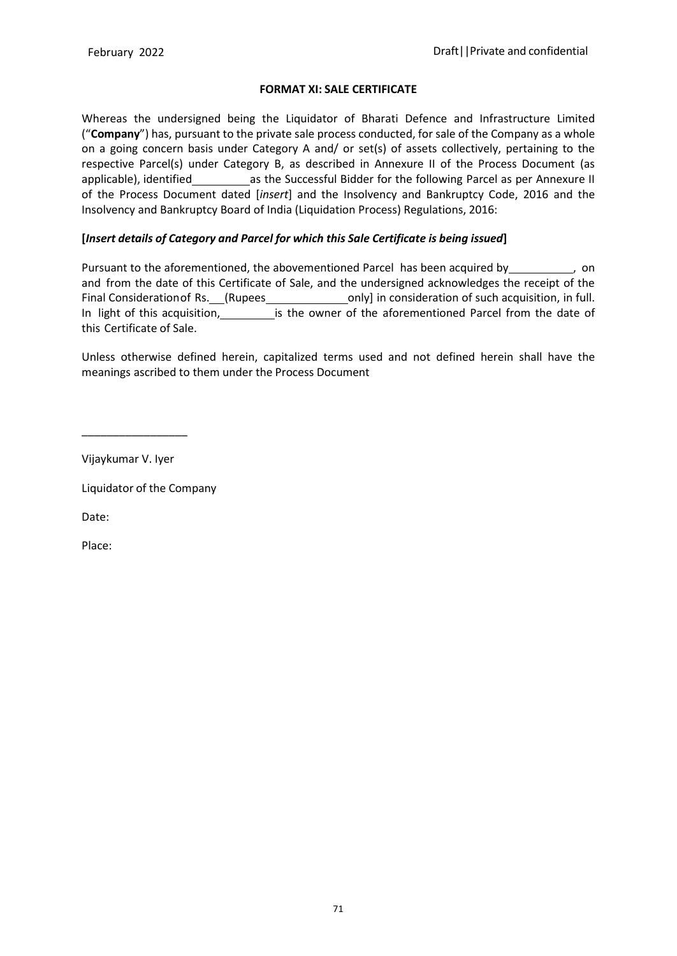### **FORMAT XI: SALE CERTIFICATE**

Whereas the undersigned being the Liquidator of Bharati Defence and Infrastructure Limited ("**Company**") has, pursuant to the private sale process conducted, for sale of the Company as a whole on a going concern basis under Category A and/ or set(s) of assets collectively, pertaining to the respective Parcel(s) under Category B, as described in Annexure II of the Process Document (as applicable), identified as the Successful Bidder for the following Parcel as per Annexure II of the Process Document dated [*insert*] and the Insolvency and Bankruptcy Code, 2016 and the Insolvency and Bankruptcy Board of India (Liquidation Process) Regulations, 2016:

# **[***Insert details of Category and Parcel for which this Sale Certificate is being issued***]**

Pursuant to the aforementioned, the abovementioned Parcel has been acquired by \_\_\_\_\_\_\_\_\_\_, on and from the date of this Certificate of Sale, and the undersigned acknowledges the receipt of the Final Consideration of Rs. (Rupees only] in consideration of such acquisition, in full. In light of this acquisition, is the owner of the aforementioned Parcel from the date of this Certificate of Sale.

Unless otherwise defined herein, capitalized terms used and not defined herein shall have the meanings ascribed to them under the Process Document

Vijaykumar V. Iyer

\_\_\_\_\_\_\_\_\_\_\_\_\_\_\_\_\_

Liquidator of the Company

Date:

Place: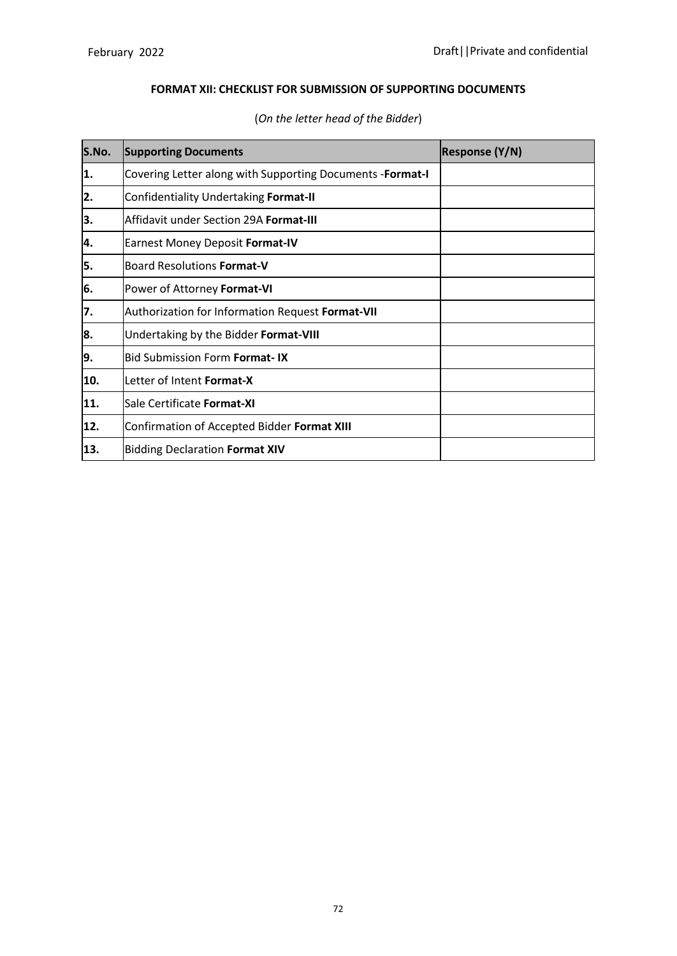# **FORMAT XII: CHECKLIST FOR SUBMISSION OF SUPPORTING DOCUMENTS**

| S.No. | <b>Supporting Documents</b>                               | <b>Response (Y/N)</b> |
|-------|-----------------------------------------------------------|-----------------------|
| 1.    | Covering Letter along with Supporting Documents -Format-I |                       |
| 2.    | Confidentiality Undertaking Format-II                     |                       |
| 3.    | Affidavit under Section 29A Format-III                    |                       |
| 4.    | <b>Earnest Money Deposit Format-IV</b>                    |                       |
| 5.    | <b>Board Resolutions Format-V</b>                         |                       |
| 6.    | Power of Attorney Format-VI                               |                       |
| 7.    | Authorization for Information Request Format-VII          |                       |
| 8.    | Undertaking by the Bidder Format-VIII                     |                       |
| 9.    | <b>Bid Submission Form Format-IX</b>                      |                       |
| 10.   | Letter of Intent Format-X                                 |                       |
| 11.   | Sale Certificate Format-XI                                |                       |
| 12.   | Confirmation of Accepted Bidder Format XIII               |                       |
| 13.   | <b>Bidding Declaration Format XIV</b>                     |                       |

# (*On the letter head of the Bidder*)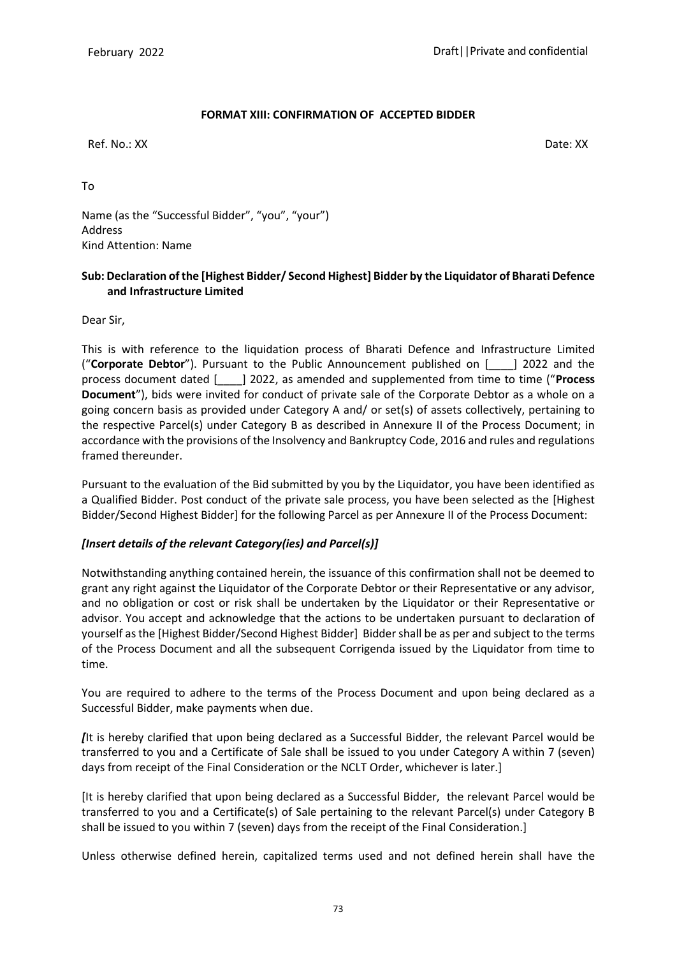# **FORMAT XIII: CONFIRMATION OF ACCEPTED BIDDER**

Ref. No.: XX Date: XX

To

Name (as the "Successful Bidder", "you", "your") Address Kind Attention: Name

## **Sub: Declaration of the [Highest Bidder/ Second Highest] Bidder by the Liquidator of Bharati Defence and Infrastructure Limited**

Dear Sir,

This is with reference to the liquidation process of Bharati Defence and Infrastructure Limited ("**Corporate Debtor**"). Pursuant to the Public Announcement published on [\_\_\_\_] 2022 and the process document dated [\_\_\_\_] 2022, as amended and supplemented from time to time ("**Process Document**"), bids were invited for conduct of private sale of the Corporate Debtor as a whole on a going concern basis as provided under Category A and/ or set(s) of assets collectively, pertaining to the respective Parcel(s) under Category B as described in Annexure II of the Process Document; in accordance with the provisions of the Insolvency and Bankruptcy Code, 2016 and rules and regulations framed thereunder.

Pursuant to the evaluation of the Bid submitted by you by the Liquidator, you have been identified as a Qualified Bidder. Post conduct of the private sale process, you have been selected as the [Highest Bidder/Second Highest Bidder] for the following Parcel as per Annexure II of the Process Document:

# *[Insert details of the relevant Category(ies) and Parcel(s)]*

Notwithstanding anything contained herein, the issuance of this confirmation shall not be deemed to grant any right against the Liquidator of the Corporate Debtor or their Representative or any advisor, and no obligation or cost or risk shall be undertaken by the Liquidator or their Representative or advisor. You accept and acknowledge that the actions to be undertaken pursuant to declaration of yourself as the [Highest Bidder/Second Highest Bidder] Bidder shall be as per and subject to the terms of the Process Document and all the subsequent Corrigenda issued by the Liquidator from time to time.

You are required to adhere to the terms of the Process Document and upon being declared as a Successful Bidder, make payments when due.

*[*It is hereby clarified that upon being declared as a Successful Bidder, the relevant Parcel would be transferred to you and a Certificate of Sale shall be issued to you under Category A within 7 (seven) days from receipt of the Final Consideration or the NCLT Order, whichever is later.]

[It is hereby clarified that upon being declared as a Successful Bidder, the relevant Parcel would be transferred to you and a Certificate(s) of Sale pertaining to the relevant Parcel(s) under Category B shall be issued to you within 7 (seven) days from the receipt of the Final Consideration.]

Unless otherwise defined herein, capitalized terms used and not defined herein shall have the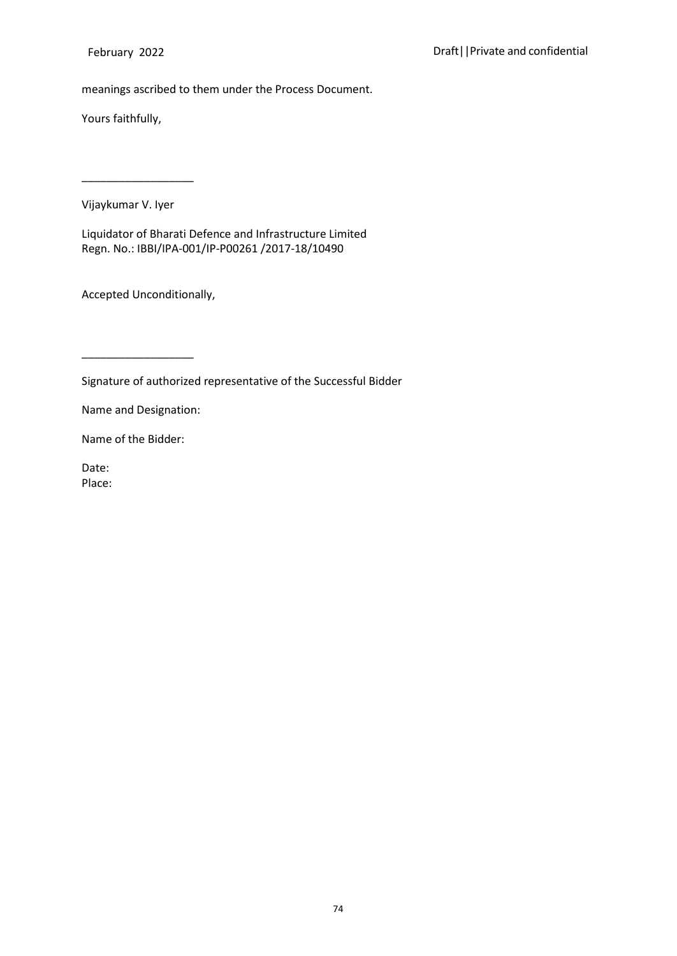meanings ascribed to them under the Process Document.

Yours faithfully,

Vijaykumar V. Iyer

\_\_\_\_\_\_\_\_\_\_\_\_\_\_\_\_\_\_

Liquidator of Bharati Defence and Infrastructure Limited Regn. No.: IBBI/IPA-001/IP-P00261 /2017-18/10490

Accepted Unconditionally,

Signature of authorized representative of the Successful Bidder

Name and Designation:

\_\_\_\_\_\_\_\_\_\_\_\_\_\_\_\_\_\_

Name of the Bidder:

Date: Place: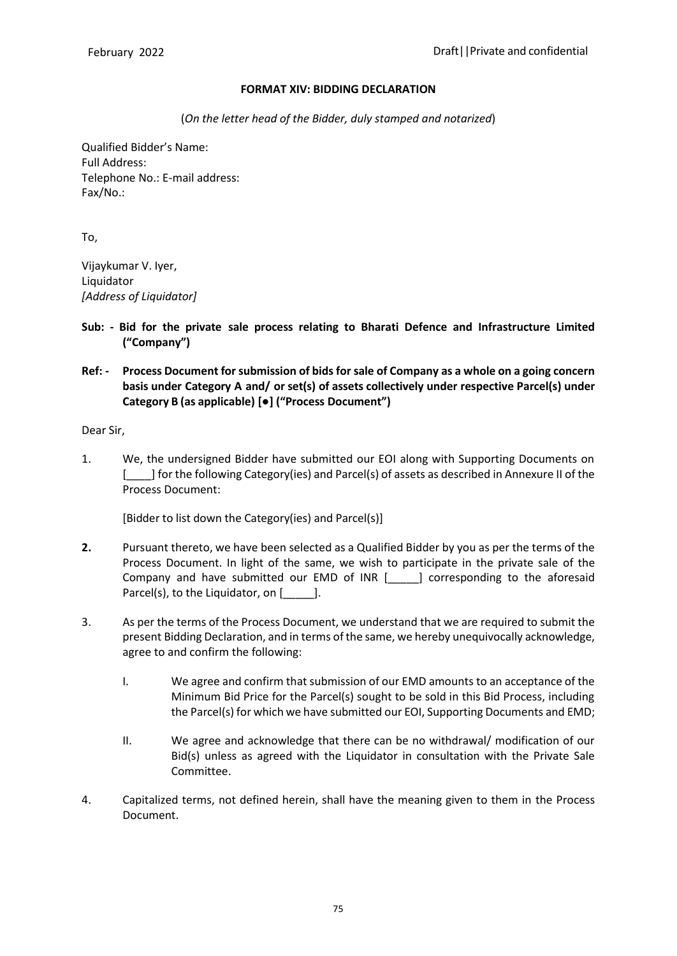### **FORMAT XIV: BIDDING DECLARATION**

(*On the letter head of the Bidder, duly stamped and notarized*)

Qualified Bidder's Name: Full Address: Telephone No.: E-mail address: Fax/No.:

To,

Vijaykumar V. Iyer, Liquidator *[Address of Liquidator]*

- **Sub: - Bid for the private sale process relating to Bharati Defence and Infrastructure Limited ("Company")**
- **Ref: - Process Document for submission of bids for sale of Company as a whole on a going concern basis under Category A and/ or set(s) of assets collectively under respective Parcel(s) under Category B (as applicable) [●] ("Process Document")**

Dear Sir,

1. We, the undersigned Bidder have submitted our EOI along with Supporting Documents on [\_\_\_\_] for the following Category(ies) and Parcel(s) of assets as described in Annexure II of the Process Document:

[Bidder to list down the Category(ies) and Parcel(s)]

- **2.** Pursuant thereto, we have been selected as a Qualified Bidder by you as per the terms of the Process Document. In light of the same, we wish to participate in the private sale of the Company and have submitted our EMD of INR [\_\_\_\_\_] corresponding to the aforesaid Parcel(s), to the Liquidator, on [169].
- 3. As per the terms of the Process Document, we understand that we are required to submit the present Bidding Declaration, and in terms of the same, we hereby unequivocally acknowledge, agree to and confirm the following:
	- I. We agree and confirm that submission of our EMD amounts to an acceptance of the Minimum Bid Price for the Parcel(s) sought to be sold in this Bid Process, including the Parcel(s) for which we have submitted our EOI, Supporting Documents and EMD;
	- II. We agree and acknowledge that there can be no withdrawal/ modification of our Bid(s) unless as agreed with the Liquidator in consultation with the Private Sale Committee.
- 4. Capitalized terms, not defined herein, shall have the meaning given to them in the Process Document.